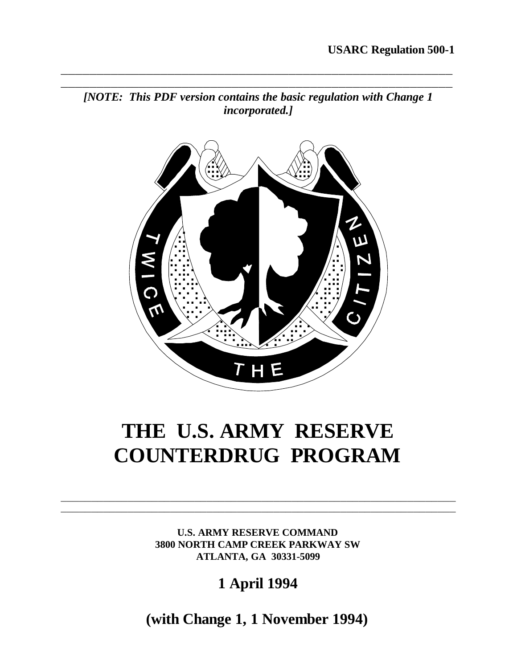

**\_\_\_\_\_\_\_\_\_\_\_\_\_\_\_\_\_\_\_\_\_\_\_\_\_\_\_\_\_\_\_\_\_\_\_\_\_\_\_\_\_\_\_\_\_\_\_\_\_\_\_\_\_\_\_**



## **THE U.S. ARMY RESERVE COUNTERDRUG PROGRAM**

**U.S. ARMY RESERVE COMMAND 3800 NORTH CAMP CREEK PARKWAY SW ATLANTA, GA 30331-5099**

\_\_\_\_\_\_\_\_\_\_\_\_\_\_\_\_\_\_\_\_\_\_\_\_\_\_\_\_\_\_\_\_\_\_\_\_\_\_\_\_\_\_\_\_\_\_\_\_\_\_\_\_\_\_\_\_\_\_\_\_\_\_\_\_\_ \_\_\_\_\_\_\_\_\_\_\_\_\_\_\_\_\_\_\_\_\_\_\_\_\_\_\_\_\_\_\_\_\_\_\_\_\_\_\_\_\_\_\_\_\_\_\_\_\_\_\_\_\_\_\_\_\_\_\_\_\_\_\_\_\_

**1 April 1994**

**(with Change 1, 1 November 1994)**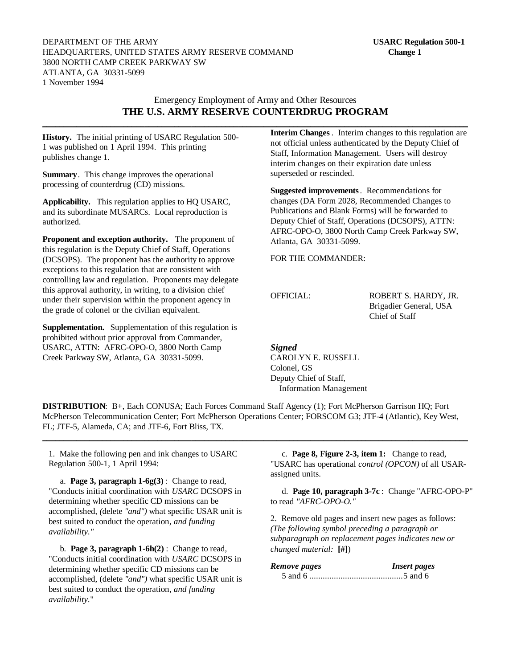DEPARTMENT OF THE ARMY **USARC Regulation 500-1** HEADQUARTERS, UNITED STATES ARMY RESERVE COMMAND **Change 1** 3800 NORTH CAMP CREEK PARKWAY SW ATLANTA, GA 30331-5099 1 November 1994

#### Emergency Employment of Army and Other Resources **THE U.S. ARMY RESERVE COUNTERDRUG PROGRAM \_\_\_\_\_\_\_\_\_\_\_\_\_\_\_\_\_\_\_\_\_\_\_\_\_\_\_\_\_\_\_\_\_\_\_\_\_\_\_\_\_\_\_\_\_\_\_\_\_\_\_\_\_\_\_\_\_\_\_\_\_\_\_\_\_\_\_\_\_\_\_\_\_\_\_\_\_\_\_\_\_\_\_\_\_\_\_\_\_\_\_\_\_\_\_\_\_\_\_\_**

**History.** The initial printing of USARC Regulation 500- 1 was published on 1 April 1994. This printing publishes change 1.

**Summary**. This change improves the operational processing of counterdrug (CD) missions.

**Applicability.** This regulation applies to HQ USARC, and its subordinate MUSARCs. Local reproduction is authorized.

**Proponent and exception authority.** The proponent of this regulation is the Deputy Chief of Staff, Operations (DCSOPS). The proponent has the authority to approve exceptions to this regulation that are consistent with controlling law and regulation. Proponents may delegate this approval authority, in writing, to a division chief under their supervision within the proponent agency in the grade of colonel or the civilian equivalent.

**Supplementation.** Supplementation of this regulation is prohibited without prior approval from Commander, USARC, ATTN: AFRC-OPO-O, 3800 North Camp Creek Parkway SW, Atlanta, GA 30331-5099.

**Interim Changes**. Interim changes to this regulation are not official unless authenticated by the Deputy Chief of Staff, Information Management. Users will destroy interim changes on their expiration date unless superseded or rescinded.

**Suggested improvements**. Recommendations for changes (DA Form 2028, Recommended Changes to Publications and Blank Forms) will be forwarded to Deputy Chief of Staff, Operations (DCSOPS), ATTN: AFRC-OPO-O, 3800 North Camp Creek Parkway SW, Atlanta, GA 30331-5099.

FOR THE COMMANDER:

OFFICIAL: ROBERT S. HARDY, JR. Brigadier General, USA Chief of Staff

*Signed*

CAROLYN E. RUSSELL Colonel, GS Deputy Chief of Staff, Information Management

**DISTRIBUTION**: B+, Each CONUSA; Each Forces Command Staff Agency (1); Fort McPherson Garrison HQ; Fort McPherson Telecommunication Center; Fort McPherson Operations Center; FORSCOM G3; JTF-4 (Atlantic), Key West, FL; JTF-5, Alameda, CA; and JTF-6, Fort Bliss, TX.

**\_\_\_\_\_\_\_\_\_\_\_\_\_\_\_\_\_\_\_\_\_\_\_\_\_\_\_\_\_\_\_\_\_\_\_\_\_\_\_\_\_\_\_\_\_\_\_\_\_\_\_\_\_\_\_\_\_\_\_\_\_\_\_\_\_\_\_\_\_\_\_\_\_\_\_\_\_\_\_\_\_\_\_\_\_\_\_\_\_\_\_\_\_\_\_\_\_\_\_\_**

1. Make the following pen and ink changes to USARC Regulation 500-1, 1 April 1994:

a. **Page 3, paragraph 1-6g(3)** : Change to read, "Conducts initial coordination with *USARC* DCSOPS in determining whether specific CD missions can be accomplished, *(*delete *"and")* what specific USAR unit is best suited to conduct the operation*, and funding availability."*

b. **Page 3, paragraph 1-6h(2)** : Change to read, "Conducts initial coordination with *USARC* DCSOPS in determining whether specific CD missions can be accomplished, (delete *"and")* what specific USAR unit is best suited to conduct the operation*, and funding availability.*"

c. **Page 8, Figure 2-3, item 1:** Change to read, "USARC has operational *control (OPCON)* of all USARassigned units.

d. **Page 10, paragraph 3-7c** : Change "AFRC-OPO-P" to read *"AFRC-OPO-O."*

2. Remove old pages and insert new pages as follows: *(The following symbol preceding a paragraph or subparagraph on replacement pages indicates new or changed material:* **[#]**)

*Remove pages Insert pages* 5 and 6 ..........................................5 and 6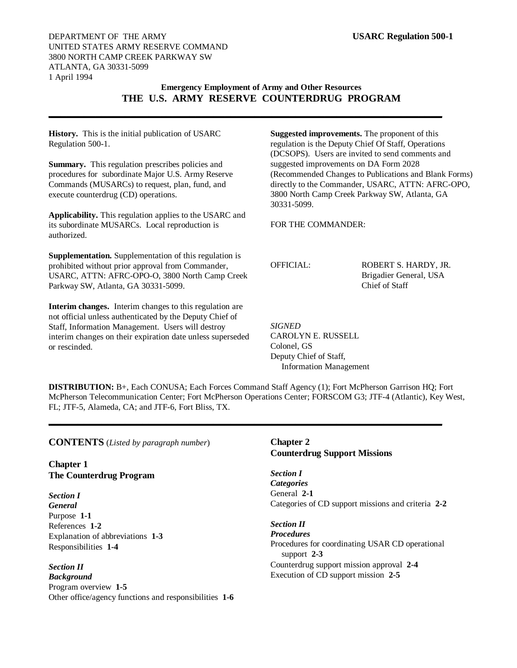#### **Emergency Employment of Army and Other Resources THE U.S. ARMY RESERVE COUNTERDRUG PROGRAM**

**\_\_\_\_\_\_\_\_\_\_\_\_\_\_\_\_\_\_\_\_\_\_\_\_\_\_\_\_\_\_\_\_\_\_\_\_\_\_\_\_\_\_\_\_\_\_\_\_\_\_\_\_\_\_\_\_\_\_\_\_\_\_\_\_\_\_\_**

**History.** This is the initial publication of USARC Regulation 500-1.

**Summary.** This regulation prescribes policies and procedures for subordinate Major U.S. Army Reserve Commands (MUSARCs) to request, plan, fund, and execute counterdrug (CD) operations.

**Applicability.** This regulation applies to the USARC and its subordinate MUSARCs. Local reproduction is authorized.

**Supplementation.** Supplementation of this regulation is prohibited without prior approval from Commander, USARC, ATTN: AFRC-OPO-O, 3800 North Camp Creek Parkway SW, Atlanta, GA 30331-5099.

**Interim changes.** Interim changes to this regulation are not official unless authenticated by the Deputy Chief of Staff, Information Management. Users will destroy interim changes on their expiration date unless superseded or rescinded.

**Suggested improvements.** The proponent of this regulation is the Deputy Chief Of Staff, Operations (DCSOPS). Users are invited to send comments and suggested improvements on DA Form 2028 (Recommended Changes to Publications and Blank Forms) directly to the Commander, USARC, ATTN: AFRC-OPO, 3800 North Camp Creek Parkway SW, Atlanta, GA 30331-5099.

FOR THE COMMANDER:

OFFICIAL: ROBERT S. HARDY, JR. Brigadier General, USA Chief of Staff

*SIGNED* CAROLYN E. RUSSELL Colonel, GS Deputy Chief of Staff, Information Management

**DISTRIBUTION:** B+, Each CONUSA; Each Forces Command Staff Agency (1); Fort McPherson Garrison HQ; Fort McPherson Telecommunication Center; Fort McPherson Operations Center; FORSCOM G3; JTF-4 (Atlantic), Key West, FL; JTF-5, Alameda, CA; and JTF-6, Fort Bliss, TX.

**\_\_\_\_\_\_\_\_\_\_\_\_\_\_\_\_\_\_\_\_\_\_\_\_\_\_\_\_\_\_\_\_\_\_\_\_\_\_\_\_\_\_\_\_\_\_\_\_\_\_\_\_\_\_\_\_\_\_\_\_\_\_\_\_\_\_\_**

**CONTENTS** (*Listed by paragraph number*)

**Chapter 1 The Counterdrug Program**

*Section I General* Purpose **1-1** References **1-2** Explanation of abbreviations **1-3** Responsibilities **1-4**

*Section II Background* Program overview **1-5** Other office/agency functions and responsibilities **1-6**

#### **Chapter 2 Counterdrug Support Missions**

*Section I Categories* General **2-1** Categories of CD support missions and criteria **2-2**

*Section II Procedures* Procedures for coordinating USAR CD operational support **2-3** Counterdrug support mission approval **2-4** Execution of CD support mission **2-5**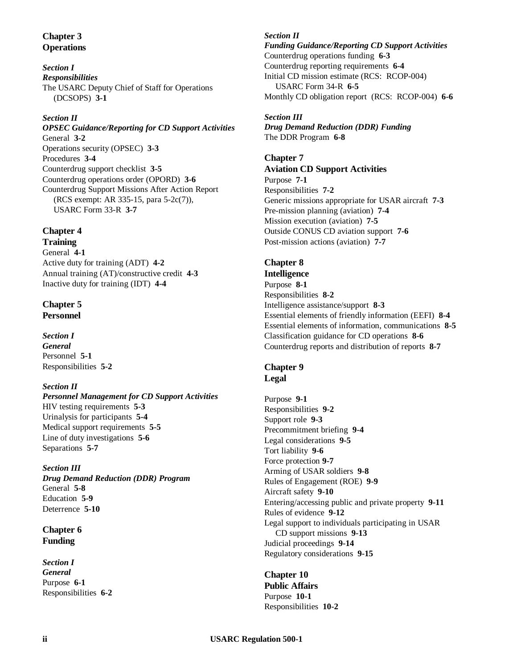#### **Chapter 3 Operations**

*Section I Responsibilities* The USARC Deputy Chief of Staff for Operations (DCSOPS) **3-1**

#### *Section II*

*OPSEC Guidance/Reporting for CD Support Activities* General **3-2** Operations security (OPSEC) **3-3** Procedures **3-4** Counterdrug support checklist **3-5** Counterdrug operations order (OPORD) **3-6** Counterdrug Support Missions After Action Report (RCS exempt: AR 335-15, para 5-2c(7)), USARC Form 33-R **3-7**

#### **Chapter 4**

**Training** General **4-1** Active duty for training (ADT) **4-2** Annual training (AT)/constructive credit **4-3** Inactive duty for training (IDT) **4-4**

#### **Chapter 5 Personnel**

*Section I General* Personnel **5-1** Responsibilities **5-2**

#### *Section II*

*Personnel Management for CD Support Activities* HIV testing requirements **5-3** Urinalysis for participants **5-4** Medical support requirements **5-5** Line of duty investigations **5-6** Separations **5-7**

#### *Section III*

*Drug Demand Reduction (DDR) Program* General **5-8** Education **5-9** Deterrence **5-10**

#### **Chapter 6 Funding**

*Section I General* Purpose **6-1** Responsibilities **6-2**

#### *Section II Funding Guidance/Reporting CD Support Activities* Counterdrug operations funding **6-3** Counterdrug reporting requirements **6-4** Initial CD mission estimate (RCS: RCOP-004) USARC Form 34-R **6-5** Monthly CD obligation report (RCS: RCOP-004) **6-6**

#### *Section III*

*Drug Demand Reduction (DDR) Funding* The DDR Program **6-8**

#### **Chapter 7**

**Aviation CD Support Activities** Purpose **7-1**

Responsibilities **7-2** Generic missions appropriate for USAR aircraft **7-3** Pre-mission planning (aviation) **7-4** Mission execution (aviation) **7-5** Outside CONUS CD aviation support **7-6** Post-mission actions (aviation) **7-7**

#### **Chapter 8**

**Intelligence** Purpose **8-1** Responsibilities **8-2** Intelligence assistance/support **8-3** Essential elements of friendly information (EEFI) **8-4** Essential elements of information, communications **8-5** Classification guidance for CD operations **8-6** Counterdrug reports and distribution of reports **8-7**

## **Chapter 9**

**Legal**

Purpose **9-1** Responsibilities **9-2** Support role **9-3** Precommitment briefing **9-4** Legal considerations **9-5** Tort liability **9-6** Force protection **9-7** Arming of USAR soldiers **9-8** Rules of Engagement (ROE) **9-9** Aircraft safety **9-10** Entering/accessing public and private property **9-11** Rules of evidence **9-12** Legal support to individuals participating in USAR CD support missions **9-13** Judicial proceedings **9-14** Regulatory considerations **9-15**

#### **Chapter 10 Public Affairs** Purpose **10-1** Responsibilities **10-2**

#### **ii USARC Regulation 500-1**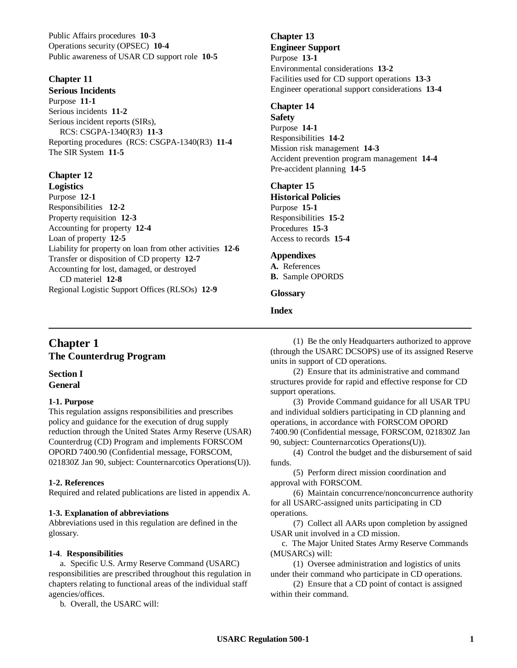Public Affairs procedures **10-3** Operations security (OPSEC) **10-4** Public awareness of USAR CD support role **10-5**

#### **Chapter 11**

**Serious Incidents** Purpose **11-1** Serious incidents **11-2** Serious incident reports (SIRs), RCS: CSGPA-1340(R3) **11-3** Reporting procedures (RCS: CSGPA-1340(R3) **11-4** The SIR System **11-5**

## **Chapter 12**

**Logistics** Purpose **12-1** Responsibilities **12-2** Property requisition **12-3** Accounting for property **12-4** Loan of property **12-5** Liability for property on loan from other activities **12-6** Transfer or disposition of CD property **12-7** Accounting for lost, damaged, or destroyed CD materiel **12-8** Regional Logistic Support Offices (RLSOs) **12-9**

#### **Chapter 13 Engineer Support** Purpose **13-1** Environmental considerations **13-2** Facilities used for CD support operations **13-3** Engineer operational support considerations **13-4**

#### **Chapter 14**

**Safety** Purpose **14-1** Responsibilities **14-2** Mission risk management **14-3** Accident prevention program management **14-4** Pre-accident planning **14-5**

#### **Chapter 15**

**Historical Policies** Purpose **15-1** Responsibilities **15-2** Procedures **15-3** Access to records **15-4**

#### **Appendixes**

**A.** References **B.** Sample OPORDS

#### **Glossary**

#### **Index**

 $\_$  , and the contribution of the contribution of  $\mathcal{L}$  , and  $\mathcal{L}$  , and  $\mathcal{L}$  , and  $\mathcal{L}$  , and  $\mathcal{L}$ 

## **Chapter 1 The Counterdrug Program**

#### **Section I General**

#### **1-1. Purpose**

This regulation assigns responsibilities and prescribes policy and guidance for the execution of drug supply reduction through the United States Army Reserve (USAR) Counterdrug (CD) Program and implements FORSCOM OPORD 7400.90 (Confidential message, FORSCOM, 021830Z Jan 90, subject: Counternarcotics Operations(U)).

#### **1-2. References**

Required and related publications are listed in appendix A.

#### **1-3. Explanation of abbreviations**

Abbreviations used in this regulation are defined in the glossary.

#### **1-4**. **Responsibilities**

a. Specific U.S. Army Reserve Command (USARC) responsibilities are prescribed throughout this regulation in chapters relating to functional areas of the individual staff agencies/offices.

b. Overall, the USARC will:

(1) Be the only Headquarters authorized to approve (through the USARC DCSOPS) use of its assigned Reserve units in support of CD operations.

(2) Ensure that its administrative and command structures provide for rapid and effective response for CD support operations.

(3) Provide Command guidance for all USAR TPU and individual soldiers participating in CD planning and operations, in accordance with FORSCOM OPORD 7400.90 (Confidential message, FORSCOM, 021830Z Jan 90, subject: Counternarcotics Operations(U)).

(4) Control the budget and the disbursement of said funds.

(5) Perform direct mission coordination and approval with FORSCOM.

(6) Maintain concurrence/nonconcurrence authority for all USARC-assigned units participating in CD operations.

(7) Collect all AARs upon completion by assigned USAR unit involved in a CD mission.

c. The Major United States Army Reserve Commands (MUSARCs) will:

(1) Oversee administration and logistics of units under their command who participate in CD operations.

(2) Ensure that a CD point of contact is assigned within their command.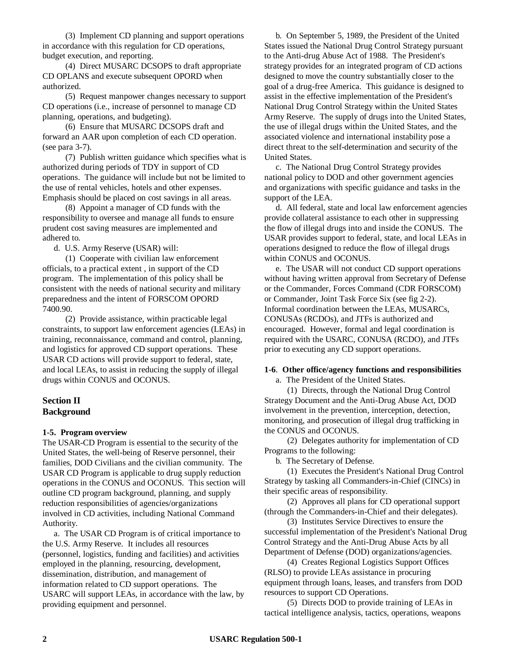(3) Implement CD planning and support operations in accordance with this regulation for CD operations, budget execution, and reporting.

(4) Direct MUSARC DCSOPS to draft appropriate CD OPLANS and execute subsequent OPORD when authorized.

(5) Request manpower changes necessary to support CD operations (i.e., increase of personnel to manage CD planning, operations, and budgeting).

(6) Ensure that MUSARC DCSOPS draft and forward an AAR upon completion of each CD operation. (see para 3-7).

(7) Publish written guidance which specifies what is authorized during periods of TDY in support of CD operations. The guidance will include but not be limited to the use of rental vehicles, hotels and other expenses. Emphasis should be placed on cost savings in all areas.

(8) Appoint a manager of CD funds with the responsibility to oversee and manage all funds to ensure prudent cost saving measures are implemented and adhered to.

d. U.S. Army Reserve (USAR) will:

(1) Cooperate with civilian law enforcement officials, to a practical extent , in support of the CD program. The implementation of this policy shall be consistent with the needs of national security and military preparedness and the intent of FORSCOM OPORD 7400.90.

(2) Provide assistance, within practicable legal constraints, to support law enforcement agencies (LEAs) in training, reconnaissance, command and control, planning, and logistics for approved CD support operations. These USAR CD actions will provide support to federal, state, and local LEAs, to assist in reducing the supply of illegal drugs within CONUS and OCONUS.

#### **Section II Background**

#### **1-5. Program overview**

The USAR-CD Program is essential to the security of the United States, the well-being of Reserve personnel, their families, DOD Civilians and the civilian community. The USAR CD Program is applicable to drug supply reduction operations in the CONUS and OCONUS. This section will outline CD program background, planning, and supply reduction responsibilities of agencies/organizations involved in CD activities, including National Command Authority.

a. The USAR CD Program is of critical importance to the U.S. Army Reserve. It includes all resources (personnel, logistics, funding and facilities) and activities employed in the planning, resourcing, development, dissemination, distribution, and management of information related to CD support operations. The USARC will support LEAs, in accordance with the law, by providing equipment and personnel.

b. On September 5, 1989, the President of the United States issued the National Drug Control Strategy pursuant to the Anti-drug Abuse Act of 1988. The President's strategy provides for an integrated program of CD actions designed to move the country substantially closer to the goal of a drug-free America. This guidance is designed to assist in the effective implementation of the President's National Drug Control Strategy within the United States Army Reserve. The supply of drugs into the United States, the use of illegal drugs within the United States, and the associated violence and international instability pose a direct threat to the self-determination and security of the United States.

c. The National Drug Control Strategy provides national policy to DOD and other government agencies and organizations with specific guidance and tasks in the support of the LEA.

d. All federal, state and local law enforcement agencies provide collateral assistance to each other in suppressing the flow of illegal drugs into and inside the CONUS. The USAR provides support to federal, state, and local LEAs in operations designed to reduce the flow of illegal drugs within CONUS and OCONUS.

e. The USAR will not conduct CD support operations without having written approval from Secretary of Defense or the Commander, Forces Command (CDR FORSCOM) or Commander, Joint Task Force Six (see fig 2-2). Informal coordination between the LEAs, MUSARCs, CONUSAs (RCDOs), and JTFs is authorized and encouraged. However, formal and legal coordination is required with the USARC, CONUSA (RCDO), and JTFs prior to executing any CD support operations.

#### **1-6**. **Other office/agency functions and responsibilities**

a. The President of the United States.

(1) Directs, through the National Drug Control Strategy Document and the Anti-Drug Abuse Act, DOD involvement in the prevention, interception, detection, monitoring, and prosecution of illegal drug trafficking in the CONUS and OCONUS.

(2) Delegates authority for implementation of CD Programs to the following:

b. The Secretary of Defense.

(1) Executes the President's National Drug Control Strategy by tasking all Commanders-in-Chief (CINCs) in their specific areas of responsibility.

(2) Approves all plans for CD operational support (through the Commanders-in-Chief and their delegates).

(3) Institutes Service Directives to ensure the successful implementation of the President's National Drug Control Strategy and the Anti-Drug Abuse Acts by all Department of Defense (DOD) organizations/agencies.

(4) Creates Regional Logistics Support Offices (RLSO) to provide LEAs assistance in procuring equipment through loans, leases, and transfers from DOD resources to support CD Operations.

(5) Directs DOD to provide training of LEAs in tactical intelligence analysis, tactics, operations, weapons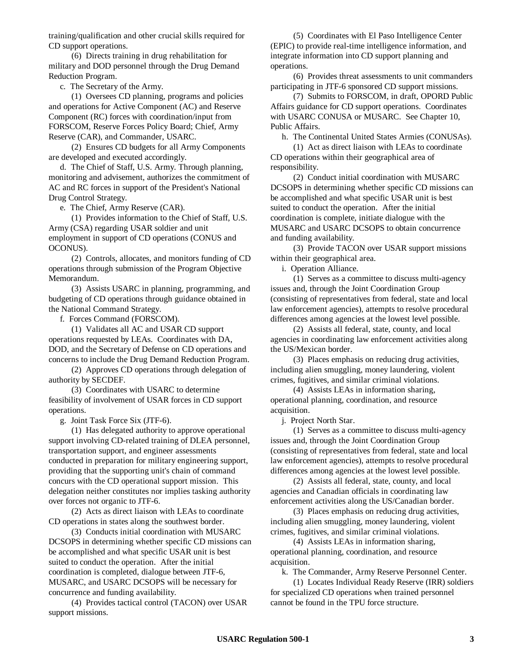training/qualification and other crucial skills required for CD support operations.

(6) Directs training in drug rehabilitation for military and DOD personnel through the Drug Demand Reduction Program.

c. The Secretary of the Army.

(1) Oversees CD planning, programs and policies and operations for Active Component (AC) and Reserve Component (RC) forces with coordination/input from FORSCOM, Reserve Forces Policy Board; Chief, Army Reserve (CAR), and Commander, USARC.

(2) Ensures CD budgets for all Army Components are developed and executed accordingly.

d. The Chief of Staff, U.S. Army. Through planning, monitoring and advisement, authorizes the commitment of AC and RC forces in support of the President's National Drug Control Strategy.

e. The Chief, Army Reserve (CAR).

(1) Provides information to the Chief of Staff, U.S. Army (CSA) regarding USAR soldier and unit employment in support of CD operations (CONUS and OCONUS).

(2) Controls, allocates, and monitors funding of CD operations through submission of the Program Objective Memorandum.

(3) Assists USARC in planning, programming, and budgeting of CD operations through guidance obtained in the National Command Strategy.

f. Forces Command (FORSCOM).

(1) Validates all AC and USAR CD support operations requested by LEAs. Coordinates with DA, DOD, and the Secretary of Defense on CD operations and concerns to include the Drug Demand Reduction Program.

(2) Approves CD operations through delegation of authority by SECDEF.

(3) Coordinates with USARC to determine feasibility of involvement of USAR forces in CD support operations.

g. Joint Task Force Six (JTF-6).

(1) Has delegated authority to approve operational support involving CD-related training of DLEA personnel, transportation support, and engineer assessments conducted in preparation for military engineering support, providing that the supporting unit's chain of command concurs with the CD operational support mission. This delegation neither constitutes nor implies tasking authority over forces not organic to JTF-6.

(2) Acts as direct liaison with LEAs to coordinate CD operations in states along the southwest border.

(3) Conducts initial coordination with MUSARC DCSOPS in determining whether specific CD missions can be accomplished and what specific USAR unit is best suited to conduct the operation. After the initial coordination is completed, dialogue between JTF-6, MUSARC, and USARC DCSOPS will be necessary for concurrence and funding availability.

(4) Provides tactical control (TACON) over USAR support missions.

(5) Coordinates with El Paso Intelligence Center (EPIC) to provide real-time intelligence information, and integrate information into CD support planning and operations.

(6) Provides threat assessments to unit commanders participating in JTF-6 sponsored CD support missions.

(7) Submits to FORSCOM, in draft, OPORD Public Affairs guidance for CD support operations. Coordinates with USARC CONUSA or MUSARC. See Chapter 10, Public Affairs.

h. The Continental United States Armies (CONUSAs).

(1) Act as direct liaison with LEAs to coordinate CD operations within their geographical area of responsibility.

(2) Conduct initial coordination with MUSARC DCSOPS in determining whether specific CD missions can be accomplished and what specific USAR unit is best suited to conduct the operation. After the initial coordination is complete, initiate dialogue with the MUSARC and USARC DCSOPS to obtain concurrence and funding availability.

(3) Provide TACON over USAR support missions within their geographical area.

i. Operation Alliance.

(1) Serves as a committee to discuss multi-agency issues and, through the Joint Coordination Group (consisting of representatives from federal, state and local law enforcement agencies), attempts to resolve procedural differences among agencies at the lowest level possible.

(2) Assists all federal, state, county, and local agencies in coordinating law enforcement activities along the US/Mexican border.

(3) Places emphasis on reducing drug activities, including alien smuggling, money laundering, violent crimes, fugitives, and similar criminal violations.

(4) Assists LEAs in information sharing, operational planning, coordination, and resource acquisition.

j. Project North Star.

(1) Serves as a committee to discuss multi-agency issues and, through the Joint Coordination Group (consisting of representatives from federal, state and local law enforcement agencies), attempts to resolve procedural differences among agencies at the lowest level possible.

(2) Assists all federal, state, county, and local agencies and Canadian officials in coordinating law enforcement activities along the US/Canadian border.

(3) Places emphasis on reducing drug activities, including alien smuggling, money laundering, violent crimes, fugitives, and similar criminal violations.

(4) Assists LEAs in information sharing, operational planning, coordination, and resource acquisition.

k. The Commander, Army Reserve Personnel Center.

(1) Locates Individual Ready Reserve (IRR) soldiers for specialized CD operations when trained personnel cannot be found in the TPU force structure.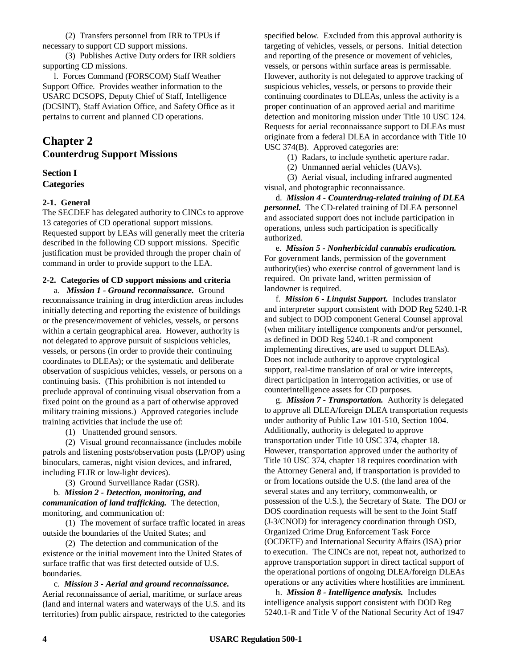(2) Transfers personnel from IRR to TPUs if necessary to support CD support missions.

(3) Publishes Active Duty orders for IRR soldiers supporting CD missions.

l. Forces Command (FORSCOM) Staff Weather Support Office. Provides weather information to the USARC DCSOPS, Deputy Chief of Staff, Intelligence (DCSINT), Staff Aviation Office, and Safety Office as it pertains to current and planned CD operations.

## **Chapter 2 Counterdrug Support Missions**

#### **Section I Categories**

#### **2-1. General**

The SECDEF has delegated authority to CINCs to approve 13 categories of CD operational support missions. Requested support by LEAs will generally meet the criteria described in the following CD support missions. Specific justification must be provided through the proper chain of command in order to provide support to the LEA.

#### **2-2. Categories of CD support missions and criteria** a. *Mission 1 - Ground reconnaissance.* Ground

reconnaissance training in drug interdiction areas includes initially detecting and reporting the existence of buildings or the presence/movement of vehicles, vessels, or persons within a certain geographical area. However, authority is not delegated to approve pursuit of suspicious vehicles, vessels, or persons (in order to provide their continuing coordinates to DLEAs); or the systematic and deliberate observation of suspicious vehicles, vessels, or persons on a continuing basis. (This prohibition is not intended to preclude approval of continuing visual observation from a fixed point on the ground as a part of otherwise approved military training missions.) Approved categories include training activities that include the use of:

(1) Unattended ground sensors.

(2) Visual ground reconnaissance (includes mobile patrols and listening posts/observation posts (LP/OP) using binoculars, cameras, night vision devices, and infrared, including FLIR or low-light devices).

(3) Ground Surveillance Radar (GSR).

b. *Mission 2 - Detection, monitoring, and communication of land trafficking.* The detection, monitoring, and communication of:

(1) The movement of surface traffic located in areas outside the boundaries of the United States; and

(2) The detection and communication of the existence or the initial movement into the United States of surface traffic that was first detected outside of U.S. boundaries.

c. *Mission 3 - Aerial and ground reconnaissance.* Aerial reconnaissance of aerial, maritime, or surface areas (land and internal waters and waterways of the U.S. and its territories) from public airspace, restricted to the categories specified below. Excluded from this approval authority is targeting of vehicles, vessels, or persons. Initial detection and reporting of the presence or movement of vehicles, vessels, or persons within surface areas is permissable. However, authority is not delegated to approve tracking of suspicious vehicles, vessels, or persons to provide their continuing coordinates to DLEAs, unless the activity is a proper continuation of an approved aerial and maritime detection and monitoring mission under Title 10 USC 124. Requests for aerial reconnaissance support to DLEAs must originate from a federal DLEA in accordance with Title 10 USC 374(B). Approved categories are:

(1) Radars, to include synthetic aperture radar.

(2) Unmanned aerial vehicles (UAVs).

(3) Aerial visual, including infrared augmented visual, and photographic reconnaissance.

d. *Mission 4 - Counterdrug-related training of DLEA personnel.* The CD-related training of DLEA personnel and associated support does not include participation in operations, unless such participation is specifically authorized.

e. *Mission 5 - Nonherbicidal cannabis eradication.* For government lands, permission of the government authority(ies) who exercise control of government land is required. On private land, written permission of landowner is required.

f. *Mission 6 - Linguist Support.* Includes translator and interpreter support consistent with DOD Reg 5240.1-R and subject to DOD component General Counsel approval (when military intelligence components and/or personnel, as defined in DOD Reg 5240.1-R and component implementing directives, are used to support DLEAs). Does not include authority to approve cryptological support, real-time translation of oral or wire intercepts, direct participation in interrogation activities, or use of counterintelligence assets for CD purposes.

g. *Mission 7 - Transportation.* Authority is delegated to approve all DLEA/foreign DLEA transportation requests under authority of Public Law 101-510, Section 1004. Additionally, authority is delegated to approve transportation under Title 10 USC 374, chapter 18. However, transportation approved under the authority of Title 10 USC 374, chapter 18 requires coordination with the Attorney General and, if transportation is provided to or from locations outside the U.S. (the land area of the several states and any territory, commonwealth, or possession of the U.S.), the Secretary of State. The DOJ or DOS coordination requests will be sent to the Joint Staff (J-3/CNOD) for interagency coordination through OSD, Organized Crime Drug Enforcement Task Force (OCDETF) and International Security Affairs (ISA) prior to execution. The CINCs are not, repeat not, authorized to approve transportation support in direct tactical support of the operational portions of ongoing DLEA/foreign DLEAs operations or any activities where hostilities are imminent.

h. *Mission 8 - Intelligence analysis.* Includes intelligence analysis support consistent with DOD Reg 5240.1-R and Title V of the National Security Act of 1947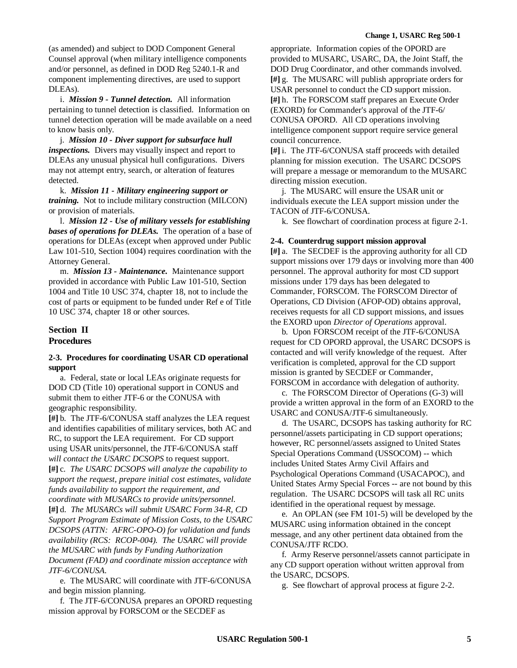(as amended) and subject to DOD Component General Counsel approval (when military intelligence components and/or personnel, as defined in DOD Reg 5240.1-R and component implementing directives, are used to support DLEAs).

i. *Mission 9 - Tunnel detection.* All information pertaining to tunnel detection is classified. Information on tunnel detection operation will be made available on a need to know basis only.

j. *Mission 10 - Diver support for subsurface hull inspections.* Divers may visually inspect and report to DLEAs any unusual physical hull configurations. Divers may not attempt entry, search, or alteration of features detected.

k. *Mission 11 - Military engineering support or training.* Not to include military construction (MILCON) or provision of materials.

l. *Mission 12 - Use of military vessels for establishing bases of operations for DLEAs.* The operation of a base of operations for DLEAs (except when approved under Public Law 101-510, Section 1004) requires coordination with the Attorney General.

m. *Mission 13 - Maintenance.* Maintenance support provided in accordance with Public Law 101-510, Section 1004 and Title 10 USC 374, chapter 18, not to include the cost of parts or equipment to be funded under Ref e of Title 10 USC 374, chapter 18 or other sources.

## **Section II**

#### **Procedures**

#### **2-3. Procedures for coordinating USAR CD operational support**

a. Federal, state or local LEAs originate requests for DOD CD (Title 10) operational support in CONUS and submit them to either JTF-6 or the CONUSA with geographic responsibility.

**[#]** b. The JTF-6/CONUSA staff analyzes the LEA request and identifies capabilities of military services, both AC and RC, to support the LEA requirement. For CD support using USAR units/personnel, the JTF-6/CONUSA staff *will contact the USARC DCSOPS* to request support. **[#]** c. *The USARC DCSOPS will analyze the capability to support the request, prepare initial cost estimates, validate funds availability to support the requirement, and coordinate with MUSARCs to provide units/personnel.* **[#]** d. *The MUSARCs will submit USARC Form 34-R, CD Support Program Estimate of Mission Costs, to the USARC DCSOPS (ATTN: AFRC-OPO-O) for validation and funds availability (RCS: RCOP-004). The USARC will provide the MUSARC with funds by Funding Authorization Document (FAD) and coordinate mission acceptance with JTF-6/CONUSA.*

e. The MUSARC will coordinate with JTF-6/CONUSA and begin mission planning.

f. The JTF-6/CONUSA prepares an OPORD requesting mission approval by FORSCOM or the SECDEF as

appropriate. Information copies of the OPORD are provided to MUSARC, USARC, DA, the Joint Staff, the DOD Drug Coordinator, and other commands involved. **[#]** g. The MUSARC will publish appropriate orders for USAR personnel to conduct the CD support mission. **[#]** h. The FORSCOM staff prepares an Execute Order (EXORD) for Commander's approval of the JTF-6/ CONUSA OPORD. All CD operations involving intelligence component support require service general council concurrence.

**[#]** i. The JTF-6/CONUSA staff proceeds with detailed planning for mission execution. The USARC DCSOPS will prepare a message or memorandum to the MUSARC directing mission execution.

j. The MUSARC will ensure the USAR unit or individuals execute the LEA support mission under the TACON of JTF-6/CONUSA.

k. See flowchart of coordination process at figure 2-1.

#### **2-4. Counterdrug support mission approval**

**[#]** a. The SECDEF is the approving authority for all CD support missions over 179 days or involving more than 400 personnel. The approval authority for most CD support missions under 179 days has been delegated to Commander, FORSCOM. The FORSCOM Director of Operations, CD Division (AFOP-OD) obtains approval, receives requests for all CD support missions, and issues the EXORD upon *Director of Operations* approval.

b. Upon FORSCOM receipt of the JTF-6/CONUSA request for CD OPORD approval, the USARC DCSOPS is contacted and will verify knowledge of the request. After verification is completed, approval for the CD support mission is granted by SECDEF or Commander, FORSCOM in accordance with delegation of authority.

c. The FORSCOM Director of Operations (G-3) will provide a written approval in the form of an EXORD to the USARC and CONUSA/JTF-6 simultaneously.

d. The USARC, DCSOPS has tasking authority for RC personnel/assets participating in CD support operations; however, RC personnel/assets assigned to United States Special Operations Command (USSOCOM) -- which includes United States Army Civil Affairs and Psychological Operations Command (USACAPOC), and United States Army Special Forces -- are not bound by this regulation. The USARC DCSOPS will task all RC units identified in the operational request by message.

e. An OPLAN (see FM 101-5) will be developed by the MUSARC using information obtained in the concept message, and any other pertinent data obtained from the CONUSA/JTF RCDO.

f. Army Reserve personnel/assets cannot participate in any CD support operation without written approval from the USARC, DCSOPS.

g. See flowchart of approval process at figure 2-2.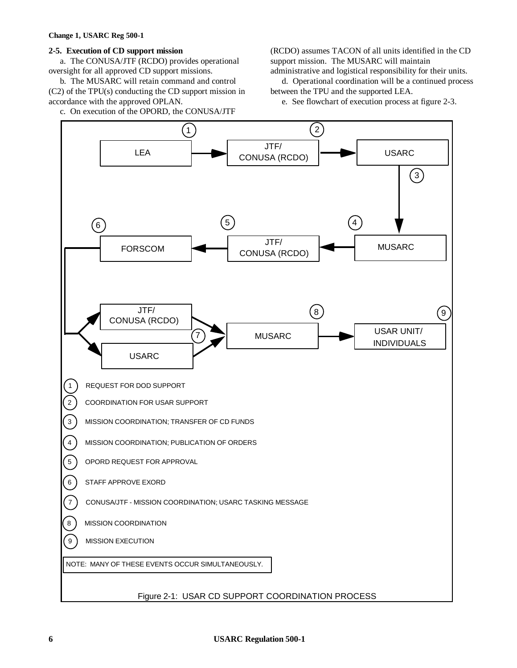#### **2-5. Execution of CD support mission**

a. The CONUSA/JTF (RCDO) provides operational oversight for all approved CD support missions.

b. The MUSARC will retain command and control (C2) of the TPU(s) conducting the CD support mission in accordance with the approved OPLAN.

c. On execution of the OPORD, the CONUSA/JTF

(RCDO) assumes TACON of all units identified in the CD support mission. The MUSARC will maintain

administrative and logistical responsibility for their units. d. Operational coordination will be a continued process between the TPU and the supported LEA.

e. See flowchart of execution process at figure 2-3.

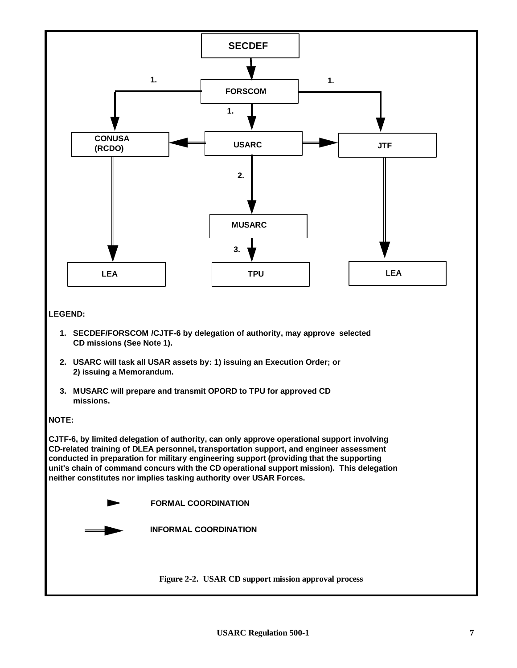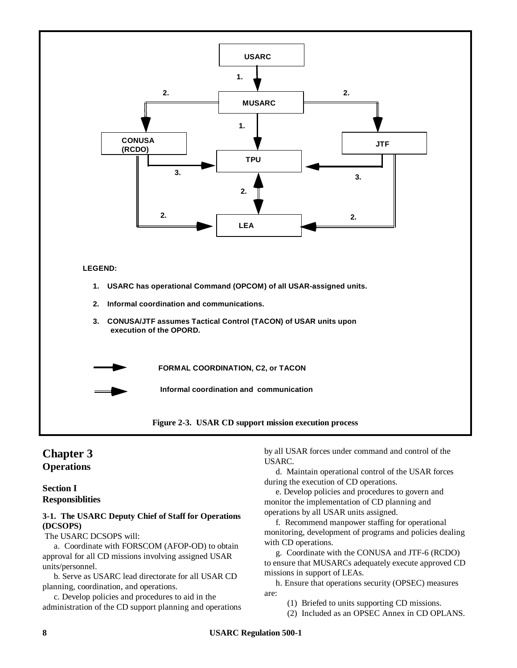

## **Chapter 3 Operations**

#### **Section I Responsiblities**

#### **3-1. The USARC Deputy Chief of Staff for Operations (DCSOPS)**

The USARC DCSOPS will:

a. Coordinate with FORSCOM (AFOP-OD) to obtain approval for all CD missions involving assigned USAR units/personnel.

b. Serve as USARC lead directorate for all USAR CD planning, coordination, and operations.

c. Develop policies and procedures to aid in the administration of the CD support planning and operations by all USAR forces under command and control of the USARC.

d. Maintain operational control of the USAR forces during the execution of CD operations.

e. Develop policies and procedures to govern and monitor the implementation of CD planning and operations by all USAR units assigned.

f. Recommend manpower staffing for operational monitoring, development of programs and policies dealing with CD operations.

g. Coordinate with the CONUSA and JTF-6 (RCDO) to ensure that MUSARCs adequately execute approved CD missions in support of LEAs.

h. Ensure that operations security (OPSEC) measures are:

(1) Briefed to units supporting CD missions.

(2) Included as an OPSEC Annex in CD OPLANS.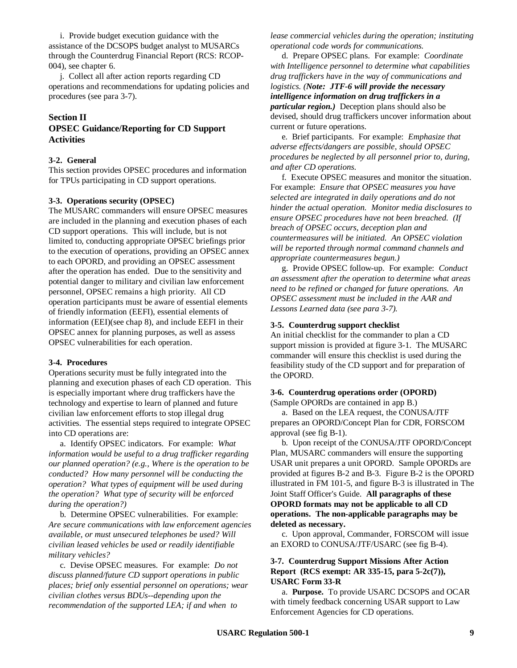i. Provide budget execution guidance with the assistance of the DCSOPS budget analyst to MUSARCs through the Counterdrug Financial Report (RCS: RCOP-004), see chapter 6.

j. Collect all after action reports regarding CD operations and recommendations for updating policies and procedures (see para 3-7).

#### **Section II**

#### **OPSEC Guidance/Reporting for CD Support Activities**

#### **3-2. General**

This section provides OPSEC procedures and information for TPUs participating in CD support operations.

#### **3-3. Operations security (OPSEC)**

The MUSARC commanders will ensure OPSEC measures are included in the planning and execution phases of each CD support operations. This will include, but is not limited to, conducting appropriate OPSEC briefings prior to the execution of operations, providing an OPSEC annex to each OPORD, and providing an OPSEC assessment after the operation has ended. Due to the sensitivity and potential danger to military and civilian law enforcement personnel, OPSEC remains a high priority. All CD operation participants must be aware of essential elements of friendly information (EEFI), essential elements of information (EEI)(see chap 8), and include EEFI in their OPSEC annex for planning purposes, as well as assess OPSEC vulnerabilities for each operation.

#### **3-4. Procedures**

Operations security must be fully integrated into the planning and execution phases of each CD operation. This is especially important where drug traffickers have the technology and expertise to learn of planned and future civilian law enforcement efforts to stop illegal drug activities. The essential steps required to integrate OPSEC into CD operations are:

a. Identify OPSEC indicators. For example: *What information would be useful to a drug trafficker regarding our planned operation? (e.g., Where is the operation to be conducted? How many personnel will be conducting the operation? What types of equipment will be used during the operation? What type of security will be enforced during the operation?)*

b. Determine OPSEC vulnerabilities. For example: *Are secure communications with law enforcement agencies available, or must unsecured telephones be used? Will civilian leased vehicles be used or readily identifiable military vehicles?*

c. Devise OPSEC measures. For example: *Do not discuss planned/future CD support operations in public places; brief only essential personnel on operations; wear civilian clothes versus BDUs--depending upon the recommendation of the supported LEA; if and when to*

*lease commercial vehicles during the operation; instituting operational code words for communications.*

d. Prepare OPSEC plans. For example: *Coordinate with Intelligence personnel to determine what capabilities drug traffickers have in the way of communications and logistics. (Note: JTF-6 will provide the necessary intelligence information on drug traffickers in a particular region.)* Deception plans should also be devised, should drug traffickers uncover information about current or future operations.

e. Brief participants. For example: *Emphasize that adverse effects/dangers are possible, should OPSEC procedures be neglected by all personnel prior to, during, and after CD operations.*

f. Execute OPSEC measures and monitor the situation. For example: *Ensure that OPSEC measures you have selected are integrated in daily operations and do not hinder the actual operation. Monitor media disclosures to ensure OPSEC procedures have not been breached. (If breach of OPSEC occurs, deception plan and countermeasures will be initiated. An OPSEC violation will be reported through normal command channels and appropriate countermeasures begun.)*

g. Provide OPSEC follow-up. For example: *Conduct an assessment after the operation to determine what areas need to be refined or changed for future operations. An OPSEC assessment must be included in the AAR and Lessons Learned data (see para 3-7).*

#### **3-5. Counterdrug support checklist**

An initial checklist for the commander to plan a CD support mission is provided at figure 3-1. The MUSARC commander will ensure this checklist is used during the feasibility study of the CD support and for preparation of the OPORD.

#### **3-6. Counterdrug operations order (OPORD)**

(Sample OPORDs are contained in app B.)

a. Based on the LEA request, the CONUSA/JTF prepares an OPORD/Concept Plan for CDR, FORSCOM approval (see fig B-1).

b. Upon receipt of the CONUSA/JTF OPORD/Concept Plan, MUSARC commanders will ensure the supporting USAR unit prepares a unit OPORD. Sample OPORDs are provided at figures B-2 and B-3. Figure B-2 is the OPORD illustrated in FM 101-5, and figure B-3 is illustrated in The Joint Staff Officer's Guide. **All paragraphs of these OPORD formats may not be applicable to all CD operations. The non-applicable paragraphs may be deleted as necessary.**

c. Upon approval, Commander, FORSCOM will issue an EXORD to CONUSA/JTF/USARC (see fig B-4).

#### **3-7. Counterdrug Support Missions After Action Report (RCS exempt: AR 335-15, para 5-2c(7)), USARC Form 33-R**

a. **Purpose.** To provide USARC DCSOPS and OCAR with timely feedback concerning USAR support to Law Enforcement Agencies for CD operations.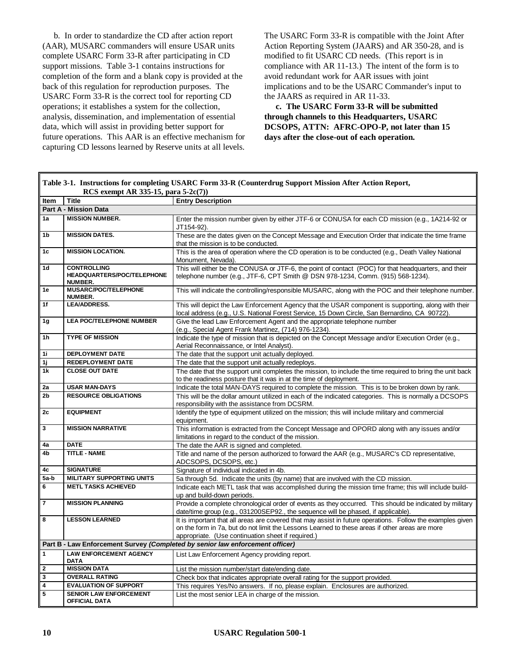b. In order to standardize the CD after action report (AAR), MUSARC commanders will ensure USAR units complete USARC Form 33-R after participating in CD support missions. Table 3-1 contains instructions for completion of the form and a blank copy is provided at the back of this regulation for reproduction purposes. The USARC Form 33-R is the correct tool for reporting CD operations; it establishes a system for the collection, analysis, dissemination, and implementation of essential data, which will assist in providing better support for future operations. This AAR is an effective mechanism for capturing CD lessons learned by Reserve units at all levels.

The USARC Form 33-R is compatible with the Joint After Action Reporting System (JAARS) and AR 350-28, and is modified to fit USARC CD needs. (This report is in compliance with AR 11-13.) The intent of the form is to avoid redundant work for AAR issues with joint implications and to be the USARC Commander's input to the JAARS as required in AR 11-33.

**c. The USARC Form 33-R will be submitted through channels to this Headquarters, USARC DCSOPS, ATTN: AFRC-OPO-P, not later than 15 days after the close-out of each operation.**

| Table 3-1. Instructions for completing USARC Form 33-R (Counterdrug Support Mission After Action Report,<br>RCS exempt AR 335-15, para $5-2c(7)$ ) |                                                                    |                                                                                                                                                                                                                                                                    |  |  |
|----------------------------------------------------------------------------------------------------------------------------------------------------|--------------------------------------------------------------------|--------------------------------------------------------------------------------------------------------------------------------------------------------------------------------------------------------------------------------------------------------------------|--|--|
| Item                                                                                                                                               | <b>Title</b>                                                       | <b>Entry Description</b>                                                                                                                                                                                                                                           |  |  |
|                                                                                                                                                    | <b>Part A - Mission Data</b>                                       |                                                                                                                                                                                                                                                                    |  |  |
| 1a                                                                                                                                                 | <b>MISSION NUMBER.</b>                                             |                                                                                                                                                                                                                                                                    |  |  |
|                                                                                                                                                    |                                                                    | Enter the mission number given by either JTF-6 or CONUSA for each CD mission (e.g., 1A214-92 or<br>JT154-92).                                                                                                                                                      |  |  |
| 1 <sub>b</sub>                                                                                                                                     | <b>MISSION DATES.</b>                                              | These are the dates given on the Concept Message and Execution Order that indicate the time frame<br>that the mission is to be conducted.                                                                                                                          |  |  |
| 1 <sub>c</sub>                                                                                                                                     | <b>MISSION LOCATION.</b>                                           | This is the area of operation where the CD operation is to be conducted (e.g., Death Valley National<br>Monument, Nevada).                                                                                                                                         |  |  |
| 1 <sub>d</sub>                                                                                                                                     | <b>CONTROLLING</b><br>HEADQUARTERS/POC/TELEPHONE<br><b>NUMBER.</b> | This will either be the CONUSA or JTF-6, the point of contact (POC) for that headquarters, and their<br>telephone number (e.g., JTF-6, CPT Smith @ DSN 978-1234, Comm. (915) 568-1234).                                                                            |  |  |
| 1e                                                                                                                                                 | MUSARC/POC/TELEPHONE<br>NUMBER.                                    | This will indicate the controlling/responsible MUSARC, along with the POC and their telephone number.                                                                                                                                                              |  |  |
| 1f                                                                                                                                                 | <b>LEA/ADDRESS.</b>                                                | This will depict the Law Enforcement Agency that the USAR component is supporting, along with their<br>local address (e.g., U.S. National Forest Service, 15 Down Circle, San Bernardino, CA 90722).                                                               |  |  |
| 1 <sub>g</sub>                                                                                                                                     | <b>LEA POC/TELEPHONE NUMBER</b>                                    | Give the lead Law Enforcement Agent and the appropriate telephone number<br>(e.g., Special Agent Frank Martinez, (714) 976-1234).                                                                                                                                  |  |  |
| 1 <sub>h</sub>                                                                                                                                     | <b>TYPE OF MISSION</b>                                             | Indicate the type of mission that is depicted on the Concept Message and/or Execution Order (e.g.,<br>Aerial Reconnaissance, or Intel Analyst).                                                                                                                    |  |  |
| 11                                                                                                                                                 | <b>DEPLOYMENT DATE</b>                                             | The date that the support unit actually deployed.                                                                                                                                                                                                                  |  |  |
| 1j                                                                                                                                                 | <b>REDEPLOYMENT DATE</b>                                           | The date that the support unit actually redeploys.                                                                                                                                                                                                                 |  |  |
| $\overline{1k}$                                                                                                                                    | <b>CLOSE OUT DATE</b>                                              | The date that the support unit completes the mission, to include the time required to bring the unit back<br>to the readiness posture that it was in at the time of deployment.                                                                                    |  |  |
| 2a                                                                                                                                                 | <b>USAR MAN-DAYS</b>                                               | Indicate the total MAN-DAYS required to complete the mission. This is to be broken down by rank.                                                                                                                                                                   |  |  |
| 2 <sub>b</sub>                                                                                                                                     | <b>RESOURCE OBLIGATIONS</b>                                        | This will be the dollar amount utilized in each of the indicated categories. This is normally a DCSOPS<br>responsibility with the assistance from DCSRM.                                                                                                           |  |  |
| 2c                                                                                                                                                 | <b>EQUIPMENT</b>                                                   | Identify the type of equipment utilized on the mission; this will include military and commercial<br>equipment.                                                                                                                                                    |  |  |
| $\mathbf{3}$                                                                                                                                       | <b>MISSION NARRATIVE</b>                                           | This information is extracted from the Concept Message and OPORD along with any issues and/or<br>limitations in regard to the conduct of the mission.                                                                                                              |  |  |
| 4a                                                                                                                                                 | <b>DATE</b>                                                        | The date the AAR is signed and completed.                                                                                                                                                                                                                          |  |  |
| 4b                                                                                                                                                 | <b>TITLE - NAME</b>                                                | Title and name of the person authorized to forward the AAR (e.g., MUSARC's CD representative,<br>ADCSOPS, DCSOPS, etc.)                                                                                                                                            |  |  |
| 4c                                                                                                                                                 | <b>SIGNATURE</b>                                                   | Signature of individual indicated in 4b.                                                                                                                                                                                                                           |  |  |
| 5a-b                                                                                                                                               | <b>MILITARY SUPPORTING UNITS</b>                                   | 5a through 5d. Indicate the units (by name) that are involved with the CD mission.                                                                                                                                                                                 |  |  |
| 6                                                                                                                                                  | <b>METL TASKS ACHIEVED</b>                                         | Indicate each METL task that was accomplished during the mission time frame; this will include build-<br>up and build-down periods.                                                                                                                                |  |  |
|                                                                                                                                                    | <b>MISSION PLANNING</b>                                            | Provide a complete chronological order of events as they occurred. This should be indicated by military<br>date/time group (e.g., 031200SEP92., the sequence will be phased, if applicable).                                                                       |  |  |
| 8                                                                                                                                                  | <b>LESSON LEARNED</b>                                              | It is important that all areas are covered that may assist in future operations. Follow the examples given<br>on the form in 7a, but do not limit the Lessons Learned to these areas if other areas are more<br>appropriate. (Use continuation sheet if required.) |  |  |
|                                                                                                                                                    |                                                                    | Part B - Law Enforcement Survey (Completed by senior law enforcement officer)                                                                                                                                                                                      |  |  |
| $\overline{1}$                                                                                                                                     | <b>LAW ENFORCEMENT AGENCY</b><br><b>DATA</b>                       | List Law Enforcement Agency providing report.                                                                                                                                                                                                                      |  |  |
| $\mathbf{2}$                                                                                                                                       | <b>MISSION DATA</b>                                                | List the mission number/start date/ending date.                                                                                                                                                                                                                    |  |  |
| 3                                                                                                                                                  | <b>OVERALL RATING</b>                                              | Check box that indicates appropriate overall rating for the support provided.                                                                                                                                                                                      |  |  |
| 4                                                                                                                                                  | <b>EVALUATION OF SUPPORT</b>                                       | This requires Yes/No answers. If no, please explain. Enclosures are authorized.                                                                                                                                                                                    |  |  |
| 5                                                                                                                                                  | <b>SENIOR LAW ENFORCEMENT</b><br><b>OFFICIAL DATA</b>              | List the most senior LEA in charge of the mission.                                                                                                                                                                                                                 |  |  |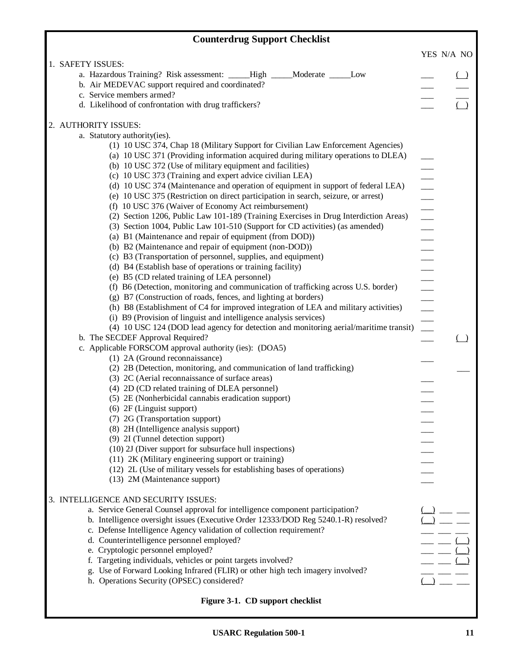| <b>Counterdrug Support Checklist</b>                                                                                                                                                                                                |                         |        |
|-------------------------------------------------------------------------------------------------------------------------------------------------------------------------------------------------------------------------------------|-------------------------|--------|
|                                                                                                                                                                                                                                     | YES N/A NO              |        |
| 1. SAFETY ISSUES:                                                                                                                                                                                                                   |                         |        |
| a. Hazardous Training? Risk assessment: ____High ____Moderate ____Low                                                                                                                                                               |                         | $\Box$ |
| b. Air MEDEVAC support required and coordinated?                                                                                                                                                                                    |                         |        |
| c. Service members armed?                                                                                                                                                                                                           |                         |        |
| d. Likelihood of confrontation with drug traffickers?                                                                                                                                                                               |                         |        |
| 2. AUTHORITY ISSUES:                                                                                                                                                                                                                |                         |        |
| a. Statutory authority(ies).                                                                                                                                                                                                        |                         |        |
| (1) 10 USC 374, Chap 18 (Military Support for Civilian Law Enforcement Agencies)                                                                                                                                                    |                         |        |
| (a) 10 USC 371 (Providing information acquired during military operations to DLEA)                                                                                                                                                  |                         |        |
| (b) 10 USC 372 (Use of military equipment and facilities)                                                                                                                                                                           |                         |        |
| (c) 10 USC 373 (Training and expert advice civilian LEA)                                                                                                                                                                            |                         |        |
| (d) 10 USC 374 (Maintenance and operation of equipment in support of federal LEA)                                                                                                                                                   |                         |        |
| (e) 10 USC 375 (Restriction on direct participation in search, seizure, or arrest)                                                                                                                                                  |                         |        |
| (f) 10 USC 376 (Waiver of Economy Act reimbursement)                                                                                                                                                                                |                         |        |
| (2) Section 1206, Public Law 101-189 (Training Exercises in Drug Interdiction Areas)                                                                                                                                                |                         |        |
| (3) Section 1004, Public Law 101-510 (Support for CD activities) (as amended)                                                                                                                                                       |                         |        |
| (a) B1 (Maintenance and repair of equipment (from DOD))<br>(b) B2 (Maintenance and repair of equipment (non-DOD))                                                                                                                   |                         |        |
| (c) B3 (Transportation of personnel, supplies, and equipment)                                                                                                                                                                       |                         |        |
|                                                                                                                                                                                                                                     | $\frac{1}{\sqrt{2\pi}}$ |        |
|                                                                                                                                                                                                                                     |                         |        |
|                                                                                                                                                                                                                                     |                         |        |
|                                                                                                                                                                                                                                     |                         |        |
|                                                                                                                                                                                                                                     |                         |        |
|                                                                                                                                                                                                                                     |                         |        |
| (d) B4 (Establish base of operations or training facility)<br>(e) B5 (CD related training of LEA personnel)<br>(f) B6 (Detection, monitoring and communication of trafficking across U.S. border)<br>(g) B7 (Construction of roads, |                         |        |
| b. The SECDEF Approval Required?                                                                                                                                                                                                    |                         |        |
| c. Applicable FORSCOM approval authority (ies): (DOA5)                                                                                                                                                                              |                         |        |
| (1) 2A (Ground reconnaissance)                                                                                                                                                                                                      |                         |        |
| (2) 2B (Detection, monitoring, and communication of land trafficking)<br>(3) 2C (Aerial reconnaissance of surface areas)                                                                                                            |                         |        |
| (4) 2D (CD related training of DLEA personnel)                                                                                                                                                                                      |                         |        |
| (5) 2E (Nonherbicidal cannabis eradication support)                                                                                                                                                                                 |                         |        |
| (6) 2F (Linguist support)                                                                                                                                                                                                           |                         |        |
| (7) 2G (Transportation support)                                                                                                                                                                                                     |                         |        |
| (8) 2H (Intelligence analysis support)                                                                                                                                                                                              |                         |        |
| (9) 2I (Tunnel detection support)                                                                                                                                                                                                   |                         |        |
| (10) 2J (Diver support for subsurface hull inspections)                                                                                                                                                                             |                         |        |
| (11) 2K (Military engineering support or training)                                                                                                                                                                                  |                         |        |
| (12) 2L (Use of military vessels for establishing bases of operations)                                                                                                                                                              |                         |        |
| (13) 2M (Maintenance support)                                                                                                                                                                                                       |                         |        |
| 3. INTELLIGENCE AND SECURITY ISSUES:                                                                                                                                                                                                |                         |        |
| a. Service General Counsel approval for intelligence component participation?                                                                                                                                                       |                         |        |
| b. Intelligence oversight issues (Executive Order 12333/DOD Reg 5240.1-R) resolved?                                                                                                                                                 |                         |        |
| c. Defense Intelligence Agency validation of collection requirement?                                                                                                                                                                |                         |        |
| d. Counterintelligence personnel employed?                                                                                                                                                                                          |                         |        |
| e. Cryptologic personnel employed?                                                                                                                                                                                                  |                         |        |
| f. Targeting individuals, vehicles or point targets involved?                                                                                                                                                                       |                         |        |
| g. Use of Forward Looking Infrared (FLIR) or other high tech imagery involved?                                                                                                                                                      |                         |        |
| h. Operations Security (OPSEC) considered?                                                                                                                                                                                          |                         |        |
| Figure 3-1. CD support checklist                                                                                                                                                                                                    |                         |        |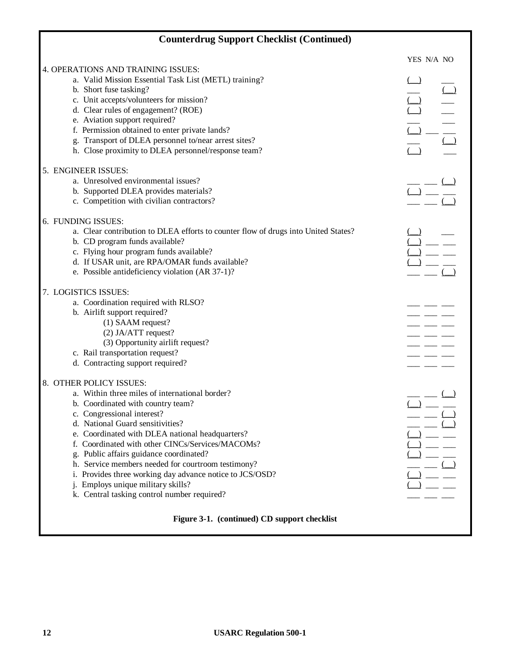|    | <b>Counterdrug Support Checklist (Continued)</b>                                   |            |
|----|------------------------------------------------------------------------------------|------------|
|    |                                                                                    | YES N/A NO |
|    | 4. OPERATIONS AND TRAINING ISSUES:                                                 |            |
|    | a. Valid Mission Essential Task List (METL) training?                              |            |
|    | b. Short fuse tasking?                                                             |            |
|    | c. Unit accepts/volunteers for mission?                                            |            |
|    | d. Clear rules of engagement? (ROE)                                                |            |
|    | e. Aviation support required?                                                      |            |
|    | f. Permission obtained to enter private lands?                                     |            |
|    | g. Transport of DLEA personnel to/near arrest sites?                               |            |
|    | h. Close proximity to DLEA personnel/response team?                                |            |
|    | 5. ENGINEER ISSUES:                                                                |            |
|    | a. Unresolved environmental issues?                                                |            |
|    | b. Supported DLEA provides materials?                                              |            |
|    | c. Competition with civilian contractors?                                          |            |
|    | 6. FUNDING ISSUES:                                                                 |            |
|    | a. Clear contribution to DLEA efforts to counter flow of drugs into United States? |            |
|    | b. CD program funds available?                                                     |            |
|    | c. Flying hour program funds available?                                            |            |
|    | d. If USAR unit, are RPA/OMAR funds available?                                     |            |
|    | e. Possible antideficiency violation (AR 37-1)?                                    |            |
|    | 7. LOGISTICS ISSUES:                                                               |            |
|    | a. Coordination required with RLSO?                                                |            |
|    | b. Airlift support required?                                                       |            |
|    | (1) SAAM request?                                                                  |            |
|    | (2) JA/ATT request?                                                                |            |
|    | (3) Opportunity airlift request?                                                   |            |
|    | c. Rail transportation request?                                                    |            |
|    | d. Contracting support required?                                                   |            |
|    | 8. OTHER POLICY ISSUES:                                                            |            |
|    | a. Within three miles of international border?                                     |            |
|    | b. Coordinated with country team?                                                  |            |
|    | c. Congressional interest?                                                         |            |
|    | d. National Guard sensitivities?                                                   |            |
|    | e. Coordinated with DLEA national headquarters?                                    |            |
|    | f. Coordinated with other CINCs/Services/MACOMs?                                   |            |
|    | g. Public affairs guidance coordinated?                                            |            |
| h. | Service members needed for courtroom testimony?                                    |            |
|    | i. Provides three working day advance notice to JCS/OSD?                           |            |
|    | Employs unique military skills?                                                    |            |
|    | k. Central tasking control number required?                                        |            |
|    | Figure 3-1. (continued) CD support checklist                                       |            |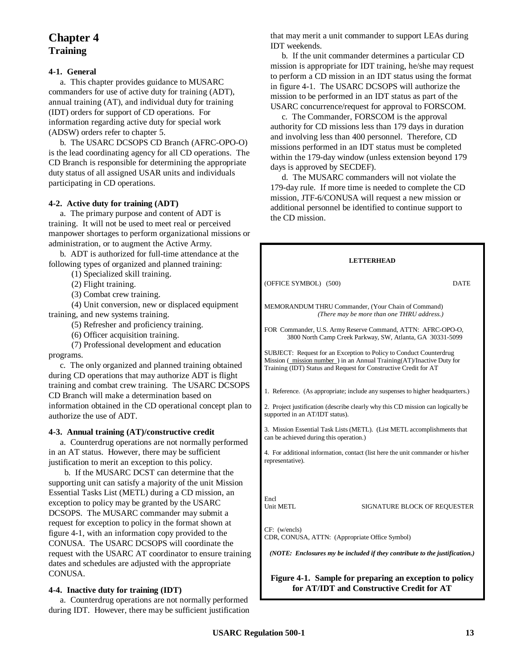## **Chapter 4 Training**

#### **4-1. General**

a. This chapter provides guidance to MUSARC commanders for use of active duty for training (ADT), annual training (AT), and individual duty for training (IDT) orders for support of CD operations. For information regarding active duty for special work (ADSW) orders refer to chapter 5.

b. The USARC DCSOPS CD Branch (AFRC-OPO-O) is the lead coordinating agency for all CD operations. The CD Branch is responsible for determining the appropriate duty status of all assigned USAR units and individuals participating in CD operations.

#### **4-2. Active duty for training (ADT)**

a. The primary purpose and content of ADT is training. It will not be used to meet real or perceived manpower shortages to perform organizational missions or administration, or to augment the Active Army.

b. ADT is authorized for full-time attendance at the following types of organized and planned training:

(1) Specialized skill training.

(2) Flight training.

(3) Combat crew training.

(4) Unit conversion, new or displaced equipment training, and new systems training.

(5) Refresher and proficiency training.

(6) Officer acquisition training.

(7) Professional development and education programs.

c. The only organized and planned training obtained during CD operations that may authorize ADT is flight training and combat crew training. The USARC DCSOPS CD Branch will make a determination based on information obtained in the CD operational concept plan to authorize the use of ADT.

#### **4-3. Annual training (AT)/constructive credit**

a. Counterdrug operations are not normally performed in an AT status. However, there may be sufficient justification to merit an exception to this policy.

 b. If the MUSARC DCST can determine that the supporting unit can satisfy a majority of the unit Mission Essential Tasks List (METL) during a CD mission, an exception to policy may be granted by the USARC DCSOPS. The MUSARC commander may submit a request for exception to policy in the format shown at figure 4-1, with an information copy provided to the CONUSA. The USARC DCSOPS will coordinate the request with the USARC AT coordinator to ensure training dates and schedules are adjusted with the appropriate CONUSA.

#### **4-4. Inactive duty for training (IDT)**

a. Counterdrug operations are not normally performed during IDT. However, there may be sufficient justification

that may merit a unit commander to support LEAs during IDT weekends.

b. If the unit commander determines a particular CD mission is appropriate for IDT training, he/she may request to perform a CD mission in an IDT status using the format in figure 4-1. The USARC DCSOPS will authorize the mission to be performed in an IDT status as part of the USARC concurrence/request for approval to FORSCOM.

c. The Commander, FORSCOM is the approval authority for CD missions less than 179 days in duration and involving less than 400 personnel. Therefore, CD missions performed in an IDT status must be completed within the 179-day window (unless extension beyond 179 days is approved by SECDEF).

d. The MUSARC commanders will not violate the 179-day rule. If more time is needed to complete the CD mission, JTF-6/CONUSA will request a new mission or additional personnel be identified to continue support to the CD mission.

#### **LETTERHEAD**

(OFFICE SYMBOL) (500) DATE

MEMORANDUM THRU Commander, (Your Chain of Command) *(There may be more than one THRU address.)*

FOR Commander, U.S. Army Reserve Command, ATTN: AFRC-OPO-O, 3800 North Camp Creek Parkway, SW, Atlanta, GA 30331-5099

SUBJECT: Request for an Exception to Policy to Conduct Counterdrug Mission ( mission number ) in an Annual Training(AT)/Inactive Duty for Training (IDT) Status and Request for Constructive Credit for AT

1. Reference. (As appropriate; include any suspenses to higher headquarters.)

2. Project justification (describe clearly why this CD mission can logically be supported in an AT/IDT status).

3. Mission Essential Task Lists (METL). (List METL accomplishments that can be achieved during this operation.)

4. For additional information, contact (list here the unit commander or his/her representative).

Encl<br>Unit METL

SIGNATURE BLOCK OF REQUESTER

CF: (w/encls) CDR, CONUSA, ATTN: (Appropriate Office Symbol)

*(NOTE: Enclosures my be included if they contribute to the justification.)*

**Figure 4-1. Sample for preparing an exception to policy for AT/IDT and Constructive Credit for AT**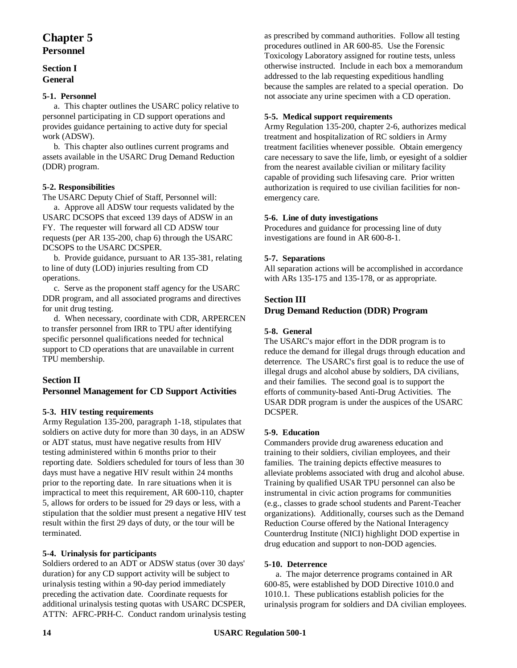## **Chapter 5 Personnel**

#### **Section I General**

#### **5-1. Personnel**

a. This chapter outlines the USARC policy relative to personnel participating in CD support operations and provides guidance pertaining to active duty for special work (ADSW).

b. This chapter also outlines current programs and assets available in the USARC Drug Demand Reduction (DDR) program.

#### **5-2. Responsibilities**

The USARC Deputy Chief of Staff, Personnel will:

a. Approve all ADSW tour requests validated by the USARC DCSOPS that exceed 139 days of ADSW in an FY. The requester will forward all CD ADSW tour requests (per AR 135-200, chap 6) through the USARC DCSOPS to the USARC DCSPER.

b. Provide guidance, pursuant to AR 135-381, relating to line of duty (LOD) injuries resulting from CD operations.

c. Serve as the proponent staff agency for the USARC DDR program, and all associated programs and directives for unit drug testing.

d. When necessary, coordinate with CDR, ARPERCEN to transfer personnel from IRR to TPU after identifying specific personnel qualifications needed for technical support to CD operations that are unavailable in current TPU membership.

## **Section II**

#### **Personnel Management for CD Support Activities**

#### **5-3. HIV testing requirements**

Army Regulation 135-200, paragraph 1-18, stipulates that soldiers on active duty for more than 30 days, in an ADSW or ADT status, must have negative results from HIV testing administered within 6 months prior to their reporting date. Soldiers scheduled for tours of less than 30 days must have a negative HIV result within 24 months prior to the reporting date. In rare situations when it is impractical to meet this requirement, AR 600-110, chapter 5, allows for orders to be issued for 29 days or less, with a stipulation that the soldier must present a negative HIV test result within the first 29 days of duty, or the tour will be terminated.

#### **5-4. Urinalysis for participants**

Soldiers ordered to an ADT or ADSW status (over 30 days' duration) for any CD support activity will be subject to urinalysis testing within a 90-day period immediately preceding the activation date. Coordinate requests for additional urinalysis testing quotas with USARC DCSPER, ATTN: AFRC-PRH-C. Conduct random urinalysis testing as prescribed by command authorities. Follow all testing procedures outlined in AR 600-85. Use the Forensic Toxicology Laboratory assigned for routine tests, unless otherwise instructed. Include in each box a memorandum addressed to the lab requesting expeditious handling because the samples are related to a special operation. Do not associate any urine specimen with a CD operation.

#### **5-5. Medical support requirements**

Army Regulation 135-200, chapter 2-6, authorizes medical treatment and hospitalization of RC soldiers in Army treatment facilities whenever possible. Obtain emergency care necessary to save the life, limb, or eyesight of a soldier from the nearest available civilian or military facility capable of providing such lifesaving care. Prior written authorization is required to use civilian facilities for nonemergency care.

#### **5-6. Line of duty investigations**

Procedures and guidance for processing line of duty investigations are found in AR 600-8-1.

#### **5-7. Separations**

All separation actions will be accomplished in accordance with ARs 135-175 and 135-178, or as appropriate.

#### **Section III**

#### **Drug Demand Reduction (DDR) Program**

#### **5-8. General**

The USARC's major effort in the DDR program is to reduce the demand for illegal drugs through education and deterrence. The USARC's first goal is to reduce the use of illegal drugs and alcohol abuse by soldiers, DA civilians, and their families. The second goal is to support the efforts of community-based Anti-Drug Activities. The USAR DDR program is under the auspices of the USARC DCSPER.

#### **5-9. Education**

Commanders provide drug awareness education and training to their soldiers, civilian employees, and their families. The training depicts effective measures to alleviate problems associated with drug and alcohol abuse. Training by qualified USAR TPU personnel can also be instrumental in civic action programs for communities (e.g., classes to grade school students and Parent-Teacher organizations). Additionally, courses such as the Demand Reduction Course offered by the National Interagency Counterdrug Institute (NICI) highlight DOD expertise in drug education and support to non-DOD agencies.

#### **5-10. Deterrence**

a. The major deterrence programs contained in AR 600-85, were established by DOD Directive 1010.0 and 1010.1. These publications establish policies for the urinalysis program for soldiers and DA civilian employees.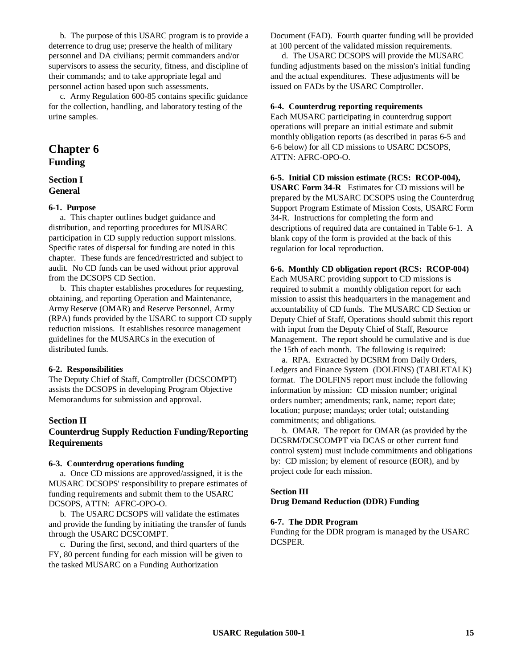b. The purpose of this USARC program is to provide a deterrence to drug use; preserve the health of military personnel and DA civilians; permit commanders and/or supervisors to assess the security, fitness, and discipline of their commands; and to take appropriate legal and personnel action based upon such assessments.

c. Army Regulation 600-85 contains specific guidance for the collection, handling, and laboratory testing of the urine samples.

## **Chapter 6 Funding**

#### **Section I General**

#### **6-1. Purpose**

a. This chapter outlines budget guidance and distribution, and reporting procedures for MUSARC participation in CD supply reduction support missions. Specific rates of dispersal for funding are noted in this chapter. These funds are fenced/restricted and subject to audit. No CD funds can be used without prior approval from the DCSOPS CD Section.

b. This chapter establishes procedures for requesting, obtaining, and reporting Operation and Maintenance, Army Reserve (OMAR) and Reserve Personnel, Army (RPA) funds provided by the USARC to support CD supply reduction missions. It establishes resource management guidelines for the MUSARCs in the execution of distributed funds.

#### **6-2. Responsibilities**

The Deputy Chief of Staff, Comptroller (DCSCOMPT) assists the DCSOPS in developing Program Objective Memorandums for submission and approval.

#### **Section II**

#### **Counterdrug Supply Reduction Funding/Reporting Requirements**

#### **6-3. Counterdrug operations funding**

a. Once CD missions are approved/assigned, it is the MUSARC DCSOPS' responsibility to prepare estimates of funding requirements and submit them to the USARC DCSOPS, ATTN: AFRC-OPO-O.

b. The USARC DCSOPS will validate the estimates and provide the funding by initiating the transfer of funds through the USARC DCSCOMPT.

c. During the first, second, and third quarters of the FY, 80 percent funding for each mission will be given to the tasked MUSARC on a Funding Authorization

Document (FAD). Fourth quarter funding will be provided at 100 percent of the validated mission requirements.

d. The USARC DCSOPS will provide the MUSARC funding adjustments based on the mission's initial funding and the actual expenditures. These adjustments will be issued on FADs by the USARC Comptroller.

#### **6-4. Counterdrug reporting requirements**

Each MUSARC participating in counterdrug support operations will prepare an initial estimate and submit monthly obligation reports (as described in paras 6-5 and 6-6 below) for all CD missions to USARC DCSOPS, ATTN: AFRC-OPO-O.

#### **6-5. Initial CD mission estimate (RCS: RCOP-004),**

**USARC Form 34-R** Estimates for CD missions will be prepared by the MUSARC DCSOPS using the Counterdrug Support Program Estimate of Mission Costs, USARC Form 34-R. Instructions for completing the form and descriptions of required data are contained in Table 6-1. A blank copy of the form is provided at the back of this regulation for local reproduction.

#### **6-6. Monthly CD obligation report (RCS: RCOP-004)**

Each MUSARC providing support to CD missions is required to submit a monthly obligation report for each mission to assist this headquarters in the management and accountability of CD funds. The MUSARC CD Section or Deputy Chief of Staff, Operations should submit this report with input from the Deputy Chief of Staff, Resource Management. The report should be cumulative and is due the 15th of each month. The following is required:

a. RPA. Extracted by DCSRM from Daily Orders, Ledgers and Finance System (DOLFINS) (TABLETALK) format. The DOLFINS report must include the following information by mission: CD mission number; original orders number; amendments; rank, name; report date; location; purpose; mandays; order total; outstanding commitments; and obligations.

b. OMAR. The report for OMAR (as provided by the DCSRM/DCSCOMPT via DCAS or other current fund control system) must include commitments and obligations by: CD mission; by element of resource (EOR), and by project code for each mission.

#### **Section III**

**Drug Demand Reduction (DDR) Funding**

#### **6-7. The DDR Program**

Funding for the DDR program is managed by the USARC DCSPER.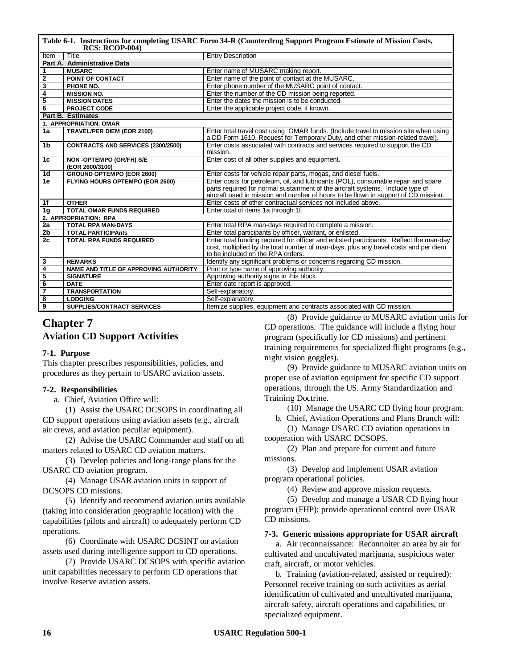| Table 6-1. Instructions for completing USARC Form 34-R (Counterdrug Support Program Estimate of Mission Costs,<br>$RCS: RCOP-004$ |                                            |                                                                                                                                                                        |  |  |
|-----------------------------------------------------------------------------------------------------------------------------------|--------------------------------------------|------------------------------------------------------------------------------------------------------------------------------------------------------------------------|--|--|
| Item                                                                                                                              | Title                                      | <b>Entry Description</b>                                                                                                                                               |  |  |
|                                                                                                                                   | Part A. Administrative Data                |                                                                                                                                                                        |  |  |
| 1                                                                                                                                 | <b>MUSARC</b>                              | Enter name of MUSARC making report.                                                                                                                                    |  |  |
| $\overline{2}$                                                                                                                    | POINT OF CONTACT                           | Enter name of the point of contact at the MUSARC.                                                                                                                      |  |  |
| 3                                                                                                                                 | PHONE NO.                                  | Enter phone number of the MUSARC point of contact.                                                                                                                     |  |  |
| $\overline{4}$                                                                                                                    | <b>MISSION NO.</b>                         | Enter the number of the CD mission being reported.                                                                                                                     |  |  |
| 5                                                                                                                                 | <b>MISSION DATES</b>                       | Enter the dates the mission is to be conducted.                                                                                                                        |  |  |
| $\overline{6}$                                                                                                                    | <b>PROJECT CODE</b>                        | Enter the applicable project code, if known.                                                                                                                           |  |  |
|                                                                                                                                   | <b>Part B. Estimates</b>                   |                                                                                                                                                                        |  |  |
|                                                                                                                                   | 1. APPROPRIATION: OMAR                     |                                                                                                                                                                        |  |  |
| 1a                                                                                                                                | <b>TRAVEL/PER DIEM (EOR 2100)</b>          | Enter total travel cost using OMAR funds. (Include travel to mission site when using<br>a DD Form 1610, Request for Temporary Duty, and other mission-related travel). |  |  |
| 1 <sub>b</sub>                                                                                                                    | CONTRACTS AND SERVICES (2300/2500)         | Enter costs associated with contracts and services required to support the CD<br>mission.                                                                              |  |  |
| 1c                                                                                                                                | NON-OPTEMPO (GR/FH) S/E<br>(EOR 2600/3100) | Enter cost of all other supplies and equipment.                                                                                                                        |  |  |
| 1d                                                                                                                                | <b>GROUND OPTEMPO (EOR 2600)</b>           | Enter costs for vehicle repair parts, mogas, and diesel fuels.                                                                                                         |  |  |
| 1e                                                                                                                                | FLYING HOURS OPTEMPO (EOR 2600)            | Enter costs for petroleum, oil, and lubricants (POL), consumable repair and spare                                                                                      |  |  |
|                                                                                                                                   |                                            | parts required for normal sustainment of the aircraft systems. Include type of                                                                                         |  |  |
|                                                                                                                                   |                                            | aircraft used in mission and number of hours to be flown in support of CD mission.                                                                                     |  |  |
| 1f                                                                                                                                | <b>OTHER</b>                               | Enter costs of other contractual services not included above.                                                                                                          |  |  |
| 1 <sub>q</sub>                                                                                                                    | <b>TOTAL OMAR FUNDS REQUIRED</b>           | Enter total of items 1a through 1f.                                                                                                                                    |  |  |
|                                                                                                                                   | 2. APPROPRIATION: RPA                      |                                                                                                                                                                        |  |  |
| 2a                                                                                                                                | <b>TOTAL RPA MAN-DAYS</b>                  | Enter total RPA man-days required to complete a mission.                                                                                                               |  |  |
| 2 <sub>b</sub>                                                                                                                    | <b>TOTAL PARTICIPAnts</b>                  | Enter total participants by officer, warrant, or enlisted.                                                                                                             |  |  |
| 2c                                                                                                                                | <b>TOTAL RPA FUNDS REQUIRED</b>            | Enter total funding required for officer and enlisted participants. Reflect the man-day                                                                                |  |  |
|                                                                                                                                   |                                            | cost, multiplied by the total number of man-days, plus any travel costs and per diem<br>to be included on the RPA orders.                                              |  |  |
| 3                                                                                                                                 | <b>REMARKS</b>                             |                                                                                                                                                                        |  |  |
| $\overline{\mathbf{4}}$                                                                                                           | NAME AND TITLE OF APPROVING AUTHORITY      | Identify any significant problems or concerns regarding CD mission.<br>Print or type name of approving authority.                                                      |  |  |
| $\overline{\mathbf{5}}$                                                                                                           | <b>SIGNATURE</b>                           | Approving authority signs in this block.                                                                                                                               |  |  |
| $\overline{6}$                                                                                                                    | <b>DATE</b>                                | Enter date report is approved.                                                                                                                                         |  |  |
| $\overline{\mathbf{z}}$                                                                                                           | <b>TRANSPORTATION</b>                      | Self-explanatory.                                                                                                                                                      |  |  |
| 8                                                                                                                                 | <b>LODGING</b>                             | Self-explanatory.                                                                                                                                                      |  |  |
| 9                                                                                                                                 | <b>SUPPLIES/CONTRACT SERVICES</b>          | Itemize supplies, equipment and contracts associated with CD mission.                                                                                                  |  |  |
|                                                                                                                                   |                                            |                                                                                                                                                                        |  |  |

## **Chapter 7 Aviation CD Support Activities**

#### **7-1. Purpose**

This chapter prescribes responsibilities, policies, and procedures as they pertain to USARC aviation assets.

#### **7-2. Responsibilities**

a. Chief, Aviation Office will:

(1) Assist the USARC DCSOPS in coordinating all CD support operations using aviation assets (e.g., aircraft air crews, and aviation peculiar equipment).

(2) Advise the USARC Commander and staff on all matters related to USARC CD aviation matters.

(3) Develop policies and long-range plans for the USARC CD aviation program.

(4) Manage USAR aviation units in support of DCSOPS CD missions.

(5) Identify and recommend aviation units available (taking into consideration geographic location) with the capabilities (pilots and aircraft) to adequately perform CD operations.

(6) Coordinate with USARC DCSINT on aviation assets used during intelligence support to CD operations.

(7) Provide USARC DCSOPS with specific aviation unit capabilities necessary to perform CD operations that involve Reserve aviation assets.

(8) Provide guidance to MUSARC aviation units for CD operations. The guidance will include a flying hour program (specifically for CD missions) and pertinent training requirements for specialized flight programs (e.g., night vision goggles).

(9) Provide guidance to MUSARC aviation units on proper use of aviation equipment for specific CD support operations, through the US. Army Standardization and Training Doctrine.

(10) Manage the USARC CD flying hour program.

b. Chief, Aviation Operations and Plans Branch will: (1) Manage USARC CD aviation operations in

cooperation with USARC DCSOPS.

(2) Plan and prepare for current and future missions.

(3) Develop and implement USAR aviation program operational policies.

(4) Review and approve mission requests.

(5) Develop and manage a USAR CD flying hour program (FHP); provide operational control over USAR CD missions.

#### **7-3. Generic missions appropriate for USAR aircraft**

a. Air reconnaissance: Reconnoiter an area by air for cultivated and uncultivated marijuana, suspicious water craft, aircraft, or motor vehicles.

b. Training (aviation-related, assisted or required): Personnel receive training on such activities as aerial identification of cultivated and uncultivated marijuana, aircraft safety, aircraft operations and capabilities, or specialized equipment.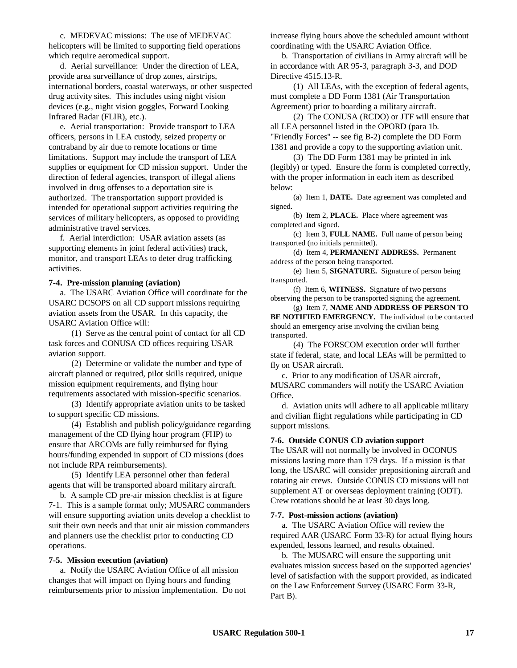c. MEDEVAC missions: The use of MEDEVAC helicopters will be limited to supporting field operations which require aeromedical support.

d. Aerial surveillance: Under the direction of LEA, provide area surveillance of drop zones, airstrips, international borders, coastal waterways, or other suspected drug activity sites. This includes using night vision devices (e.g., night vision goggles, Forward Looking Infrared Radar (FLIR), etc.).

e. Aerial transportation: Provide transport to LEA officers, persons in LEA custody, seized property or contraband by air due to remote locations or time limitations. Support may include the transport of LEA supplies or equipment for CD mission support. Under the direction of federal agencies, transport of illegal aliens involved in drug offenses to a deportation site is authorized. The transportation support provided is intended for operational support activities requiring the services of military helicopters, as opposed to providing administrative travel services.

f. Aerial interdiction: USAR aviation assets (as supporting elements in joint federal activities) track, monitor, and transport LEAs to deter drug trafficking activities.

#### **7-4. Pre-mission planning (aviation)**

a. The USARC Aviation Office will coordinate for the USARC DCSOPS on all CD support missions requiring aviation assets from the USAR. In this capacity, the USARC Aviation Office will:

(1) Serve as the central point of contact for all CD task forces and CONUSA CD offices requiring USAR aviation support.

(2) Determine or validate the number and type of aircraft planned or required, pilot skills required, unique mission equipment requirements, and flying hour requirements associated with mission-specific scenarios.

(3) Identify appropriate aviation units to be tasked to support specific CD missions.

(4) Establish and publish policy/guidance regarding management of the CD flying hour program (FHP) to ensure that ARCOMs are fully reimbursed for flying hours/funding expended in support of CD missions (does not include RPA reimbursements).

(5) Identify LEA personnel other than federal agents that will be transported aboard military aircraft.

b. A sample CD pre-air mission checklist is at figure 7-1. This is a sample format only; MUSARC commanders will ensure supporting aviation units develop a checklist to suit their own needs and that unit air mission commanders and planners use the checklist prior to conducting CD operations.

#### **7-5. Mission execution (aviation)**

a. Notify the USARC Aviation Office of all mission changes that will impact on flying hours and funding reimbursements prior to mission implementation. Do not increase flying hours above the scheduled amount without coordinating with the USARC Aviation Office.

b. Transportation of civilians in Army aircraft will be in accordance with AR 95-3, paragraph 3-3, and DOD Directive 4515.13-R.

(1) All LEAs, with the exception of federal agents, must complete a DD Form 1381 (Air Transportation Agreement) prior to boarding a military aircraft.

(2) The CONUSA (RCDO) or JTF will ensure that all LEA personnel listed in the OPORD (para 1b. "Friendly Forces" -- see fig B-2) complete the DD Form 1381 and provide a copy to the supporting aviation unit.

(3) The DD Form 1381 may be printed in ink (legibly) or typed. Ensure the form is completed correctly, with the proper information in each item as described below:

(a) Item 1, **DATE.** Date agreement was completed and signed.

(b) Item 2, **PLACE.** Place where agreement was completed and signed.

(c) Item 3, **FULL NAME.** Full name of person being transported (no initials permitted).

(d) Item 4, **PERMANENT ADDRESS.** Permanent address of the person being transported.

(e) Item 5, **SIGNATURE.** Signature of person being transported.

(f) Item 6, **WITNESS.** Signature of two persons observing the person to be transported signing the agreement.

(g) Item 7, **NAME AND ADDRESS OF PERSON TO BE NOTIFIED EMERGENCY.** The individual to be contacted should an emergency arise involving the civilian being transported.

(4) The FORSCOM execution order will further state if federal, state, and local LEAs will be permitted to fly on USAR aircraft.

c. Prior to any modification of USAR aircraft, MUSARC commanders will notify the USARC Aviation Office.

d. Aviation units will adhere to all applicable military and civilian flight regulations while participating in CD support missions.

#### **7-6. Outside CONUS CD aviation support**

The USAR will not normally be involved in OCONUS missions lasting more than 179 days. If a mission is that long, the USARC will consider prepositioning aircraft and rotating air crews. Outside CONUS CD missions will not supplement AT or overseas deployment training (ODT). Crew rotations should be at least 30 days long.

#### **7-7. Post-mission actions (aviation)**

a. The USARC Aviation Office will review the required AAR (USARC Form 33-R) for actual flying hours expended, lessons learned, and results obtained.

b. The MUSARC will ensure the supporting unit evaluates mission success based on the supported agencies' level of satisfaction with the support provided, as indicated on the Law Enforcement Survey (USARC Form 33-R, Part B).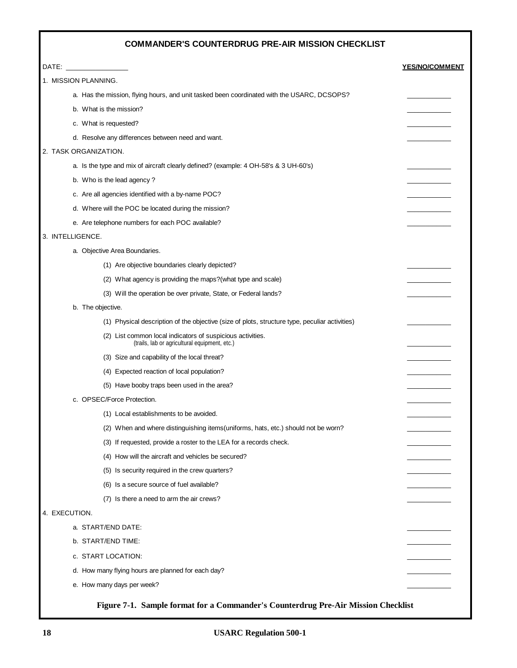## **COMMANDER'S COUNTERDRUG PRE-AIR MISSION CHECKLIST**

| DATE:                                                                                                       | <b>YES/NO/COMMENT</b> |
|-------------------------------------------------------------------------------------------------------------|-----------------------|
| 1. MISSION PLANNING.                                                                                        |                       |
| a. Has the mission, flying hours, and unit tasked been coordinated with the USARC, DCSOPS?                  |                       |
| b. What is the mission?                                                                                     |                       |
| c. What is requested?                                                                                       |                       |
| d. Resolve any differences between need and want.                                                           |                       |
| 2. TASK ORGANIZATION.                                                                                       |                       |
| a. Is the type and mix of aircraft clearly defined? (example: 4 OH-58's & 3 UH-60's)                        |                       |
| b. Who is the lead agency?                                                                                  |                       |
| c. Are all agencies identified with a by-name POC?                                                          |                       |
| d. Where will the POC be located during the mission?                                                        |                       |
| e. Are telephone numbers for each POC available?                                                            |                       |
| 3. INTELLIGENCE.                                                                                            |                       |
| a. Objective Area Boundaries.                                                                               |                       |
| (1) Are objective boundaries clearly depicted?                                                              |                       |
| (2) What agency is providing the maps? (what type and scale)                                                |                       |
| (3) Will the operation be over private, State, or Federal lands?                                            |                       |
| b. The objective.                                                                                           |                       |
| (1) Physical description of the objective (size of plots, structure type, peculiar activities)              |                       |
| (2) List common local indicators of suspicious activities.<br>(trails, lab or agricultural equipment, etc.) |                       |
| (3) Size and capability of the local threat?                                                                |                       |
| (4) Expected reaction of local population?                                                                  |                       |
| (5) Have booby traps been used in the area?                                                                 |                       |
| c. OPSEC/Force Protection.                                                                                  |                       |
| (1) Local establishments to be avoided.                                                                     |                       |
| (2) When and where distinguishing items (uniforms, hats, etc.) should not be worn?                          |                       |
| (3) If requested, provide a roster to the LEA for a records check.                                          |                       |
| (4) How will the aircraft and vehicles be secured?                                                          |                       |
| (5) Is security required in the crew quarters?                                                              |                       |
| (6) Is a secure source of fuel available?                                                                   |                       |
| (7) Is there a need to arm the air crews?                                                                   |                       |
| 4. EXECUTION.                                                                                               |                       |
| a. START/END DATE:                                                                                          |                       |
| b. START/END TIME:                                                                                          |                       |
| c. START LOCATION:                                                                                          |                       |
| d. How many flying hours are planned for each day?                                                          |                       |
| e. How many days per week?                                                                                  |                       |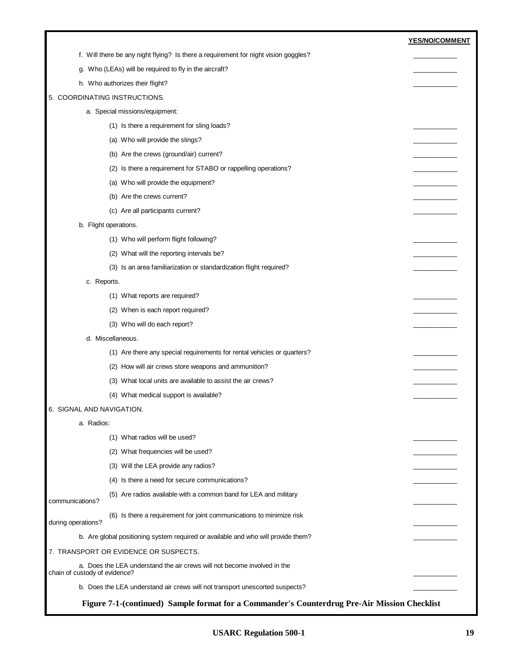|                               |                                                                                     | YES/NO/COMMENT |
|-------------------------------|-------------------------------------------------------------------------------------|----------------|
|                               | f. Will there be any night flying? Is there a requirement for night vision goggles? |                |
|                               | g. Who (LEAs) will be required to fly in the aircraft?                              |                |
|                               | h. Who authorizes their flight?                                                     |                |
|                               | 5. COORDINATING INSTRUCTIONS.                                                       |                |
|                               | a. Special missions/equipment:                                                      |                |
|                               | (1) Is there a requirement for sling loads?                                         |                |
|                               | (a) Who will provide the slings?                                                    |                |
|                               | (b) Are the crews (ground/air) current?                                             |                |
|                               | (2) Is there a requirement for STABO or rappelling operations?                      |                |
|                               | (a) Who will provide the equipment?                                                 |                |
|                               | (b) Are the crews current?                                                          |                |
|                               | (c) Are all participants current?                                                   |                |
|                               | b. Flight operations.                                                               |                |
|                               | (1) Who will perform flight following?                                              |                |
|                               | (2) What will the reporting intervals be?                                           |                |
|                               | (3) Is an area familiarization or standardization flight required?                  |                |
| c. Reports.                   |                                                                                     |                |
|                               | (1) What reports are required?                                                      |                |
|                               | (2) When is each report required?                                                   |                |
|                               | (3) Who will do each report?                                                        |                |
|                               | d. Miscellaneous.                                                                   |                |
|                               | (1) Are there any special requirements for rental vehicles or quarters?             |                |
|                               | (2) How will air crews store weapons and ammunition?                                |                |
|                               | (3) What local units are available to assist the air crews?                         |                |
|                               | (4) What medical support is available?                                              |                |
| 6. SIGNAL AND NAVIGATION.     |                                                                                     |                |
| a. Radios:                    |                                                                                     |                |
|                               | (1) What radios will be used?                                                       |                |
|                               | (2) What frequencies will be used?                                                  |                |
|                               | (3) Will the LEA provide any radios?                                                |                |
|                               | (4) Is there a need for secure communications?                                      |                |
| communications?               | (5) Are radios available with a common band for LEA and military                    |                |
| during operations?            | (6) Is there a requirement for joint communications to minimize risk                |                |
|                               | b. Are global positioning system required or available and who will provide them?   |                |
|                               | 7. TRANSPORT OR EVIDENCE OR SUSPECTS.                                               |                |
| chain of custody of evidence? | a. Does the LEA understand the air crews will not become involved in the            |                |
|                               | b. Does the LEA understand air crews will not transport unescorted suspects?        |                |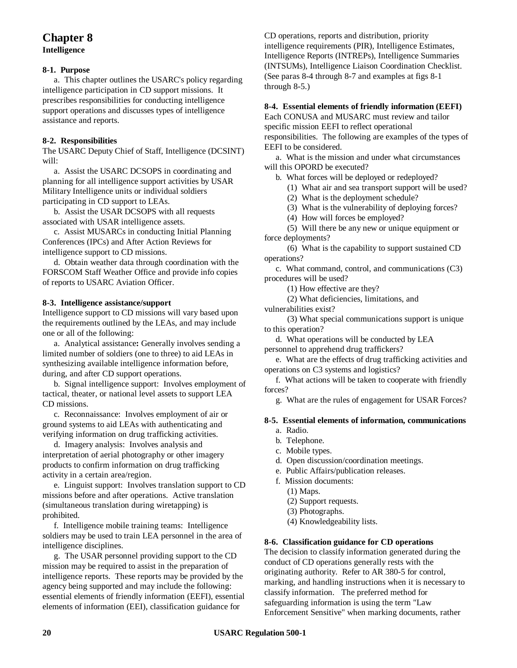## **Chapter 8 Intelligence**

#### **8-1. Purpose**

a. This chapter outlines the USARC's policy regarding intelligence participation in CD support missions. It prescribes responsibilities for conducting intelligence support operations and discusses types of intelligence assistance and reports.

#### **8-2. Responsibilities**

The USARC Deputy Chief of Staff, Intelligence (DCSINT) will:

a. Assist the USARC DCSOPS in coordinating and planning for all intelligence support activities by USAR Military Intelligence units or individual soldiers participating in CD support to LEAs.

b. Assist the USAR DCSOPS with all requests associated with USAR intelligence assets.

c. Assist MUSARCs in conducting Initial Planning Conferences (IPCs) and After Action Reviews for intelligence support to CD missions.

d. Obtain weather data through coordination with the FORSCOM Staff Weather Office and provide info copies of reports to USARC Aviation Officer.

#### **8-3. Intelligence assistance/support**

Intelligence support to CD missions will vary based upon the requirements outlined by the LEAs, and may include one or all of the following:

a. Analytical assistance**:** Generally involves sending a limited number of soldiers (one to three) to aid LEAs in synthesizing available intelligence information before, during, and after CD support operations.

b. Signal intelligence support: Involves employment of tactical, theater, or national level assets to support LEA CD missions.

c. Reconnaissance: Involves employment of air or ground systems to aid LEAs with authenticating and verifying information on drug trafficking activities.

d. Imagery analysis: Involves analysis and interpretation of aerial photography or other imagery products to confirm information on drug trafficking activity in a certain area/region.

e. Linguist support: Involves translation support to CD missions before and after operations. Active translation (simultaneous translation during wiretapping) is prohibited.

f. Intelligence mobile training teams: Intelligence soldiers may be used to train LEA personnel in the area of intelligence disciplines.

g. The USAR personnel providing support to the CD mission may be required to assist in the preparation of intelligence reports. These reports may be provided by the agency being supported and may include the following: essential elements of friendly information (EEFI), essential elements of information (EEI), classification guidance for

CD operations, reports and distribution, priority intelligence requirements (PIR), Intelligence Estimates, Intelligence Reports (INTREPs), Intelligence Summaries (INTSUMs), Intelligence Liaison Coordination Checklist. (See paras 8-4 through 8-7 and examples at figs 8-1 through 8-5.)

#### **8-4. Essential elements of friendly information (EEFI)**

Each CONUSA and MUSARC must review and tailor specific mission EEFI to reflect operational responsibilities. The following are examples of the types of EEFI to be considered.

a. What is the mission and under what circumstances will this OPORD be executed?

b. What forces will be deployed or redeployed?

(1) What air and sea transport support will be used?

(2) What is the deployment schedule?

(3) What is the vulnerability of deploying forces?

(4) How will forces be employed?

(5) Will there be any new or unique equipment or force deployments?

(6) What is the capability to support sustained CD operations?

c. What command, control, and communications (C3) procedures will be used?

(1) How effective are they?

(2) What deficiencies, limitations, and

vulnerabilities exist?

(3) What special communications support is unique to this operation?

d. What operations will be conducted by LEA

personnel to apprehend drug traffickers?

e. What are the effects of drug trafficking activities and operations on C3 systems and logistics?

f. What actions will be taken to cooperate with friendly forces?

g. What are the rules of engagement for USAR Forces?

#### **8-5. Essential elements of information, communications**

- a. Radio.
- b. Telephone.
- c. Mobile types.
- d. Open discussion/coordination meetings.
- e. Public Affairs/publication releases.
- f. Mission documents:
	- (1) Maps.
	- (2) Support requests.
	- (3) Photographs.
	- (4) Knowledgeability lists.

#### **8-6. Classification guidance for CD operations**

The decision to classify information generated during the conduct of CD operations generally rests with the originating authority. Refer to AR 380-5 for control, marking, and handling instructions when it is necessary to classify information. The preferred method for safeguarding information is using the term "Law Enforcement Sensitive" when marking documents, rather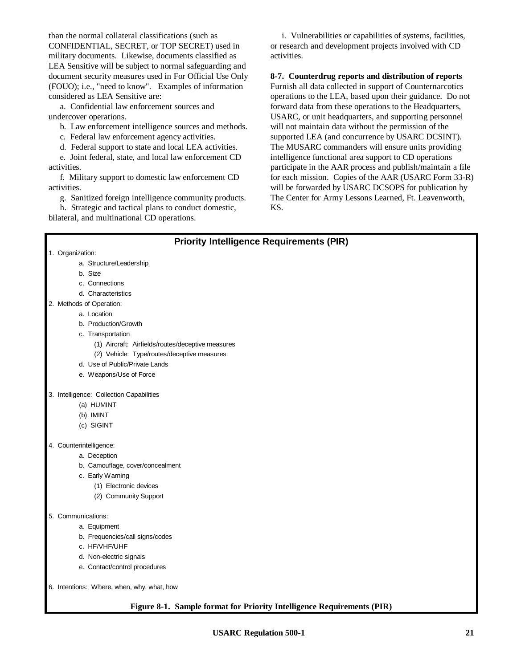than the normal collateral classifications (such as CONFIDENTIAL, SECRET, or TOP SECRET) used in military documents. Likewise, documents classified as LEA Sensitive will be subject to normal safeguarding and document security measures used in For Official Use Only (FOUO); i.e., "need to know". Examples of information considered as LEA Sensitive are:

a. Confidential law enforcement sources and undercover operations.

b. Law enforcement intelligence sources and methods.

c. Federal law enforcement agency activities.

d. Federal support to state and local LEA activities.

e. Joint federal, state, and local law enforcement CD activities.

f. Military support to domestic law enforcement CD activities.

g. Sanitized foreign intelligence community products.

h. Strategic and tactical plans to conduct domestic, bilateral, and multinational CD operations.

i. Vulnerabilities or capabilities of systems, facilities, or research and development projects involved with CD activities.

**8-7. Counterdrug reports and distribution of reports**

Furnish all data collected in support of Counternarcotics operations to the LEA, based upon their guidance. Do not forward data from these operations to the Headquarters, USARC, or unit headquarters, and supporting personnel will not maintain data without the permission of the supported LEA (and concurrence by USARC DCSINT). The MUSARC commanders will ensure units providing intelligence functional area support to CD operations participate in the AAR process and publish/maintain a file for each mission. Copies of the AAR (USARC Form 33-R) will be forwarded by USARC DCSOPS for publication by The Center for Army Lessons Learned, Ft. Leavenworth, KS.

## **Priority Intelligence Requirements (PIR)** 1. Organization: a. Structure/Leadership b. Size c. Connections d. Characteristics 2. Methods of Operation: a. Location b. Production/Growth c. Transportation (1) Aircraft: Airfields/routes/deceptive measures (2) Vehicle: Type/routes/deceptive measures d. Use of Public/Private Lands e. Weapons/Use of Force 3. Intelligence: Collection Capabilities (a) HUMINT (b) IMINT (c) SIGINT 4. Counterintelligence: a. Deception b. Camouflage, cover/concealment c. Early Warning (1) Electronic devices (2) Community Support 5. Communications: a. Equipment b. Frequencies/call signs/codes c. HF/VHF/UHF d. Non-electric signals e. Contact/control procedures 6. Intentions: Where, when, why, what, how **Figure 8-1. Sample format for Priority Intelligence Requirements (PIR)**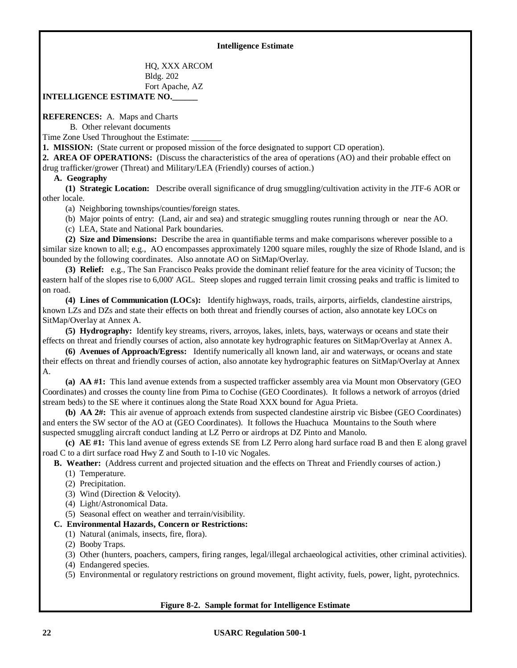#### **Intelligence Estimate**

 HQ, XXX ARCOM Bldg. 202 Fort Apache, AZ **INTELLIGENCE ESTIMATE NO.\_\_\_\_\_\_**

**REFERENCES:** A. Maps and Charts

B. Other relevant documents

Time Zone Used Throughout the Estimate:

**1. MISSION:** (State current or proposed mission of the force designated to support CD operation).

**2. AREA OF OPERATIONS:** (Discuss the characteristics of the area of operations (AO) and their probable effect on drug trafficker/grower (Threat) and Military/LEA (Friendly) courses of action.)

#### **A. Geography**

**(1) Strategic Location:** Describe overall significance of drug smuggling/cultivation activity in the JTF-6 AOR or other locale.

(a) Neighboring townships/counties/foreign states.

(b) Major points of entry: (Land, air and sea) and strategic smuggling routes running through or near the AO.

(c) LEA, State and National Park boundaries.

**(2) Size and Dimensions:** Describe the area in quantifiable terms and make comparisons wherever possible to a similar size known to all; e.g., AO encompasses approximately 1200 square miles, roughly the size of Rhode Island, and is bounded by the following coordinates. Also annotate AO on SitMap/Overlay.

**(3) Relief:** e.g., The San Francisco Peaks provide the dominant relief feature for the area vicinity of Tucson; the eastern half of the slopes rise to 6,000' AGL. Steep slopes and rugged terrain limit crossing peaks and traffic is limited to on road.

**(4) Lines of Communication (LOCs):** Identify highways, roads, trails, airports, airfields, clandestine airstrips, known LZs and DZs and state their effects on both threat and friendly courses of action, also annotate key LOCs on SitMap/Overlay at Annex A.

**(5) Hydrography:** Identify key streams, rivers, arroyos, lakes, inlets, bays, waterways or oceans and state their effects on threat and friendly courses of action, also annotate key hydrographic features on SitMap/Overlay at Annex A.

**(6) Avenues of Approach/Egress:** Identify numerically all known land, air and waterways, or oceans and state their effects on threat and friendly courses of action, also annotate key hydrographic features on SitMap/Overlay at Annex A.

**(a) AA #1:** This land avenue extends from a suspected trafficker assembly area via Mount mon Observatory (GEO Coordinates) and crosses the county line from Pima to Cochise (GEO Coordinates). It follows a network of arroyos (dried stream beds) to the SE where it continues along the State Road XXX bound for Agua Prieta.

**(b) AA 2#:** This air avenue of approach extends from suspected clandestine airstrip vic Bisbee (GEO Coordinates) and enters the SW sector of the AO at (GEO Coordinates). It follows the Huachuca Mountains to the South where suspected smuggling aircraft conduct landing at LZ Perro or airdrops at DZ Pinto and Manolo.

**(c) AE #1:** This land avenue of egress extends SE from LZ Perro along hard surface road B and then E along gravel road C to a dirt surface road Hwy Z and South to I-10 vic Nogales.

**B. Weather:** (Address current and projected situation and the effects on Threat and Friendly courses of action.)

- (1) Temperature.
- (2) Precipitation.
- (3) Wind (Direction & Velocity).
- (4) Light/Astronomical Data.
- (5) Seasonal effect on weather and terrain/visibility.

#### **C. Environmental Hazards, Concern or Restrictions:**

- (1) Natural (animals, insects, fire, flora).
- (2) Booby Traps.
- (3) Other (hunters, poachers, campers, firing ranges, legal/illegal archaeological activities, other criminal activities).
- (4) Endangered species.

(5) Environmental or regulatory restrictions on ground movement, flight activity, fuels, power, light, pyrotechnics.

#### **Figure 8-2. Sample format for Intelligence Estimate**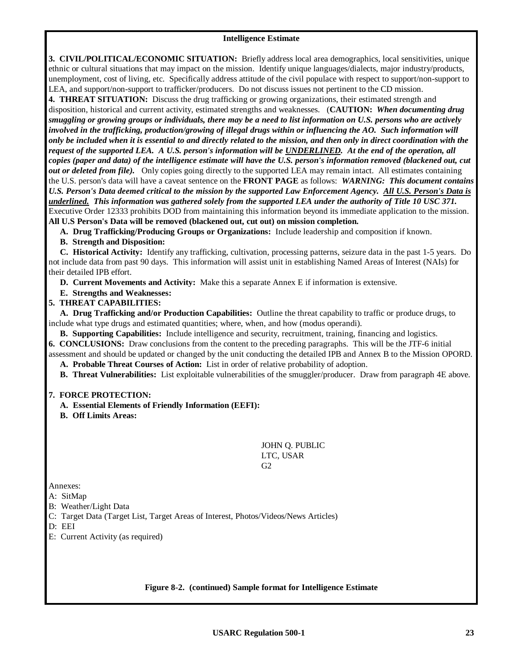#### **Intelligence Estimate**

**3. CIVIL/POLITICAL/ECONOMIC SITUATION:** Briefly address local area demographics, local sensitivities, unique ethnic or cultural situations that may impact on the mission. Identify unique languages/dialects, major industry/products, unemployment, cost of living, etc. Specifically address attitude of the civil populace with respect to support/non-support to LEA, and support/non-support to trafficker/producers. Do not discuss issues not pertinent to the CD mission.

**4. THREAT SITUATION:** Discuss the drug trafficking or growing organizations, their estimated strength and disposition, historical and current activity, estimated strengths and weaknesses. (**CAUTION:** *When documenting drug smuggling or growing groups or individuals, there may be a need to list information on U.S. persons who are actively* involved in the trafficking, production/growing of illegal drugs within or influencing the AO. Such information will *only be included when it is essential to and directly related to the mission, and then only in direct coordination with the request of the supported LEA. A U.S. person's information will be UNDERLINED. At the end of the operation, all copies (paper and data) of the intelligence estimate will have the U.S. person's information removed (blackened out, cut out or deleted from file*). Only copies going directly to the supported LEA may remain intact. All estimates containing the U.S. person's data will have a caveat sentence on the **FRONT PAGE** as follows: *WARNING: This document contains U.S. Person's Data deemed critical to the mission by the supported Law Enforcement Agency. All U.S. Person's Data is underlined. This information was gathered solely from the supported LEA under the authority of Title 10 USC 371.* Executive Order 12333 prohibits DOD from maintaining this information beyond its immediate application to the mission. **All U.S Person's Data will be removed (blackened out, cut out) on mission completion.**

**A. Drug Trafficking/Producing Groups or Organizations:** Include leadership and composition if known.

**B. Strength and Disposition:**

**C. Historical Activity:** Identify any trafficking, cultivation, processing patterns, seizure data in the past 1-5 years. Do not include data from past 90 days. This information will assist unit in establishing Named Areas of Interest (NAIs) for their detailed IPB effort.

**D. Current Movements and Activity:** Make this a separate Annex E if information is extensive.

**E. Strengths and Weaknesses:**

**5. THREAT CAPABILITIES:**

**A. Drug Trafficking and/or Production Capabilities:** Outline the threat capability to traffic or produce drugs, to include what type drugs and estimated quantities; where, when, and how (modus operandi).

**B. Supporting Capabilities:** Include intelligence and security, recruitment, training, financing and logistics.

**6. CONCLUSIONS:** Draw conclusions from the content to the preceding paragraphs. This will be the JTF-6 initial assessment and should be updated or changed by the unit conducting the detailed IPB and Annex B to the Mission OPORD.

**A. Probable Threat Courses of Action:** List in order of relative probability of adoption.

**B. Threat Vulnerabilities:** List exploitable vulnerabilities of the smuggler/producer. Draw from paragraph 4E above.

#### **7. FORCE PROTECTION:**

**A. Essential Elements of Friendly Information (EEFI):**

**B. Off Limits Areas:**

JOHN Q. PUBLIC LTC, USAR  $G<sub>2</sub>$ 

Annexes:

A: SitMap

- B: Weather/Light Data
- C: Target Data (Target List, Target Areas of Interest, Photos/Videos/News Articles)

D: EEI

E: Current Activity (as required)

#### **Figure 8-2. (continued) Sample format for Intelligence Estimate**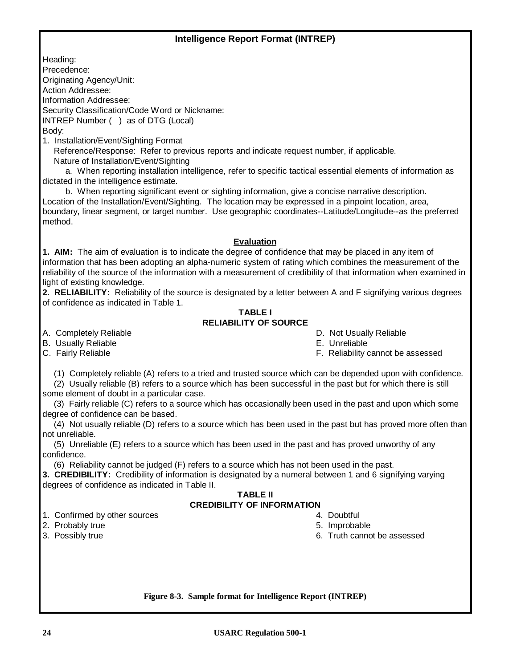## **Intelligence Report Format (INTREP)**

Heading:

Precedence:

Originating Agency/Unit: Action Addressee:

Information Addressee:

Security Classification/Code Word or Nickname:

INTREP Number ( ) as of DTG (Local)

Body:

1. Installation/Event/Sighting Format

Reference/Response: Refer to previous reports and indicate request number, if applicable. Nature of Installation/Event/Sighting

a. When reporting installation intelligence, refer to specific tactical essential elements of information as dictated in the intelligence estimate.

b. When reporting significant event or sighting information, give a concise narrative description. Location of the Installation/Event/Sighting. The location may be expressed in a pinpoint location, area, boundary, linear segment, or target number. Use geographic coordinates--Latitude/Longitude--as the preferred method.

#### **Evaluation**

**1. AIM:** The aim of evaluation is to indicate the degree of confidence that may be placed in any item of information that has been adopting an alpha-numeric system of rating which combines the measurement of the reliability of the source of the information with a measurement of credibility of that information when examined in light of existing knowledge.

**2. RELIABILITY:** Reliability of the source is designated by a letter between A and F signifying various degrees of confidence as indicated in Table 1.

#### **TABLE I RELIABILITY OF SOURCE**

B. Usually Reliable **E. United States** E. Unreliable

- A. Completely Reliable **D.** Not Usually Reliable **D.** Not Usually Reliable
	-
- C. Fairly Reliable F. Reliability cannot be assessed

(1) Completely reliable (A) refers to a tried and trusted source which can be depended upon with confidence.

(2) Usually reliable (B) refers to a source which has been successful in the past but for which there is still some element of doubt in a particular case.

(3) Fairly reliable (C) refers to a source which has occasionally been used in the past and upon which some degree of confidence can be based.

(4) Not usually reliable (D) refers to a source which has been used in the past but has proved more often than not unreliable.

(5) Unreliable (E) refers to a source which has been used in the past and has proved unworthy of any confidence.

(6) Reliability cannot be judged (F) refers to a source which has not been used in the past.

**3. CREDIBILITY:** Credibility of information is designated by a numeral between 1 and 6 signifying varying degrees of confidence as indicated in Table II.

#### **TABLE II CREDIBILITY OF INFORMATION**

- 1. Confirmed by other sources and the state of the state of the 4. Doubtful
- 2. Probably true 5. Improbable 1. The set of the set of the set of the set of the set of the set of the set of the set of the set of the set of the set of the set of the set of the set of the set of the set of the set of t
- 
- 
- 
- 3. Possibly true 6. Truth cannot be assessed

**Figure 8-3. Sample format for Intelligence Report (INTREP)**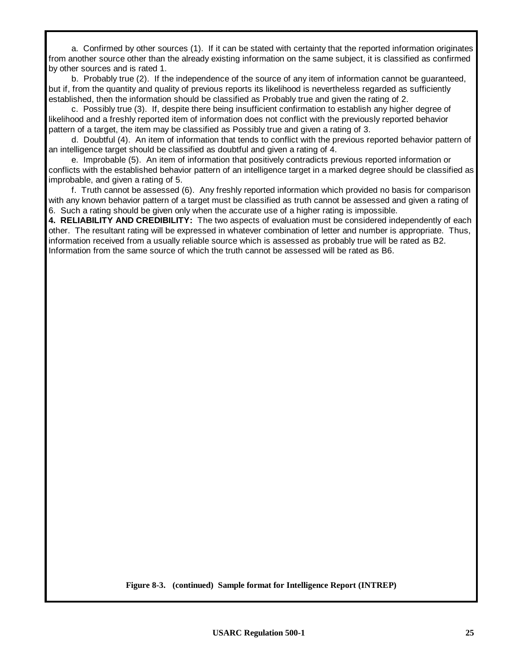a. Confirmed by other sources (1). If it can be stated with certainty that the reported information originates from another source other than the already existing information on the same subject, it is classified as confirmed by other sources and is rated 1.

b. Probably true (2). If the independence of the source of any item of information cannot be guaranteed, but if, from the quantity and quality of previous reports its likelihood is nevertheless regarded as sufficiently established, then the information should be classified as Probably true and given the rating of 2.

c. Possibly true (3). If, despite there being insufficient confirmation to establish any higher degree of likelihood and a freshly reported item of information does not conflict with the previously reported behavior pattern of a target, the item may be classified as Possibly true and given a rating of 3.

d. Doubtful (4). An item of information that tends to conflict with the previous reported behavior pattern of an intelligence target should be classified as doubtful and given a rating of 4.

e. Improbable (5). An item of information that positively contradicts previous reported information or conflicts with the established behavior pattern of an intelligence target in a marked degree should be classified as improbable, and given a rating of 5.

f. Truth cannot be assessed (6). Any freshly reported information which provided no basis for comparison with any known behavior pattern of a target must be classified as truth cannot be assessed and given a rating of 6. Such a rating should be given only when the accurate use of a higher rating is impossible.

**4. RELIABILITY AND CREDIBILITY:** The two aspects of evaluation must be considered independently of each other. The resultant rating will be expressed in whatever combination of letter and number is appropriate. Thus, information received from a usually reliable source which is assessed as probably true will be rated as B2. Information from the same source of which the truth cannot be assessed will be rated as B6.

**Figure 8-3. (continued) Sample format for Intelligence Report (INTREP)**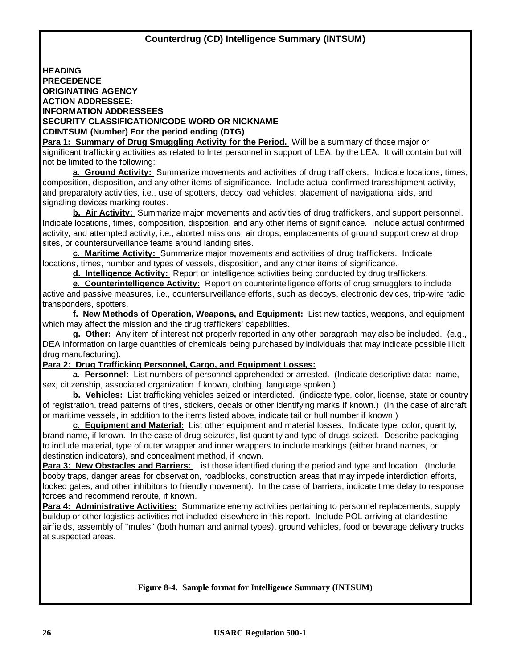**HEADING PRECEDENCE ORIGINATING AGENCY ACTION ADDRESSEE: INFORMATION ADDRESSEES SECURITY CLASSIFICATION/CODE WORD OR NICKNAME CDINTSUM (Number) For the period ending (DTG)**

**Para 1: Summary of Drug Smuggling Activity for the Period.** Will be a summary of those major or significant trafficking activities as related to Intel personnel in support of LEA, by the LEA. It will contain but will not be limited to the following:

**a. Ground Activity:** Summarize movements and activities of drug traffickers. Indicate locations, times, composition, disposition, and any other items of significance. Include actual confirmed transshipment activity, and preparatory activities, i.e., use of spotters, decoy load vehicles, placement of navigational aids, and signaling devices marking routes.

**b. Air Activity:** Summarize major movements and activities of drug traffickers, and support personnel. Indicate locations, times, composition, disposition, and any other items of significance. Include actual confirmed activity, and attempted activity, i.e., aborted missions, air drops, emplacements of ground support crew at drop sites, or countersurveillance teams around landing sites.

**c. Maritime Activity:** Summarize major movements and activities of drug traffickers. Indicate locations, times, number and types of vessels, disposition, and any other items of significance.

**d. Intelligence Activity:** Report on intelligence activities being conducted by drug traffickers.

**e. Counterintelligence Activity:** Report on counterintelligence efforts of drug smugglers to include active and passive measures, i.e., countersurveillance efforts, such as decoys, electronic devices, trip-wire radio transponders, spotters.

**f. New Methods of Operation, Weapons, and Equipment:** List new tactics, weapons, and equipment which may affect the mission and the drug traffickers' capabilities.

**g. Other:** Any item of interest not properly reported in any other paragraph may also be included. (e.g., DEA information on large quantities of chemicals being purchased by individuals that may indicate possible illicit drug manufacturing).

#### **Para 2: Drug Trafficking Personnel, Cargo, and Equipment Losses:**

**a. Personnel:** List numbers of personnel apprehended or arrested. (Indicate descriptive data: name, sex, citizenship, associated organization if known, clothing, language spoken.)

**b. Vehicles:** List trafficking vehicles seized or interdicted. (indicate type, color, license, state or country of registration, tread patterns of tires, stickers, decals or other identifying marks if known.) (In the case of aircraft or maritime vessels, in addition to the items listed above, indicate tail or hull number if known.)

**c. Equipment and Material:** List other equipment and material losses. Indicate type, color, quantity, brand name, if known. In the case of drug seizures, list quantity and type of drugs seized. Describe packaging to include material, type of outer wrapper and inner wrappers to include markings (either brand names, or destination indicators), and concealment method, if known.

**Para 3: New Obstacles and Barriers:** List those identified during the period and type and location. (Include booby traps, danger areas for observation, roadblocks, construction areas that may impede interdiction efforts, locked gates, and other inhibitors to friendly movement). In the case of barriers, indicate time delay to response forces and recommend reroute, if known.

**Para 4: Administrative Activities:** Summarize enemy activities pertaining to personnel replacements, supply buildup or other logistics activities not included elsewhere in this report. Include POL arriving at clandestine airfields, assembly of "mules" (both human and animal types), ground vehicles, food or beverage delivery trucks at suspected areas.

#### **Figure 8-4. Sample format for Intelligence Summary (INTSUM)**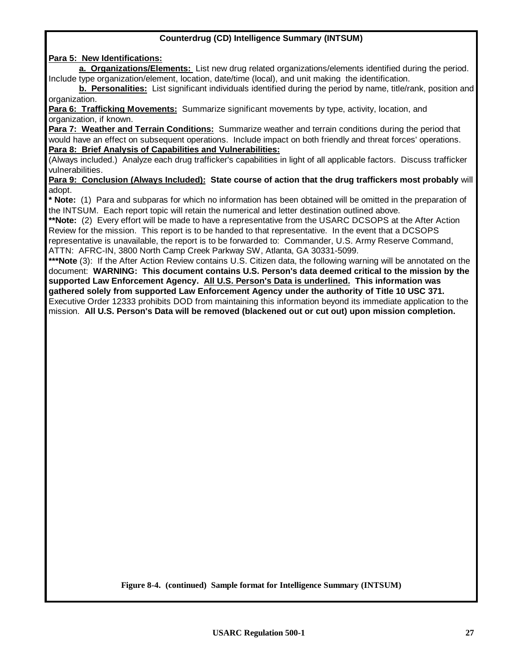#### **Counterdrug (CD) Intelligence Summary (INTSUM)**

**Para 5: New Identifications:**

**a. Organizations/Elements:** List new drug related organizations/elements identified during the period. Include type organization/element, location, date/time (local), and unit making the identification.

**b. Personalities:** List significant individuals identified during the period by name, title/rank, position and organization.

**Para 6: Trafficking Movements:** Summarize significant movements by type, activity, location, and organization, if known.

**Para 7: Weather and Terrain Conditions:** Summarize weather and terrain conditions during the period that would have an effect on subsequent operations. Include impact on both friendly and threat forces' operations. **Para 8: Brief Analysis of Capabilities and Vulnerabilities:**

(Always included.) Analyze each drug trafficker's capabilities in light of all applicable factors. Discuss trafficker vulnerabilities.

**Para 9: Conclusion (Always Included): State course of action that the drug traffickers most probably** will adopt.

**\* Note:** (1) Para and subparas for which no information has been obtained will be omitted in the preparation of the INTSUM. Each report topic will retain the numerical and letter destination outlined above.

**\*\*Note:** (2) Every effort will be made to have a representative from the USARC DCSOPS at the After Action Review for the mission. This report is to be handed to that representative. In the event that a DCSOPS representative is unavailable, the report is to be forwarded to: Commander, U.S. Army Reserve Command, ATTN: AFRC-IN, 3800 North Camp Creek Parkway SW, Atlanta, GA 30331-5099.

**\*\*\*Note** (3): If the After Action Review contains U.S. Citizen data, the following warning will be annotated on the document: **WARNING: This document contains U.S. Person's data deemed critical to the mission by the supported Law Enforcement Agency. All U.S. Person's Data is underlined. This information was gathered solely from supported Law Enforcement Agency under the authority of Title 10 USC 371.** Executive Order 12333 prohibits DOD from maintaining this information beyond its immediate application to the mission. **All U.S. Person's Data will be removed (blackened out or cut out) upon mission completion.**

**Figure 8-4. (continued) Sample format for Intelligence Summary (INTSUM)**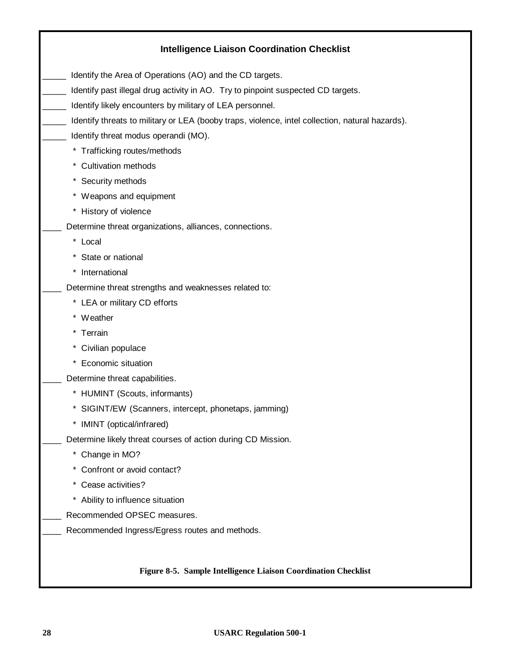| <b>Intelligence Liaison Coordination Checklist</b>                                              |
|-------------------------------------------------------------------------------------------------|
| Identify the Area of Operations (AO) and the CD targets.                                        |
| Identify past illegal drug activity in AO. Try to pinpoint suspected CD targets.                |
| Identify likely encounters by military of LEA personnel.                                        |
| Identify threats to military or LEA (booby traps, violence, intel collection, natural hazards). |
| Identify threat modus operandi (MO).                                                            |
| * Trafficking routes/methods                                                                    |
| * Cultivation methods                                                                           |
| * Security methods                                                                              |
| * Weapons and equipment                                                                         |
| * History of violence                                                                           |
| Determine threat organizations, alliances, connections.                                         |
| * Local                                                                                         |
| * State or national                                                                             |
| * International                                                                                 |
| Determine threat strengths and weaknesses related to:                                           |
| * LEA or military CD efforts                                                                    |
| * Weather                                                                                       |
| * Terrain                                                                                       |
| * Civilian populace                                                                             |
| * Economic situation                                                                            |
| Determine threat capabilities.                                                                  |
| * HUMINT (Scouts, informants)                                                                   |
| * SIGINT/EW (Scanners, intercept, phonetaps, jamming)                                           |
| IMINT (optical/infrared)<br>*                                                                   |
| Determine likely threat courses of action during CD Mission.                                    |
| * Change in MO?                                                                                 |
| * Confront or avoid contact?                                                                    |
| * Cease activities?                                                                             |
| * Ability to influence situation                                                                |
| Recommended OPSEC measures.                                                                     |
| Recommended Ingress/Egress routes and methods.                                                  |
| Figure 8-5. Sample Intelligence Liaison Coordination Checklist                                  |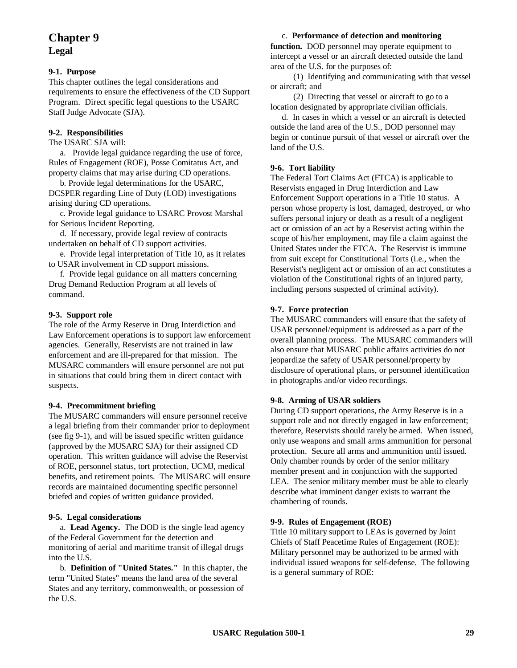## **Chapter 9 Legal**

#### **9-1. Purpose**

This chapter outlines the legal considerations and requirements to ensure the effectiveness of the CD Support Program. Direct specific legal questions to the USARC Staff Judge Advocate (SJA).

#### **9-2. Responsibilities**

The USARC SJA will:

a. Provide legal guidance regarding the use of force, Rules of Engagement (ROE), Posse Comitatus Act, and property claims that may arise during CD operations.

b. Provide legal determinations for the USARC, DCSPER regarding Line of Duty (LOD) investigations arising during CD operations.

c. Provide legal guidance to USARC Provost Marshal for Serious Incident Reporting.

d. If necessary, provide legal review of contracts undertaken on behalf of CD support activities.

e. Provide legal interpretation of Title 10, as it relates to USAR involvement in CD support missions.

f. Provide legal guidance on all matters concerning Drug Demand Reduction Program at all levels of command.

#### **9-3. Support role**

The role of the Army Reserve in Drug Interdiction and Law Enforcement operations is to support law enforcement agencies. Generally, Reservists are not trained in law enforcement and are ill-prepared for that mission. The MUSARC commanders will ensure personnel are not put in situations that could bring them in direct contact with suspects.

#### **9-4. Precommitment briefing**

The MUSARC commanders will ensure personnel receive a legal briefing from their commander prior to deployment (see fig 9-1), and will be issued specific written guidance (approved by the MUSARC SJA) for their assigned CD operation. This written guidance will advise the Reservist of ROE, personnel status, tort protection, UCMJ, medical benefits, and retirement points. The MUSARC will ensure records are maintained documenting specific personnel briefed and copies of written guidance provided.

#### **9-5. Legal considerations**

a. **Lead Agency.** The DOD is the single lead agency of the Federal Government for the detection and monitoring of aerial and maritime transit of illegal drugs into the U.S.

b. **Definition of "United States."** In this chapter, the term "United States" means the land area of the several States and any territory, commonwealth, or possession of the U.S.

#### c. **Performance of detection and monitoring** function. DOD personnel may operate equipment to intercept a vessel or an aircraft detected outside the land area of the U.S. for the purposes of:

(1) Identifying and communicating with that vessel or aircraft; and

(2) Directing that vessel or aircraft to go to a location designated by appropriate civilian officials.

d. In cases in which a vessel or an aircraft is detected outside the land area of the U.S., DOD personnel may begin or continue pursuit of that vessel or aircraft over the land of the U.S.

#### **9-6. Tort liability**

The Federal Tort Claims Act (FTCA) is applicable to Reservists engaged in Drug Interdiction and Law Enforcement Support operations in a Title 10 status. A person whose property is lost, damaged, destroyed, or who suffers personal injury or death as a result of a negligent act or omission of an act by a Reservist acting within the scope of his/her employment, may file a claim against the United States under the FTCA. The Reservist is immune from suit except for Constitutional Torts (i.e., when the Reservist's negligent act or omission of an act constitutes a violation of the Constitutional rights of an injured party, including persons suspected of criminal activity).

#### **9-7. Force protection**

The MUSARC commanders will ensure that the safety of USAR personnel/equipment is addressed as a part of the overall planning process. The MUSARC commanders will also ensure that MUSARC public affairs activities do not jeopardize the safety of USAR personnel/property by disclosure of operational plans, or personnel identification in photographs and/or video recordings.

#### **9-8. Arming of USAR soldiers**

During CD support operations, the Army Reserve is in a support role and not directly engaged in law enforcement; therefore, Reservists should rarely be armed. When issued, only use weapons and small arms ammunition for personal protection. Secure all arms and ammunition until issued. Only chamber rounds by order of the senior military member present and in conjunction with the supported LEA. The senior military member must be able to clearly describe what imminent danger exists to warrant the chambering of rounds.

#### **9-9. Rules of Engagement (ROE)**

Title 10 military support to LEAs is governed by Joint Chiefs of Staff Peacetime Rules of Engagement (ROE): Military personnel may be authorized to be armed with individual issued weapons for self-defense. The following is a general summary of ROE: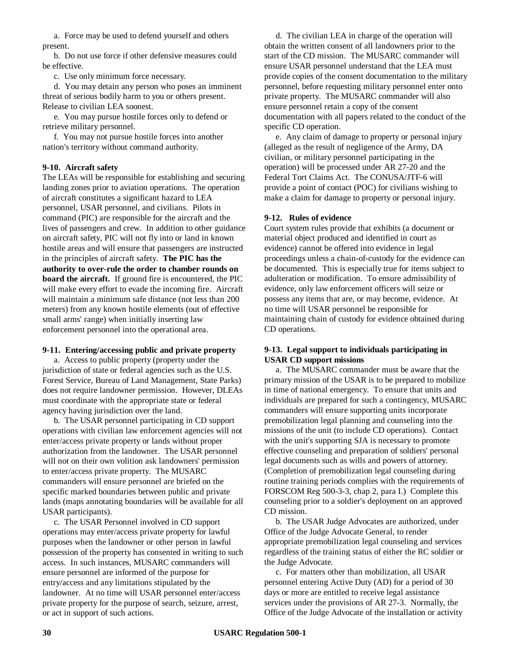a. Force may be used to defend yourself and others present.

b. Do not use force if other defensive measures could be effective.

c. Use only minimum force necessary.

d. You may detain any person who poses an imminent threat of serious bodily harm to you or others present. Release to civilian LEA soonest.

e. You may pursue hostile forces only to defend or retrieve military personnel.

f. You may not pursue hostile forces into another nation's territory without command authority.

#### **9-10. Aircraft safety**

The LEAs will be responsible for establishing and securing landing zones prior to aviation operations. The operation of aircraft constitutes a significant hazard to LEA personnel, USAR personnel, and civilians. Pilots in command (PIC) are responsible for the aircraft and the lives of passengers and crew. In addition to other guidance on aircraft safety, PIC will not fly into or land in known hostile areas and will ensure that passengers are instructed in the principles of aircraft safety. **The PIC has the authority to over-rule the order to chamber rounds on board the aircraft.** If ground fire is encountered, the PIC will make every effort to evade the incoming fire. Aircraft will maintain a minimum safe distance (not less than 200) meters) from any known hostile elements (out of effective small arms' range) when initially inserting law enforcement personnel into the operational area.

#### **9-11. Entering/accessing public and private property**

a. Access to public property (property under the jurisdiction of state or federal agencies such as the U.S. Forest Service, Bureau of Land Management, State Parks) does not require landowner permission. However, DLEAs must coordinate with the appropriate state or federal agency having jurisdiction over the land.

b. The USAR personnel participating in CD support operations with civilian law enforcement agencies will not enter/access private property or lands without proper authorization from the landowner. The USAR personnel will not on their own volition ask landowners' permission to enter/access private property. The MUSARC commanders will ensure personnel are briefed on the specific marked boundaries between public and private lands (maps annotating boundaries will be available for all USAR participants).

c. The USAR Personnel involved in CD support operations may enter/access private property for lawful purposes when the landowner or other person in lawful possession of the property has consented in writing to such access. In such instances, MUSARC commanders will ensure personnel are informed of the purpose for entry/access and any limitations stipulated by the landowner. At no time will USAR personnel enter/access private property for the purpose of search, seizure, arrest, or act in support of such actions.

d. The civilian LEA in charge of the operation will obtain the written consent of all landowners prior to the start of the CD mission. The MUSARC commander will ensure USAR personnel understand that the LEA must provide copies of the consent documentation to the military personnel, before requesting military personnel enter onto private property. The MUSARC commander will also ensure personnel retain a copy of the consent documentation with all papers related to the conduct of the specific CD operation.

e. Any claim of damage to property or personal injury (alleged as the result of negligence of the Army, DA civilian, or military personnel participating in the operation) will be processed under AR 27-20 and the Federal Tort Claims Act. The CONUSA/JTF-6 will provide a point of contact (POC) for civilians wishing to make a claim for damage to property or personal injury.

#### **9-12. Rules of evidence**

Court system rules provide that exhibits (a document or material object produced and identified in court as evidence) cannot be offered into evidence in legal proceedings unless a chain-of-custody for the evidence can be documented. This is especially true for items subject to adulteration or modification. To ensure admissibility of evidence, only law enforcement officers will seize or possess any items that are, or may become, evidence. At no time will USAR personnel be responsible for maintaining chain of custody for evidence obtained during CD operations.

#### **9-13. Legal support to individuals participating in USAR CD support missions**

a. The MUSARC commander must be aware that the primary mission of the USAR is to be prepared to mobilize in time of national emergency. To ensure that units and individuals are prepared for such a contingency, MUSARC commanders will ensure supporting units incorporate premobilization legal planning and counseling into the missions of the unit (to include CD operations). Contact with the unit's supporting SJA is necessary to promote effective counseling and preparation of soldiers' personal legal documents such as wills and powers of attorney. (Completion of premobilization legal counseling during routine training periods complies with the requirements of FORSCOM Reg 500-3-3, chap 2, para I.) Complete this counseling prior to a soldier's deployment on an approved CD mission.

b. The USAR Judge Advocates are authorized, under Office of the Judge Advocate General, to render appropriate premobilization legal counseling and services regardless of the training status of either the RC soldier or the Judge Advocate.

c. For matters other than mobilization, all USAR personnel entering Active Duty (AD) for a period of 30 days or more are entitled to receive legal assistance services under the provisions of AR 27-3. Normally, the Office of the Judge Advocate of the installation or activity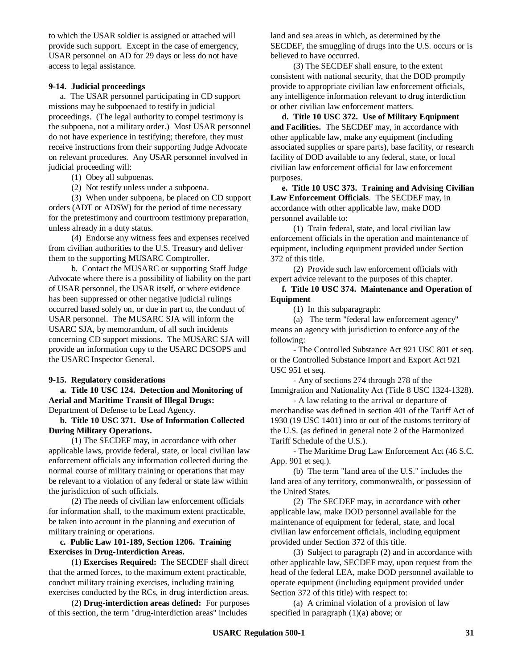to which the USAR soldier is assigned or attached will provide such support. Except in the case of emergency, USAR personnel on AD for 29 days or less do not have access to legal assistance.

#### **9-14. Judicial proceedings**

a. The USAR personnel participating in CD support missions may be subpoenaed to testify in judicial proceedings. (The legal authority to compel testimony is the subpoena, not a military order.) Most USAR personnel do not have experience in testifying; therefore, they must receive instructions from their supporting Judge Advocate on relevant procedures. Any USAR personnel involved in judicial proceeding will:

(1) Obey all subpoenas.

(2) Not testify unless under a subpoena.

(3) When under subpoena, be placed on CD support orders (ADT or ADSW) for the period of time necessary for the pretestimony and courtroom testimony preparation, unless already in a duty status.

(4) Endorse any witness fees and expenses received from civilian authorities to the U.S. Treasury and deliver them to the supporting MUSARC Comptroller.

b. Contact the MUSARC or supporting Staff Judge Advocate where there is a possibility of liability on the part of USAR personnel, the USAR itself, or where evidence has been suppressed or other negative judicial rulings occurred based solely on, or due in part to, the conduct of USAR personnel. The MUSARC SJA will inform the USARC SJA, by memorandum, of all such incidents concerning CD support missions. The MUSARC SJA will provide an information copy to the USARC DCSOPS and the USARC Inspector General.

#### **9-15. Regulatory considerations**

**a. Title 10 USC 124. Detection and Monitoring of Aerial and Maritime Transit of Illegal Drugs:** Department of Defense to be Lead Agency.

**b. Title 10 USC 371. Use of Information Collected During Military Operations.**

(1) The SECDEF may, in accordance with other applicable laws, provide federal, state, or local civilian law enforcement officials any information collected during the normal course of military training or operations that may be relevant to a violation of any federal or state law within the jurisdiction of such officials.

(2) The needs of civilian law enforcement officials for information shall, to the maximum extent practicable, be taken into account in the planning and execution of military training or operations.

**c. Public Law 101-189, Section 1206. Training Exercises in Drug-Interdiction Areas.**

(1) **Exercises Required:** The SECDEF shall direct that the armed forces, to the maximum extent practicable, conduct military training exercises, including training exercises conducted by the RCs, in drug interdiction areas.

(2) **Drug-interdiction areas defined:** For purposes of this section, the term "drug-interdiction areas" includes

land and sea areas in which, as determined by the SECDEF, the smuggling of drugs into the U.S. occurs or is believed to have occurred.

(3) The SECDEF shall ensure, to the extent consistent with national security, that the DOD promptly provide to appropriate civilian law enforcement officials, any intelligence information relevant to drug interdiction or other civilian law enforcement matters.

**d. Title 10 USC 372. Use of Military Equipment and Facilities.** The SECDEF may, in accordance with other applicable law, make any equipment (including associated supplies or spare parts), base facility, or research facility of DOD available to any federal, state, or local civilian law enforcement official for law enforcement purposes.

**e. Title 10 USC 373. Training and Advising Civilian Law Enforcement Officials**. The SECDEF may, in accordance with other applicable law, make DOD personnel available to:

(1) Train federal, state, and local civilian law enforcement officials in the operation and maintenance of equipment, including equipment provided under Section 372 of this title.

(2) Provide such law enforcement officials with expert advice relevant to the purposes of this chapter.

**f. Title 10 USC 374. Maintenance and Operation of Equipment**

(1) In this subparagraph:

(a) The term "federal law enforcement agency" means an agency with jurisdiction to enforce any of the following:

- The Controlled Substance Act 921 USC 801 et seq. or the Controlled Substance Import and Export Act 921 USC 951 et seq.

- Any of sections 274 through 278 of the Immigration and Nationality Act (Title 8 USC 1324-1328).

- A law relating to the arrival or departure of merchandise was defined in section 401 of the Tariff Act of 1930 (19 USC 1401) into or out of the customs territory of the U.S. (as defined in general note 2 of the Harmonized Tariff Schedule of the U.S.).

- The Maritime Drug Law Enforcement Act (46 S.C. App. 901 et seq.).

(b) The term "land area of the U.S." includes the land area of any territory, commonwealth, or possession of the United States.

(2) The SECDEF may, in accordance with other applicable law, make DOD personnel available for the maintenance of equipment for federal, state, and local civilian law enforcement officials, including equipment provided under Section 372 of this title.

(3) Subject to paragraph (2) and in accordance with other applicable law, SECDEF may, upon request from the head of the federal LEA, make DOD personnel available to operate equipment (including equipment provided under Section 372 of this title) with respect to:

(a) A criminal violation of a provision of law specified in paragraph (1)(a) above; or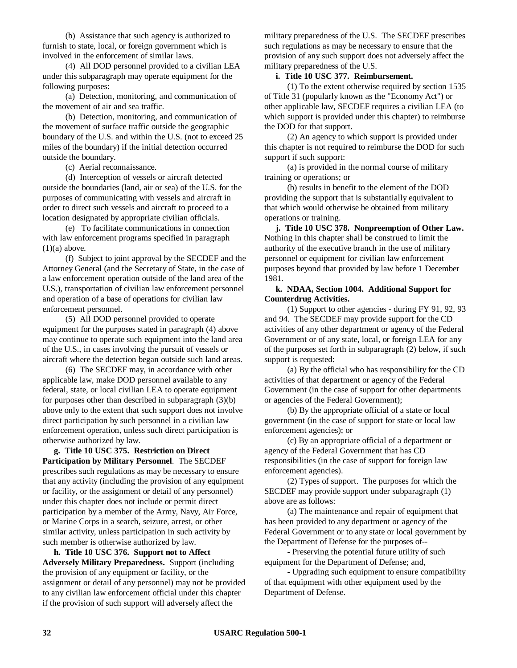(b) Assistance that such agency is authorized to furnish to state, local, or foreign government which is involved in the enforcement of similar laws.

(4) All DOD personnel provided to a civilian LEA under this subparagraph may operate equipment for the following purposes:

(a) Detection, monitoring, and communication of the movement of air and sea traffic.

(b) Detection, monitoring, and communication of the movement of surface traffic outside the geographic boundary of the U.S. and within the U.S. (not to exceed 25 miles of the boundary) if the initial detection occurred outside the boundary.

(c) Aerial reconnaissance.

(d) Interception of vessels or aircraft detected outside the boundaries (land, air or sea) of the U.S. for the purposes of communicating with vessels and aircraft in order to direct such vessels and aircraft to proceed to a location designated by appropriate civilian officials.

(e) To facilitate communications in connection with law enforcement programs specified in paragraph  $(1)(a)$  above.

(f) Subject to joint approval by the SECDEF and the Attorney General (and the Secretary of State, in the case of a law enforcement operation outside of the land area of the U.S.), transportation of civilian law enforcement personnel and operation of a base of operations for civilian law enforcement personnel.

(5) All DOD personnel provided to operate equipment for the purposes stated in paragraph (4) above may continue to operate such equipment into the land area of the U.S., in cases involving the pursuit of vessels or aircraft where the detection began outside such land areas.

(6) The SECDEF may, in accordance with other applicable law, make DOD personnel available to any federal, state, or local civilian LEA to operate equipment for purposes other than described in subparagraph (3)(b) above only to the extent that such support does not involve direct participation by such personnel in a civilian law enforcement operation, unless such direct participation is otherwise authorized by law.

**g. Title 10 USC 375. Restriction on Direct Participation by Military Personnel**. The SECDEF prescribes such regulations as may be necessary to ensure that any activity (including the provision of any equipment or facility, or the assignment or detail of any personnel) under this chapter does not include or permit direct participation by a member of the Army, Navy, Air Force, or Marine Corps in a search, seizure, arrest, or other similar activity, unless participation in such activity by such member is otherwise authorized by law.

**h. Title 10 USC 376. Support not to Affect Adversely Military Preparedness.** Support (including the provision of any equipment or facility, or the assignment or detail of any personnel) may not be provided to any civilian law enforcement official under this chapter if the provision of such support will adversely affect the

military preparedness of the U.S. The SECDEF prescribes such regulations as may be necessary to ensure that the provision of any such support does not adversely affect the military preparedness of the U.S.

#### **i. Title 10 USC 377. Reimbursement.**

(1) To the extent otherwise required by section 1535 of Title 31 (popularly known as the "Economy Act") or other applicable law, SECDEF requires a civilian LEA (to which support is provided under this chapter) to reimburse the DOD for that support.

(2) An agency to which support is provided under this chapter is not required to reimburse the DOD for such support if such support:

(a) is provided in the normal course of military training or operations; or

(b) results in benefit to the element of the DOD providing the support that is substantially equivalent to that which would otherwise be obtained from military operations or training.

**j. Title 10 USC 378. Nonpreemption of Other Law.** Nothing in this chapter shall be construed to limit the authority of the executive branch in the use of military personnel or equipment for civilian law enforcement purposes beyond that provided by law before 1 December 1981.

#### **k. NDAA, Section 1004. Additional Support for Counterdrug Activities.**

(1) Support to other agencies - during FY 91, 92, 93 and 94. The SECDEF may provide support for the CD activities of any other department or agency of the Federal Government or of any state, local, or foreign LEA for any of the purposes set forth in subparagraph (2) below, if such support is requested:

(a) By the official who has responsibility for the CD activities of that department or agency of the Federal Government (in the case of support for other departments or agencies of the Federal Government);

(b) By the appropriate official of a state or local government (in the case of support for state or local law enforcement agencies); or

(c) By an appropriate official of a department or agency of the Federal Government that has CD responsibilities (in the case of support for foreign law enforcement agencies).

(2) Types of support. The purposes for which the SECDEF may provide support under subparagraph (1) above are as follows:

(a) The maintenance and repair of equipment that has been provided to any department or agency of the Federal Government or to any state or local government by the Department of Defense for the purposes of--

- Preserving the potential future utility of such equipment for the Department of Defense; and,

- Upgrading such equipment to ensure compatibility of that equipment with other equipment used by the Department of Defense.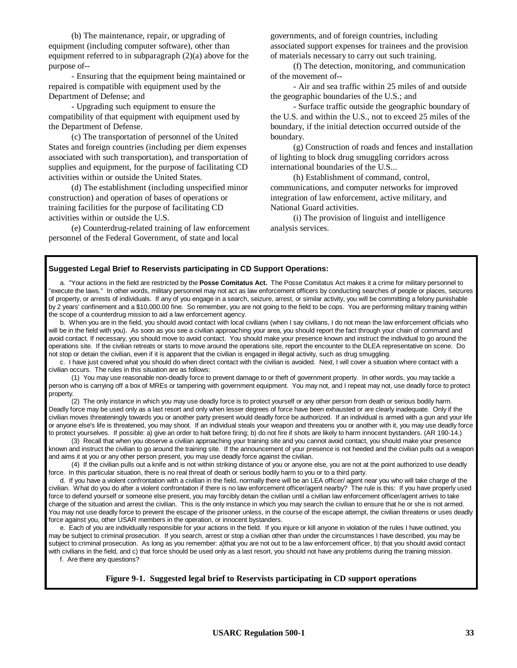(b) The maintenance, repair, or upgrading of equipment (including computer software), other than equipment referred to in subparagraph (2)(a) above for the purpose of--

- Ensuring that the equipment being maintained or repaired is compatible with equipment used by the Department of Defense; and

- Upgrading such equipment to ensure the compatibility of that equipment with equipment used by the Department of Defense.

(c) The transportation of personnel of the United States and foreign countries (including per diem expenses associated with such transportation), and transportation of supplies and equipment, for the purpose of facilitating CD activities within or outside the United States.

(d) The establishment (including unspecified minor construction) and operation of bases of operations or training facilities for the purpose of facilitating CD activities within or outside the U.S.

(e) Counterdrug-related training of law enforcement personnel of the Federal Government, of state and local

governments, and of foreign countries, including associated support expenses for trainees and the provision of materials necessary to carry out such training.

(f) The detection, monitoring, and communication of the movement of--

- Air and sea traffic within 25 miles of and outside the geographic boundaries of the U.S.; and

- Surface traffic outside the geographic boundary of the U.S. and within the U.S., not to exceed 25 miles of the boundary, if the initial detection occurred outside of the boundary.

(g) Construction of roads and fences and installation of lighting to block drug smuggling corridors across international boundaries of the U.S...

(h) Establishment of command, control, communications, and computer networks for improved integration of law enforcement, active military, and National Guard activities.

(i) The provision of linguist and intelligence analysis services.

#### **Suggested Legal Brief to Reservists participating in CD Support Operations:**

a. "Your actions in the field are restricted by the **Posse Comitatus Act.** The Posse Comitatus Act makes it a crime for military personnel to "execute the laws." In other words, military personnel may not act as law enforcement officers by conducting searches of people or places, seizures of property, or arrests of individuals. If any of you engage in a search, seizure, arrest, or similar activity, you will be committing a felony punishable by 2 years' confinement and a \$10,000.00 fine. So remember, you are not going to the field to be cops. You are performing military training within the scope of a counterdrug mission to aid a law enforcement agency.

b. When you are in the field, you should avoid contact with local civilians (when I say civilians, I do not mean the law enforcement officials who will be in the field with you). As soon as you see a civilian approaching your area, you should report the fact through your chain of command and avoid contact. If necessary, you should move to avoid contact. You should make your presence known and instruct the individual to go around the operations site. If the civilian retreats or starts to move around the operations site, report the encounter to the DLEA representative on scene. Do not stop or detain the civilian, even if it is apparent that the civilian is engaged in illegal activity, such as drug smuggling.

c. I have just covered what you should do when direct contact with the civilian is avoided. Next, I will cover a situation where contact with a civilian occurs. The rules in this situation are as follows:

(1) You may use reasonable non-deadly force to prevent damage to or theft of government property. In other words, you may tackle a person who is carrying off a box of MREs or tampering with government equipment. You may not, and I repeat may not, use deadly force to protect property.

(2) The only instance in which you may use deadly force is to protect yourself or any other person from death or serious bodily harm. Deadly force may be used only as a last resort and only when lesser degrees of force have been exhausted or are clearly inadequate. Only if the civilian moves threateningly towards you or another party present would deadly force be authorized. If an individual is armed with a gun and your life or anyone else's life is threatened, you may shoot. If an individual steals your weapon and threatens you or another with it, you may use deadly force to protect yourselves. If possible: a) give an order to halt before firing; b) do not fire if shots are likely to harm innocent bystanders. (AR 190-14.)

(3) Recall that when you observe a civilian approaching your training site and you cannot avoid contact, you should make your presence known and instruct the civilian to go around the training site. If the announcement of your presence is not heeded and the civilian pulls out a weapon and aims it at you or any other person present, you may use deadly force against the civilian.

(4) If the civilian pulls out a knife and is not within striking distance of you or anyone else, you are not at the point authorized to use deadly force. In this particular situation, there is no real threat of death or serious bodily harm to you or to a third party.

d. If you have a violent confrontation with a civilian in the field, normally there will be an LEA officer/ agent near you who will take charge of the civilian. What do you do after a violent confrontation if there is no law enforcement officer/agent nearby? The rule is this: If you have properly used force to defend yourself or someone else present, you may forcibly detain the civilian until a civilian law enforcement officer/agent arrives to take charge of the situation and arrest the civilian. This is the only instance in which you may search the civilian to ensure that he or she is not armed. You may not use deadly force to prevent the escape of the prisoner unless, in the course of the escape attempt, the civilian threatens or uses deadly force against you, other USAR members in the operation, or innocent bystanders.

e. Each of you are individually responsible for your actions in the field. If you injure or kill anyone in violation of the rules I have outlined, you may be subject to criminal prosecution. If you search, arrest or stop a civilian other than under the circumstances I have described, you may be subject to criminal prosecution. As long as you remember: a)that you are not out to be a law enforcement officer, b) that you should avoid contact with civilians in the field, and c) that force should be used only as a last resort, you should not have any problems during the training mission. f. Are there any questions?

**Figure 9-1. Suggested legal brief to Reservists participating in CD support operations**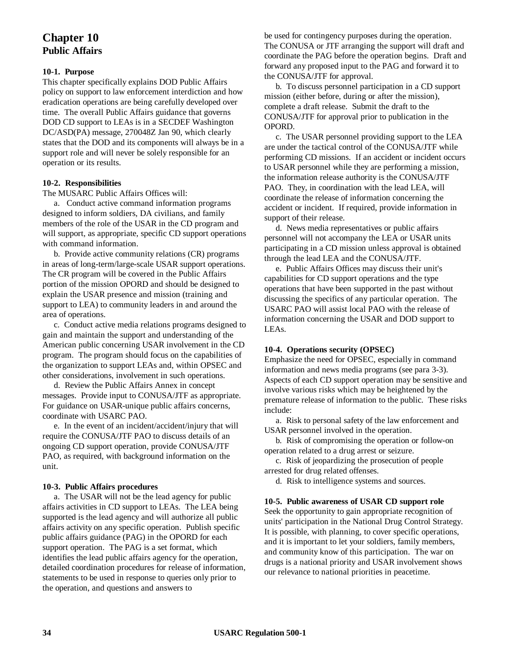## **Chapter 10 Public Affairs**

#### **10-1. Purpose**

This chapter specifically explains DOD Public Affairs policy on support to law enforcement interdiction and how eradication operations are being carefully developed over time. The overall Public Affairs guidance that governs DOD CD support to LEAs is in a SECDEF Washington DC/ASD(PA) message, 270048Z Jan 90, which clearly states that the DOD and its components will always be in a support role and will never be solely responsible for an operation or its results.

#### **10-2. Responsibilities**

The MUSARC Public Affairs Offices will:

a. Conduct active command information programs designed to inform soldiers, DA civilians, and family members of the role of the USAR in the CD program and will support, as appropriate, specific CD support operations with command information.

b. Provide active community relations (CR) programs in areas of long-term/large-scale USAR support operations. The CR program will be covered in the Public Affairs portion of the mission OPORD and should be designed to explain the USAR presence and mission (training and support to LEA) to community leaders in and around the area of operations.

c. Conduct active media relations programs designed to gain and maintain the support and understanding of the American public concerning USAR involvement in the CD program. The program should focus on the capabilities of the organization to support LEAs and, within OPSEC and other considerations, involvement in such operations.

d. Review the Public Affairs Annex in concept messages. Provide input to CONUSA/JTF as appropriate. For guidance on USAR-unique public affairs concerns, coordinate with USARC PAO.

e. In the event of an incident/accident/injury that will require the CONUSA/JTF PAO to discuss details of an ongoing CD support operation, provide CONUSA/JTF PAO, as required, with background information on the unit.

#### **10-3. Public Affairs procedures**

a. The USAR will not be the lead agency for public affairs activities in CD support to LEAs. The LEA being supported is the lead agency and will authorize all public affairs activity on any specific operation. Publish specific public affairs guidance (PAG) in the OPORD for each support operation. The PAG is a set format, which identifies the lead public affairs agency for the operation, detailed coordination procedures for release of information, statements to be used in response to queries only prior to the operation, and questions and answers to

be used for contingency purposes during the operation. The CONUSA or JTF arranging the support will draft and coordinate the PAG before the operation begins. Draft and forward any proposed input to the PAG and forward it to the CONUSA/JTF for approval.

b. To discuss personnel participation in a CD support mission (either before, during or after the mission), complete a draft release. Submit the draft to the CONUSA/JTF for approval prior to publication in the OPORD.

c. The USAR personnel providing support to the LEA are under the tactical control of the CONUSA/JTF while performing CD missions. If an accident or incident occurs to USAR personnel while they are performing a mission, the information release authority is the CONUSA/JTF PAO. They, in coordination with the lead LEA, will coordinate the release of information concerning the accident or incident. If required, provide information in support of their release.

d. News media representatives or public affairs personnel will not accompany the LEA or USAR units participating in a CD mission unless approval is obtained through the lead LEA and the CONUSA/JTF.

e. Public Affairs Offices may discuss their unit's capabilities for CD support operations and the type operations that have been supported in the past without discussing the specifics of any particular operation. The USARC PAO will assist local PAO with the release of information concerning the USAR and DOD support to LEAs.

#### **10-4. Operations security (OPSEC)**

Emphasize the need for OPSEC, especially in command information and news media programs (see para 3-3). Aspects of each CD support operation may be sensitive and involve various risks which may be heightened by the premature release of information to the public. These risks include:

a. Risk to personal safety of the law enforcement and USAR personnel involved in the operation.

b. Risk of compromising the operation or follow-on operation related to a drug arrest or seizure.

c. Risk of jeopardizing the prosecution of people arrested for drug related offenses.

d. Risk to intelligence systems and sources.

#### **10-5. Public awareness of USAR CD support role**

Seek the opportunity to gain appropriate recognition of units' participation in the National Drug Control Strategy. It is possible, with planning, to cover specific operations, and it is important to let your soldiers, family members, and community know of this participation. The war on drugs is a national priority and USAR involvement shows our relevance to national priorities in peacetime.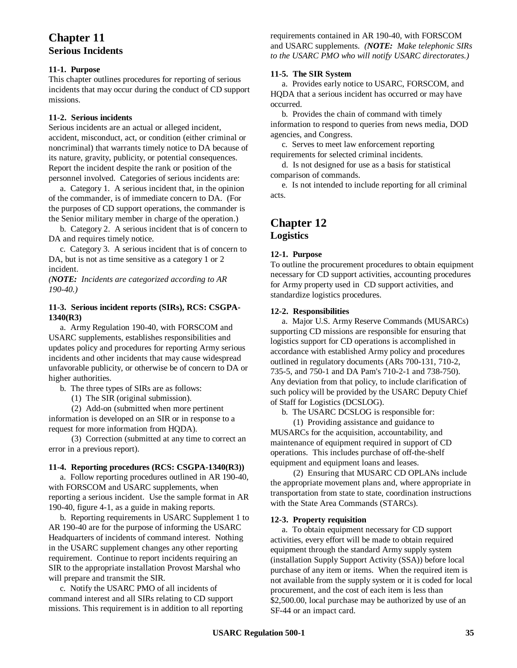## **Chapter 11 Serious Incidents**

#### **11-1. Purpose**

This chapter outlines procedures for reporting of serious incidents that may occur during the conduct of CD support missions.

#### **11-2. Serious incidents**

Serious incidents are an actual or alleged incident, accident, misconduct, act, or condition (either criminal or noncriminal) that warrants timely notice to DA because of its nature, gravity, publicity, or potential consequences. Report the incident despite the rank or position of the personnel involved. Categories of serious incidents are:

a. Category 1. A serious incident that, in the opinion of the commander, is of immediate concern to DA. (For the purposes of CD support operations, the commander is the Senior military member in charge of the operation.)

b. Category 2. A serious incident that is of concern to DA and requires timely notice.

c. Category 3. A serious incident that is of concern to DA, but is not as time sensitive as a category 1 or 2 incident.

*(NOTE: Incidents are categorized according to AR 190-40.)*

#### **11-3. Serious incident reports (SIRs), RCS: CSGPA-1340(R3)**

a. Army Regulation 190-40, with FORSCOM and USARC supplements, establishes responsibilities and updates policy and procedures for reporting Army serious incidents and other incidents that may cause widespread unfavorable publicity, or otherwise be of concern to DA or higher authorities.

b. The three types of SIRs are as follows:

(1) The SIR (original submission).

(2) Add-on (submitted when more pertinent information is developed on an SIR or in response to a request for more information from HQDA).

(3) Correction (submitted at any time to correct an error in a previous report).

#### **11-4. Reporting procedures (RCS: CSGPA-1340(R3))**

a. Follow reporting procedures outlined in AR 190-40, with FORSCOM and USARC supplements, when reporting a serious incident. Use the sample format in AR 190-40, figure 4-1, as a guide in making reports.

b. Reporting requirements in USARC Supplement 1 to AR 190-40 are for the purpose of informing the USARC Headquarters of incidents of command interest. Nothing in the USARC supplement changes any other reporting requirement. Continue to report incidents requiring an SIR to the appropriate installation Provost Marshal who will prepare and transmit the SIR.

c. Notify the USARC PMO of all incidents of command interest and all SIRs relating to CD support missions. This requirement is in addition to all reporting requirements contained in AR 190-40, with FORSCOM and USARC supplements. *(NOTE: Make telephonic SIRs to the USARC PMO who will notify USARC directorates.)*

#### **11-5. The SIR System**

a. Provides early notice to USARC, FORSCOM, and HQDA that a serious incident has occurred or may have occurred.

b. Provides the chain of command with timely information to respond to queries from news media, DOD agencies, and Congress.

c. Serves to meet law enforcement reporting requirements for selected criminal incidents.

d. Is not designed for use as a basis for statistical comparison of commands.

e. Is not intended to include reporting for all criminal acts.

## **Chapter 12 Logistics**

## **12-1. Purpose**

To outline the procurement procedures to obtain equipment necessary for CD support activities, accounting procedures for Army property used in CD support activities, and standardize logistics procedures.

#### **12-2. Responsibilities**

a. Major U.S. Army Reserve Commands (MUSARCs) supporting CD missions are responsible for ensuring that logistics support for CD operations is accomplished in accordance with established Army policy and procedures outlined in regulatory documents (ARs 700-131, 710-2, 735-5, and 750-1 and DA Pam's 710-2-1 and 738-750). Any deviation from that policy, to include clarification of such policy will be provided by the USARC Deputy Chief of Staff for Logistics (DCSLOG).

b. The USARC DCSLOG is responsible for:

(1) Providing assistance and guidance to MUSARCs for the acquisition, accountability, and maintenance of equipment required in support of CD operations. This includes purchase of off-the-shelf equipment and equipment loans and leases.

(2) Ensuring that MUSARC CD OPLANs include the appropriate movement plans and, where appropriate in transportation from state to state, coordination instructions with the State Area Commands (STARCs).

#### **12-3. Property requisition**

a. To obtain equipment necessary for CD support activities, every effort will be made to obtain required equipment through the standard Army supply system (installation Supply Support Activity (SSA)) before local purchase of any item or items. When the required item is not available from the supply system or it is coded for local procurement, and the cost of each item is less than \$2,500.00, local purchase may be authorized by use of an SF-44 or an impact card.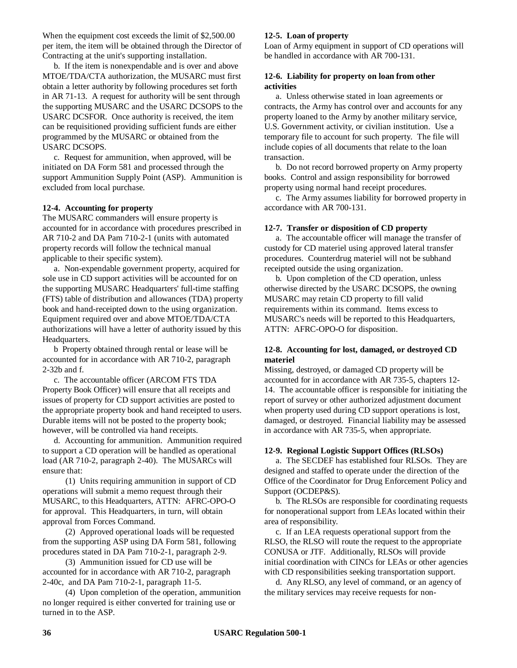When the equipment cost exceeds the limit of \$2,500.00 per item, the item will be obtained through the Director of Contracting at the unit's supporting installation.

b. If the item is nonexpendable and is over and above MTOE/TDA/CTA authorization, the MUSARC must first obtain a letter authority by following procedures set forth in AR 71-13. A request for authority will be sent through the supporting MUSARC and the USARC DCSOPS to the USARC DCSFOR. Once authority is received, the item can be requisitioned providing sufficient funds are either programmed by the MUSARC or obtained from the USARC DCSOPS.

c. Request for ammunition, when approved, will be initiated on DA Form 581 and processed through the support Ammunition Supply Point (ASP). Ammunition is excluded from local purchase.

#### **12-4. Accounting for property**

The MUSARC commanders will ensure property is accounted for in accordance with procedures prescribed in AR 710-2 and DA Pam 710-2-1 (units with automated property records will follow the technical manual applicable to their specific system).

a. Non-expendable government property, acquired for sole use in CD support activities will be accounted for on the supporting MUSARC Headquarters' full-time staffing (FTS) table of distribution and allowances (TDA) property book and hand-receipted down to the using organization. Equipment required over and above MTOE/TDA/CTA authorizations will have a letter of authority issued by this Headquarters.

b Property obtained through rental or lease will be accounted for in accordance with AR 710-2, paragraph 2-32b and f.

c. The accountable officer (ARCOM FTS TDA Property Book Officer) will ensure that all receipts and issues of property for CD support activities are posted to the appropriate property book and hand receipted to users. Durable items will not be posted to the property book; however, will be controlled via hand receipts.

d. Accounting for ammunition. Ammunition required to support a CD operation will be handled as operational load (AR 710-2, paragraph 2-40). The MUSARCs will ensure that:

(1) Units requiring ammunition in support of CD operations will submit a memo request through their MUSARC, to this Headquarters, ATTN: AFRC-OPO-O for approval. This Headquarters, in turn, will obtain approval from Forces Command.

(2) Approved operational loads will be requested from the supporting ASP using DA Form 581, following procedures stated in DA Pam 710-2-1, paragraph 2-9.

(3) Ammunition issued for CD use will be accounted for in accordance with AR 710-2, paragraph 2-40c, and DA Pam 710-2-1, paragraph 11-5.

(4) Upon completion of the operation, ammunition no longer required is either converted for training use or turned in to the ASP.

#### **12-5. Loan of property**

Loan of Army equipment in support of CD operations will be handled in accordance with AR 700-131.

#### **12-6. Liability for property on loan from other activities**

a. Unless otherwise stated in loan agreements or contracts, the Army has control over and accounts for any property loaned to the Army by another military service, U.S. Government activity, or civilian institution. Use a temporary file to account for such property. The file will include copies of all documents that relate to the loan transaction.

b. Do not record borrowed property on Army property books. Control and assign responsibility for borrowed property using normal hand receipt procedures.

c. The Army assumes liability for borrowed property in accordance with AR 700-131.

#### **12-7. Transfer or disposition of CD property**

a. The accountable officer will manage the transfer of custody for CD materiel using approved lateral transfer procedures. Counterdrug materiel will not be subhand receipted outside the using organization.

b. Upon completion of the CD operation, unless otherwise directed by the USARC DCSOPS, the owning MUSARC may retain CD property to fill valid requirements within its command. Items excess to MUSARC's needs will be reported to this Headquarters, ATTN: AFRC-OPO-O for disposition.

#### **12-8. Accounting for lost, damaged, or destroyed CD materiel**

Missing, destroyed, or damaged CD property will be accounted for in accordance with AR 735-5, chapters 12- 14. The accountable officer is responsible for initiating the report of survey or other authorized adjustment document when property used during CD support operations is lost, damaged, or destroyed. Financial liability may be assessed in accordance with AR 735-5, when appropriate.

#### **12-9. Regional Logistic Support Offices (RLSOs)**

a. The SECDEF has established four RLSOs. They are designed and staffed to operate under the direction of the Office of the Coordinator for Drug Enforcement Policy and Support (OCDEP&S).

b. The RLSOs are responsible for coordinating requests for nonoperational support from LEAs located within their area of responsibility.

c. If an LEA requests operational support from the RLSO, the RLSO will route the request to the appropriate CONUSA or JTF. Additionally, RLSOs will provide initial coordination with CINCs for LEAs or other agencies with CD responsibilities seeking transportation support.

d. Any RLSO, any level of command, or an agency of the military services may receive requests for non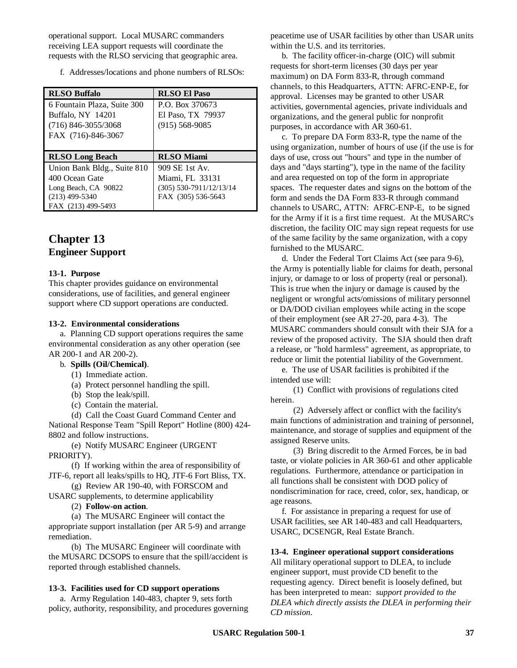operational support. Local MUSARC commanders receiving LEA support requests will coordinate the requests with the RLSO servicing that geographic area.

f. Addresses/locations and phone numbers of RLSOs:

| <b>RLSO Buffalo</b>         | <b>RLSO El Paso</b>       |
|-----------------------------|---------------------------|
| 6 Fountain Plaza, Suite 300 | P.O. Box 370673           |
| Buffalo, NY 14201           | El Paso, TX 79937         |
| $(716)$ 846-3055/3068       | $(915) 568 - 9085$        |
| FAX (716)-846-3067          |                           |
|                             |                           |
| <b>RLSO Long Beach</b>      |                           |
|                             | <b>RLSO</b> Miami         |
| Union Bank Bldg., Suite 810 | 909 SE 1st Av.            |
| 400 Ocean Gate              | Miami, FL 33131           |
| Long Beach, CA 90822        | $(305)$ 530-7911/12/13/14 |
| $(213)$ 499-5340            | FAX (305) 536-5643        |

## **Chapter 13 Engineer Support**

#### **13-1. Purpose**

This chapter provides guidance on environmental considerations, use of facilities, and general engineer support where CD support operations are conducted.

#### **13-2. Environmental considerations**

a. Planning CD support operations requires the same environmental consideration as any other operation (see AR 200-1 and AR 200-2).

#### b. **Spills (Oil/Chemical)**.

- (1) Immediate action.
- (a) Protect personnel handling the spill.
- (b) Stop the leak/spill.
- (c) Contain the material.

(d) Call the Coast Guard Command Center and National Response Team "Spill Report" Hotline (800) 424-

8802 and follow instructions. (e) Notify MUSARC Engineer (URGENT PRIORITY).

(f) If working within the area of responsibility of JTF-6, report all leaks/spills to HQ, JTF-6 Fort Bliss, TX.

(g) Review AR 190-40, with FORSCOM and USARC supplements, to determine applicability

#### (2) **Follow-on action**.

(a) The MUSARC Engineer will contact the appropriate support installation (per AR 5-9) and arrange remediation.

(b) The MUSARC Engineer will coordinate with the MUSARC DCSOPS to ensure that the spill/accident is reported through established channels.

#### **13-3. Facilities used for CD support operations**

a. Army Regulation 140-483, chapter 9, sets forth policy, authority, responsibility, and procedures governing peacetime use of USAR facilities by other than USAR units within the U.S. and its territories.

b. The facility officer-in-charge (OIC) will submit requests for short-term licenses (30 days per year maximum) on DA Form 833-R, through command channels, to this Headquarters, ATTN: AFRC-ENP-E, for approval. Licenses may be granted to other USAR activities, governmental agencies, private individuals and organizations, and the general public for nonprofit purposes, in accordance with AR 360-61.

c. To prepare DA Form 833-R, type the name of the using organization, number of hours of use (if the use is for days of use, cross out "hours" and type in the number of days and "days starting"), type in the name of the facility and area requested on top of the form in appropriate spaces. The requester dates and signs on the bottom of the form and sends the DA Form 833-R through command channels to USARC, ATTN: AFRC-ENP-E, to be signed for the Army if it is a first time request. At the MUSARC's discretion, the facility OIC may sign repeat requests for use of the same facility by the same organization, with a copy furnished to the MUSARC.

d. Under the Federal Tort Claims Act (see para 9-6), the Army is potentially liable for claims for death, personal injury, or damage to or loss of property (real or personal). This is true when the injury or damage is caused by the negligent or wrongful acts/omissions of military personnel or DA/DOD civilian employees while acting in the scope of their employment (see AR 27-20, para 4-3). The MUSARC commanders should consult with their SJA for a review of the proposed activity. The SJA should then draft a release, or "hold harmless" agreement, as appropriate, to reduce or limit the potential liability of the Government.

e. The use of USAR facilities is prohibited if the intended use will:

(1) Conflict with provisions of regulations cited herein.

(2) Adversely affect or conflict with the facility's main functions of administration and training of personnel, maintenance, and storage of supplies and equipment of the assigned Reserve units.

(3) Bring discredit to the Armed Forces, be in bad taste, or violate policies in AR 360-61 and other applicable regulations. Furthermore, attendance or participation in all functions shall be consistent with DOD policy of nondiscrimination for race, creed, color, sex, handicap, or age reasons.

f. For assistance in preparing a request for use of USAR facilities, see AR 140-483 and call Headquarters, USARC, DCSENGR, Real Estate Branch.

#### **13-4. Engineer operational support considerations**

All military operational support to DLEA, to include engineer support, must provide CD benefit to the requesting agency. Direct benefit is loosely defined, but has been interpreted to mean: *support provided to the DLEA which directly assists the DLEA in performing their CD mission*.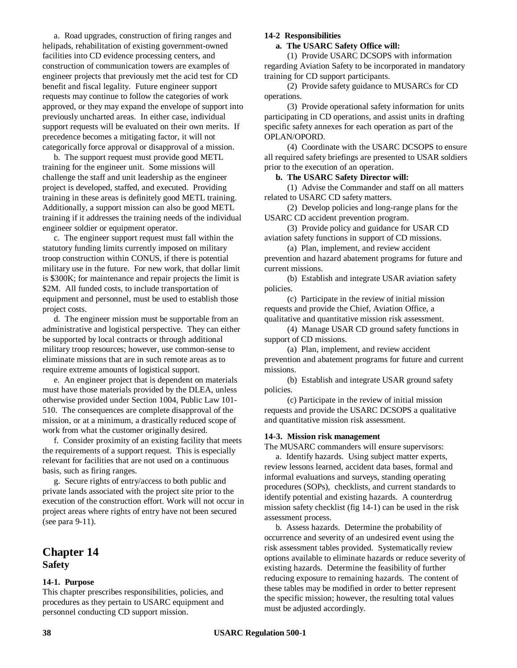a. Road upgrades, construction of firing ranges and helipads, rehabilitation of existing government-owned facilities into CD evidence processing centers, and construction of communication towers are examples of engineer projects that previously met the acid test for CD benefit and fiscal legality. Future engineer support requests may continue to follow the categories of work approved, or they may expand the envelope of support into previously uncharted areas. In either case, individual support requests will be evaluated on their own merits. If precedence becomes a mitigating factor, it will not categorically force approval or disapproval of a mission.

b. The support request must provide good METL training for the engineer unit. Some missions will challenge the staff and unit leadership as the engineer project is developed, staffed, and executed. Providing training in these areas is definitely good METL training. Additionally, a support mission can also be good METL training if it addresses the training needs of the individual engineer soldier or equipment operator.

c. The engineer support request must fall within the statutory funding limits currently imposed on military troop construction within CONUS, if there is potential military use in the future. For new work, that dollar limit is \$300K; for maintenance and repair projects the limit is \$2M. All funded costs, to include transportation of equipment and personnel, must be used to establish those project costs.

d. The engineer mission must be supportable from an administrative and logistical perspective. They can either be supported by local contracts or through additional military troop resources; however, use common-sense to eliminate missions that are in such remote areas as to require extreme amounts of logistical support.

e. An engineer project that is dependent on materials must have those materials provided by the DLEA, unless otherwise provided under Section 1004, Public Law 101- 510. The consequences are complete disapproval of the mission, or at a minimum, a drastically reduced scope of work from what the customer originally desired.

f. Consider proximity of an existing facility that meets the requirements of a support request. This is especially relevant for facilities that are not used on a continuous basis, such as firing ranges.

g. Secure rights of entry/access to both public and private lands associated with the project site prior to the execution of the construction effort. Work will not occur in project areas where rights of entry have not been secured (see para 9-11).

## **Chapter 14 Safety**

#### **14-1. Purpose**

This chapter prescribes responsibilities, policies, and procedures as they pertain to USARC equipment and personnel conducting CD support mission.

#### **14-2 Responsibilities**

#### **a. The USARC Safety Office will:**

(1) Provide USARC DCSOPS with information regarding Aviation Safety to be incorporated in mandatory training for CD support participants.

(2) Provide safety guidance to MUSARCs for CD operations.

(3) Provide operational safety information for units participating in CD operations, and assist units in drafting specific safety annexes for each operation as part of the OPLAN/OPORD.

(4) Coordinate with the USARC DCSOPS to ensure all required safety briefings are presented to USAR soldiers prior to the execution of an operation.

#### **b. The USARC Safety Director will:**

(1) Advise the Commander and staff on all matters related to USARC CD safety matters.

(2) Develop policies and long-range plans for the USARC CD accident prevention program.

(3) Provide policy and guidance for USAR CD aviation safety functions in support of CD missions.

(a) Plan, implement, and review accident prevention and hazard abatement programs for future and current missions.

(b) Establish and integrate USAR aviation safety policies.

(c) Participate in the review of initial mission requests and provide the Chief, Aviation Office, a qualitative and quantitative mission risk assessment.

(4) Manage USAR CD ground safety functions in support of CD missions.

(a) Plan, implement, and review accident prevention and abatement programs for future and current missions.

(b) Establish and integrate USAR ground safety policies.

(c) Participate in the review of initial mission requests and provide the USARC DCSOPS a qualitative and quantitative mission risk assessment.

#### **14-3. Mission risk management**

The MUSARC commanders will ensure supervisors:

a. Identify hazards. Using subject matter experts, review lessons learned, accident data bases, formal and informal evaluations and surveys, standing operating procedures (SOPs), checklists, and current standards to identify potential and existing hazards. A counterdrug mission safety checklist (fig 14-1) can be used in the risk assessment process.

b. Assess hazards. Determine the probability of occurrence and severity of an undesired event using the risk assessment tables provided. Systematically review options available to eliminate hazards or reduce severity of existing hazards. Determine the feasibility of further reducing exposure to remaining hazards. The content of these tables may be modified in order to better represent the specific mission; however, the resulting total values must be adjusted accordingly.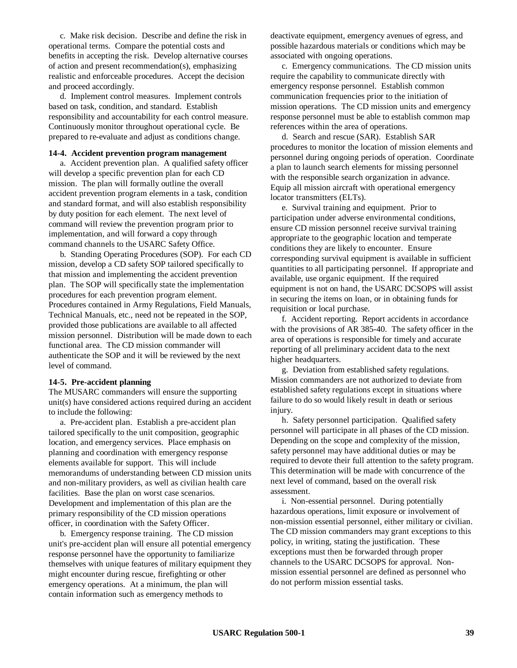c. Make risk decision. Describe and define the risk in operational terms. Compare the potential costs and benefits in accepting the risk. Develop alternative courses of action and present recommendation(s), emphasizing realistic and enforceable procedures. Accept the decision and proceed accordingly.

d. Implement control measures. Implement controls based on task, condition, and standard. Establish responsibility and accountability for each control measure. Continuously monitor throughout operational cycle. Be prepared to re-evaluate and adjust as conditions change.

#### **14-4. Accident prevention program management**

a. Accident prevention plan. A qualified safety officer will develop a specific prevention plan for each CD mission. The plan will formally outline the overall accident prevention program elements in a task, condition and standard format, and will also establish responsibility by duty position for each element. The next level of command will review the prevention program prior to implementation, and will forward a copy through command channels to the USARC Safety Office.

b. Standing Operating Procedures (SOP). For each CD mission, develop a CD safety SOP tailored specifically to that mission and implementing the accident prevention plan. The SOP will specifically state the implementation procedures for each prevention program element. Procedures contained in Army Regulations, Field Manuals, Technical Manuals, etc., need not be repeated in the SOP, provided those publications are available to all affected mission personnel. Distribution will be made down to each functional area. The CD mission commander will authenticate the SOP and it will be reviewed by the next level of command.

#### **14-5. Pre-accident planning**

The MUSARC commanders will ensure the supporting unit(s) have considered actions required during an accident to include the following:

a. Pre-accident plan. Establish a pre-accident plan tailored specifically to the unit composition, geographic location, and emergency services. Place emphasis on planning and coordination with emergency response elements available for support. This will include memorandums of understanding between CD mission units and non-military providers, as well as civilian health care facilities. Base the plan on worst case scenarios. Development and implementation of this plan are the primary responsibility of the CD mission operations officer, in coordination with the Safety Officer.

b. Emergency response training. The CD mission unit's pre-accident plan will ensure all potential emergency response personnel have the opportunity to familiarize themselves with unique features of military equipment they might encounter during rescue, firefighting or other emergency operations. At a minimum, the plan will contain information such as emergency methods to

deactivate equipment, emergency avenues of egress, and possible hazardous materials or conditions which may be associated with ongoing operations.

c. Emergency communications. The CD mission units require the capability to communicate directly with emergency response personnel. Establish common communication frequencies prior to the initiation of mission operations. The CD mission units and emergency response personnel must be able to establish common map references within the area of operations.

d. Search and rescue (SAR). Establish SAR procedures to monitor the location of mission elements and personnel during ongoing periods of operation. Coordinate a plan to launch search elements for missing personnel with the responsible search organization in advance. Equip all mission aircraft with operational emergency locator transmitters (ELTs).

e. Survival training and equipment. Prior to participation under adverse environmental conditions, ensure CD mission personnel receive survival training appropriate to the geographic location and temperate conditions they are likely to encounter. Ensure corresponding survival equipment is available in sufficient quantities to all participating personnel. If appropriate and available, use organic equipment. If the required equipment is not on hand, the USARC DCSOPS will assist in securing the items on loan, or in obtaining funds for requisition or local purchase.

f. Accident reporting. Report accidents in accordance with the provisions of AR 385-40. The safety officer in the area of operations is responsible for timely and accurate reporting of all preliminary accident data to the next higher headquarters.

g. Deviation from established safety regulations. Mission commanders are not authorized to deviate from established safety regulations except in situations where failure to do so would likely result in death or serious injury.

h. Safety personnel participation. Qualified safety personnel will participate in all phases of the CD mission. Depending on the scope and complexity of the mission, safety personnel may have additional duties or may be required to devote their full attention to the safety program. This determination will be made with concurrence of the next level of command, based on the overall risk assessment.

i. Non-essential personnel. During potentially hazardous operations, limit exposure or involvement of non-mission essential personnel, either military or civilian. The CD mission commanders may grant exceptions to this policy, in writing, stating the justification. These exceptions must then be forwarded through proper channels to the USARC DCSOPS for approval. Nonmission essential personnel are defined as personnel who do not perform mission essential tasks.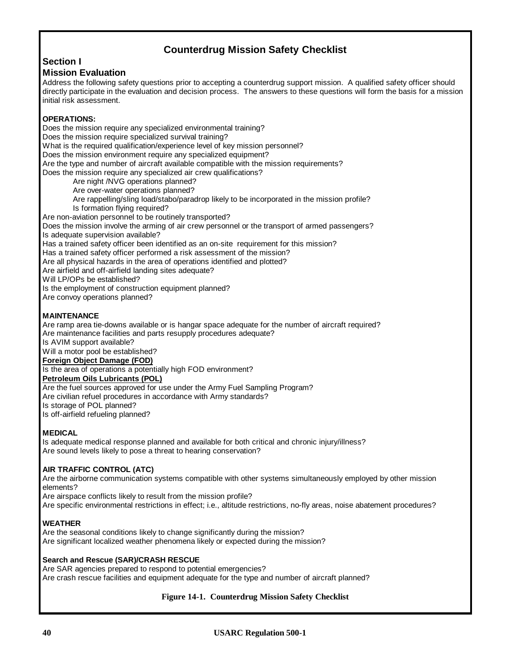## **Counterdrug Mission Safety Checklist**

## **Section I**

#### **Mission Evaluation**

Address the following safety questions prior to accepting a counterdrug support mission. A qualified safety officer should directly participate in the evaluation and decision process. The answers to these questions will form the basis for a mission initial risk assessment.

#### **OPERATIONS:**

Does the mission require any specialized environmental training? Does the mission require specialized survival training? What is the required qualification/experience level of key mission personnel? Does the mission environment require any specialized equipment? Are the type and number of aircraft available compatible with the mission requirements? Does the mission require any specialized air crew qualifications? Are night /NVG operations planned? Are over-water operations planned? Are rappelling/sling load/stabo/paradrop likely to be incorporated in the mission profile? Is formation flying required? Are non-aviation personnel to be routinely transported? Does the mission involve the arming of air crew personnel or the transport of armed passengers? Is adequate supervision available? Has a trained safety officer been identified as an on-site requirement for this mission? Has a trained safety officer performed a risk assessment of the mission? Are all physical hazards in the area of operations identified and plotted? Are airfield and off-airfield landing sites adequate? Will LP/OPs be established? Is the employment of construction equipment planned? Are convoy operations planned? **MAINTENANCE** Are ramp area tie-downs available or is hangar space adequate for the number of aircraft required? Are maintenance facilities and parts resupply procedures adequate?

Is AVIM support available?

Will a motor pool be established?

#### **Foreign Object Damage (FOD)**

Is the area of operations a potentially high FOD environment?

#### **Petroleum Oils Lubricants (POL)**

Are the fuel sources approved for use under the Army Fuel Sampling Program?

Are civilian refuel procedures in accordance with Army standards?

Is storage of POL planned?

Is off-airfield refueling planned?

#### **MEDICAL**

Is adequate medical response planned and available for both critical and chronic injury/illness? Are sound levels likely to pose a threat to hearing conservation?

#### **AIR TRAFFIC CONTROL (ATC)**

Are the airborne communication systems compatible with other systems simultaneously employed by other mission elements?

Are airspace conflicts likely to result from the mission profile?

Are specific environmental restrictions in effect; i.e., altitude restrictions, no-fly areas, noise abatement procedures?

#### **WEATHER**

Are the seasonal conditions likely to change significantly during the mission? Are significant localized weather phenomena likely or expected during the mission?

#### **Search and Rescue (SAR)/CRASH RESCUE**

Are SAR agencies prepared to respond to potential emergencies? Are crash rescue facilities and equipment adequate for the type and number of aircraft planned?

#### **Figure 14-1. Counterdrug Mission Safety Checklist**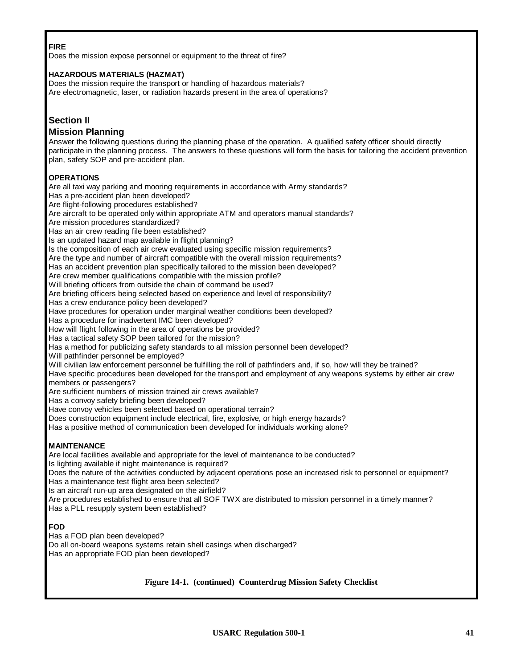#### **FIRE**

Does the mission expose personnel or equipment to the threat of fire?

#### **HAZARDOUS MATERIALS (HAZMAT)**

Does the mission require the transport or handling of hazardous materials? Are electromagnetic, laser, or radiation hazards present in the area of operations?

## **Section II**

#### **Mission Planning**

Answer the following questions during the planning phase of the operation. A qualified safety officer should directly participate in the planning process. The answers to these questions will form the basis for tailoring the accident prevention plan, safety SOP and pre-accident plan.

#### **OPERATIONS**

Are all taxi way parking and mooring requirements in accordance with Army standards? Has a pre-accident plan been developed? Are flight-following procedures established? Are aircraft to be operated only within appropriate ATM and operators manual standards? Are mission procedures standardized? Has an air crew reading file been established? Is an updated hazard map available in flight planning? Is the composition of each air crew evaluated using specific mission requirements? Are the type and number of aircraft compatible with the overall mission requirements? Has an accident prevention plan specifically tailored to the mission been developed? Are crew member qualifications compatible with the mission profile? Will briefing officers from outside the chain of command be used? Are briefing officers being selected based on experience and level of responsibility? Has a crew endurance policy been developed? Have procedures for operation under marginal weather conditions been developed? Has a procedure for inadvertent IMC been developed? How will flight following in the area of operations be provided? Has a tactical safety SOP been tailored for the mission? Has a method for publicizing safety standards to all mission personnel been developed? Will pathfinder personnel be employed? Will civilian law enforcement personnel be fulfilling the roll of pathfinders and, if so, how will they be trained? Have specific procedures been developed for the transport and employment of any weapons systems by either air crew members or passengers? Are sufficient numbers of mission trained air crews available? Has a convoy safety briefing been developed? Have convoy vehicles been selected based on operational terrain? Does construction equipment include electrical, fire, explosive, or high energy hazards? Has a positive method of communication been developed for individuals working alone? **MAINTENANCE** Are local facilities available and appropriate for the level of maintenance to be conducted? Is lighting available if night maintenance is required? Does the nature of the activities conducted by adjacent operations pose an increased risk to personnel or equipment? Has a maintenance test flight area been selected? Is an aircraft run-up area designated on the airfield?

Are procedures established to ensure that all SOF TWX are distributed to mission personnel in a timely manner? Has a PLL resupply system been established?

#### **FOD**

Has a FOD plan been developed? Do all on-board weapons systems retain shell casings when discharged? Has an appropriate FOD plan been developed?

#### **Figure 14-1. (continued) Counterdrug Mission Safety Checklist**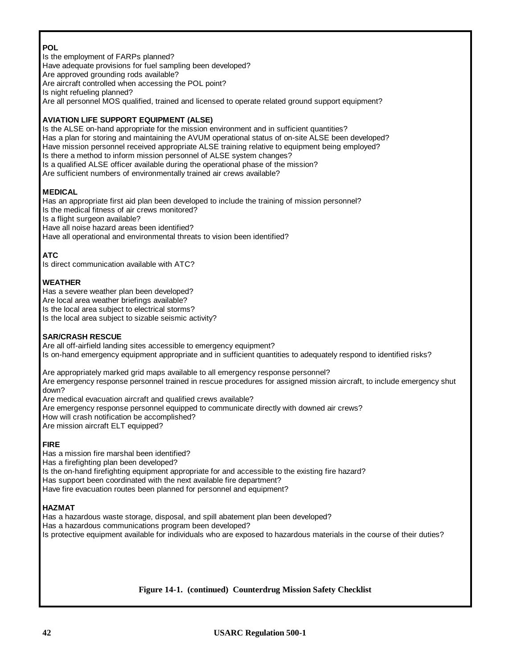## **POL**

Is the employment of FARPs planned? Have adequate provisions for fuel sampling been developed? Are approved grounding rods available? Are aircraft controlled when accessing the POL point? Is night refueling planned? Are all personnel MOS qualified, trained and licensed to operate related ground support equipment?

#### **AVIATION LIFE SUPPORT EQUIPMENT (ALSE)**

Is the ALSE on-hand appropriate for the mission environment and in sufficient quantities? Has a plan for storing and maintaining the AVUM operational status of on-site ALSE been developed? Have mission personnel received appropriate ALSE training relative to equipment being employed? Is there a method to inform mission personnel of ALSE system changes? Is a qualified ALSE officer available during the operational phase of the mission? Are sufficient numbers of environmentally trained air crews available?

## **MEDICAL**

Has an appropriate first aid plan been developed to include the training of mission personnel? Is the medical fitness of air crews monitored? Is a flight surgeon available? Have all noise hazard areas been identified? Have all operational and environmental threats to vision been identified?

#### **ATC**

Is direct communication available with ATC?

#### **WEATHER**

Has a severe weather plan been developed? Are local area weather briefings available? Is the local area subject to electrical storms? Is the local area subject to sizable seismic activity?

#### **SAR/CRASH RESCUE**

Are all off-airfield landing sites accessible to emergency equipment? Is on-hand emergency equipment appropriate and in sufficient quantities to adequately respond to identified risks?

Are appropriately marked grid maps available to all emergency response personnel? Are emergency response personnel trained in rescue procedures for assigned mission aircraft, to include emergency shut down?

Are medical evacuation aircraft and qualified crews available? Are emergency response personnel equipped to communicate directly with downed air crews? How will crash notification be accomplished? Are mission aircraft ELT equipped?

#### **FIRE**

Has a mission fire marshal been identified? Has a firefighting plan been developed? Is the on-hand firefighting equipment appropriate for and accessible to the existing fire hazard? Has support been coordinated with the next available fire department? Have fire evacuation routes been planned for personnel and equipment?

#### **HAZMAT**

Has a hazardous waste storage, disposal, and spill abatement plan been developed? Has a hazardous communications program been developed? Is protective equipment available for individuals who are exposed to hazardous materials in the course of their duties?

**Figure 14-1. (continued) Counterdrug Mission Safety Checklist**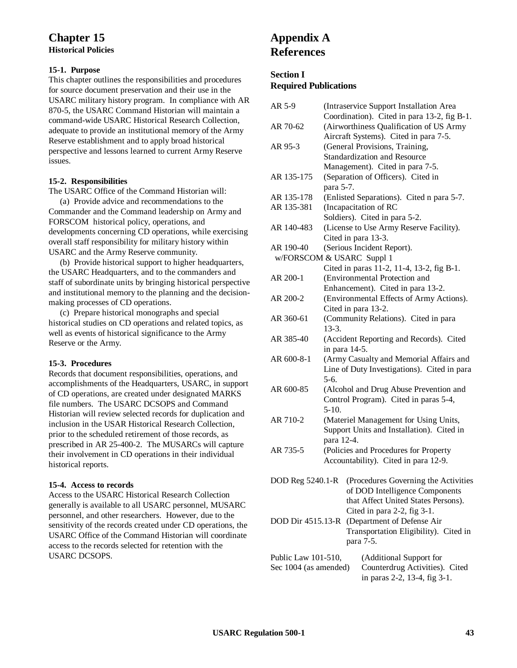## **Chapter 15 Historical Policies**

#### **15-1. Purpose**

This chapter outlines the responsibilities and procedures for source document preservation and their use in the USARC military history program. In compliance with AR 870-5, the USARC Command Historian will maintain a command-wide USARC Historical Research Collection, adequate to provide an institutional memory of the Army Reserve establishment and to apply broad historical perspective and lessons learned to current Army Reserve issues.

#### **15-2. Responsibilities**

The USARC Office of the Command Historian will:

(a) Provide advice and recommendations to the Commander and the Command leadership on Army and FORSCOM historical policy, operations, and developments concerning CD operations, while exercising overall staff responsibility for military history within USARC and the Army Reserve community.

(b) Provide historical support to higher headquarters, the USARC Headquarters, and to the commanders and staff of subordinate units by bringing historical perspective and institutional memory to the planning and the decisionmaking processes of CD operations.

(c) Prepare historical monographs and special historical studies on CD operations and related topics, as well as events of historical significance to the Army Reserve or the Army.

#### **15-3. Procedures**

Records that document responsibilities, operations, and accomplishments of the Headquarters, USARC, in support of CD operations, are created under designated MARKS file numbers. The USARC DCSOPS and Command Historian will review selected records for duplication and inclusion in the USAR Historical Research Collection, prior to the scheduled retirement of those records, as prescribed in AR 25-400-2. The MUSARCs will capture their involvement in CD operations in their individual historical reports.

#### **15-4. Access to records**

Access to the USARC Historical Research Collection generally is available to all USARC personnel, MUSARC personnel, and other researchers. However, due to the sensitivity of the records created under CD operations, the USARC Office of the Command Historian will coordinate access to the records selected for retention with the USARC DCSOPS.

## **Appendix A References**

#### **Section I**

**Required Publications**

| AR 5-9                | (Intraservice Support Installation Area               |  |  |
|-----------------------|-------------------------------------------------------|--|--|
|                       | Coordination). Cited in para 13-2, fig B-1.           |  |  |
| AR 70-62              | (Airworthiness Qualification of US Army               |  |  |
|                       | Aircraft Systems). Cited in para 7-5.                 |  |  |
| AR 95-3               | (General Provisions, Training,                        |  |  |
|                       | Standardization and Resource                          |  |  |
|                       | Management). Cited in para 7-5.                       |  |  |
| AR 135-175            | (Separation of Officers). Cited in                    |  |  |
|                       | para 5-7.                                             |  |  |
| AR 135-178            | (Enlisted Separations). Cited n para 5-7.             |  |  |
| AR 135-381            | (Incapacitation of RC                                 |  |  |
|                       | Soldiers). Cited in para 5-2.                         |  |  |
| AR 140-483            | (License to Use Army Reserve Facility).               |  |  |
|                       | Cited in para 13-3.                                   |  |  |
| AR 190-40             | (Serious Incident Report).                            |  |  |
|                       | w/FORSCOM & USARC Suppl 1                             |  |  |
|                       | Cited in paras 11-2, 11-4, 13-2, fig B-1.             |  |  |
| AR 200-1              | (Environmental Protection and                         |  |  |
|                       | Enhancement). Cited in para 13-2.                     |  |  |
| AR 200-2              | (Environmental Effects of Army Actions).              |  |  |
|                       | Cited in para 13-2.                                   |  |  |
| AR 360-61             | (Community Relations). Cited in para                  |  |  |
|                       | $13-3.$                                               |  |  |
| AR 385-40             | (Accident Reporting and Records). Cited               |  |  |
|                       | in para 14-5.                                         |  |  |
| AR 600-8-1            | (Army Casualty and Memorial Affairs and               |  |  |
|                       | Line of Duty Investigations). Cited in para           |  |  |
|                       | $5-6.$                                                |  |  |
| AR 600-85             |                                                       |  |  |
|                       | (Alcohol and Drug Abuse Prevention and                |  |  |
|                       | Control Program). Cited in paras 5-4,<br>$5-10.$      |  |  |
|                       |                                                       |  |  |
| AR 710-2              | (Materiel Management for Using Units,                 |  |  |
|                       | Support Units and Installation). Cited in             |  |  |
|                       | para 12-4.                                            |  |  |
| AR 735-5              | (Policies and Procedures for Property                 |  |  |
|                       | Accountability). Cited in para 12-9.                  |  |  |
|                       |                                                       |  |  |
|                       | DOD Reg 5240.1-R (Procedures Governing the Activities |  |  |
|                       | of DOD Intelligence Components                        |  |  |
|                       | that Affect United States Persons).                   |  |  |
|                       | Cited in para 2-2, fig 3-1.                           |  |  |
| DOD Dir 4515.13-R     | (Department of Defense Air                            |  |  |
|                       | Transportation Eligibility). Cited in                 |  |  |
|                       | para 7-5.                                             |  |  |
| Public Law 101-510,   | (Additional Support for                               |  |  |
| Sec 1004 (as amended) | Counterdrug Activities). Cited                        |  |  |
|                       | in paras 2-2, 13-4, fig 3-1.                          |  |  |
|                       |                                                       |  |  |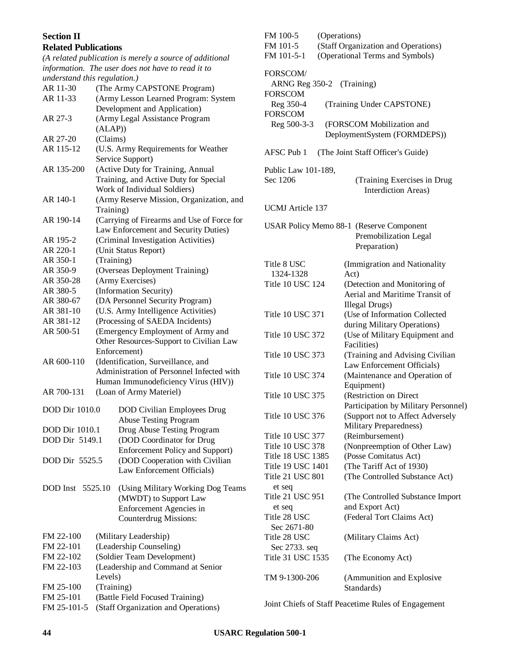#### **Section II**

#### **Related Publications**

*(A related publication is merely a source of additional information. The user does not have to read it to understand this regulation.)*  $\frac{30}{20}$  (The Army CAPSTONE Program)

| AK 11-30              | (The Army CAPSTONE Program)                                                     |
|-----------------------|---------------------------------------------------------------------------------|
| AR 11-33              | (Army Lesson Learned Program: System                                            |
|                       | Development and Application)                                                    |
| AR 27-3               | (Army Legal Assistance Program                                                  |
|                       | (ALAP))                                                                         |
| AR 27-20              | (Claims)                                                                        |
| AR 115-12             |                                                                                 |
|                       | (U.S. Army Requirements for Weather                                             |
|                       | Service Support)                                                                |
| AR 135-200            | (Active Duty for Training, Annual                                               |
|                       | Training, and Active Duty for Special                                           |
|                       | Work of Individual Soldiers)                                                    |
| AR 140-1              | (Army Reserve Mission, Organization, and                                        |
|                       | Training)                                                                       |
| AR 190-14             | (Carrying of Firearms and Use of Force for                                      |
|                       | Law Enforcement and Security Duties)                                            |
| AR 195-2              | (Criminal Investigation Activities)                                             |
| AR 220-1              | (Unit Status Report)                                                            |
| AR 350-1              | (Training)                                                                      |
| AR 350-9              | (Overseas Deployment Training)                                                  |
| AR 350-28             | (Army Exercises)                                                                |
| AR 380-5              | (Information Security)                                                          |
| AR 380-67             | (DA Personnel Security Program)                                                 |
| AR 381-10             | (U.S. Army Intelligence Activities)                                             |
| AR 381-12             | (Processing of SAEDA Incidents)                                                 |
| AR 500-51             | (Emergency Employment of Army and                                               |
|                       | Other Resources-Support to Civilian Law                                         |
|                       | Enforcement)                                                                    |
| AR 600-110            |                                                                                 |
|                       | (Identification, Surveillance, and<br>Administration of Personnel Infected with |
|                       |                                                                                 |
|                       | Human Immunodeficiency Virus (HIV))                                             |
| AR 700-131            | (Loan of Army Materiel)                                                         |
| <b>DOD Dir 1010.0</b> | <b>DOD Civilian Employees Drug</b>                                              |
|                       | <b>Abuse Testing Program</b>                                                    |
| <b>DOD Dir 1010.1</b> | Drug Abuse Testing Program                                                      |
| DOD Dir 5149.1        |                                                                                 |
|                       | (DOD Coordinator for Drug                                                       |
|                       | <b>Enforcement Policy and Support)</b>                                          |
| DOD Dir 5525.5        | (DOD Cooperation with Civilian                                                  |
|                       | Law Enforcement Officials)                                                      |
| DOD Inst 5525.10      | (Using Military Working Dog Teams                                               |
|                       | (MWDT) to Support Law                                                           |
|                       | Enforcement Agencies in                                                         |
|                       | <b>Counterdrug Missions:</b>                                                    |
|                       |                                                                                 |
| FM 22-100             | (Military Leadership)                                                           |
| FM 22-101             | (Leadership Counseling)                                                         |
| FM 22-102             | (Soldier Team Development)                                                      |
| FM 22-103             | (Leadership and Command at Senior                                               |
|                       | Levels)                                                                         |
| FM 25-100             | (Training)                                                                      |
|                       |                                                                                 |

FM 25-101 (Battle Field Focused Training) FM 25-101-5 (Staff Organization and Operations)

| FM 100-5<br>FM 101-5<br>FM 101-5-1                      | (Operations)<br>(Staff Organization and Operations)<br>(Operational Terms and Symbols) |                                                                                          |  |  |  |
|---------------------------------------------------------|----------------------------------------------------------------------------------------|------------------------------------------------------------------------------------------|--|--|--|
| FORSCOM/<br>ARNG Reg 350-2 (Training)<br><b>FORSCOM</b> |                                                                                        |                                                                                          |  |  |  |
| Reg 350-4<br><b>FORSCOM</b>                             |                                                                                        | (Training Under CAPSTONE)                                                                |  |  |  |
| Reg 500-3-3                                             |                                                                                        | (FORSCOM Mobilization and<br>DeploymentSystem (FORMDEPS))                                |  |  |  |
| AFSC Pub 1                                              |                                                                                        | (The Joint Staff Officer's Guide)                                                        |  |  |  |
| Public Law 101-189,<br>Sec 1206                         |                                                                                        | (Training Exercises in Drug<br>Interdiction Areas)                                       |  |  |  |
| <b>UCMJ</b> Article 137                                 |                                                                                        |                                                                                          |  |  |  |
|                                                         |                                                                                        | <b>USAR Policy Memo 88-1 (Reserve Component</b><br>Premobilization Legal<br>Preparation) |  |  |  |
| Title 8 USC<br>1324-1328                                |                                                                                        | (Immigration and Nationality<br>Act)                                                     |  |  |  |
| <b>Title 10 USC 124</b>                                 |                                                                                        | (Detection and Monitoring of<br>Aerial and Maritime Transit of<br>Illegal Drugs)         |  |  |  |
| <b>Title 10 USC 371</b>                                 |                                                                                        | (Use of Information Collected<br>during Military Operations)                             |  |  |  |
| Title 10 USC 372                                        |                                                                                        | (Use of Military Equipment and<br>Facilities)                                            |  |  |  |
| <b>Title 10 USC 373</b>                                 |                                                                                        | (Training and Advising Civilian<br>Law Enforcement Officials)                            |  |  |  |
| <b>Title 10 USC 374</b>                                 |                                                                                        | (Maintenance and Operation of<br>Equipment)                                              |  |  |  |
| <b>Title 10 USC 375</b>                                 |                                                                                        | (Restriction on Direct<br>Participation by Military Personnel)                           |  |  |  |
| Title 10 USC 376                                        |                                                                                        | (Support not to Affect Adversely<br>Military Preparedness)                               |  |  |  |
| Title 10 USC 377                                        |                                                                                        | (Reimbursement)                                                                          |  |  |  |
| Title 10 USC 378                                        |                                                                                        | (Nonpreemption of Other Law)                                                             |  |  |  |
| Title 18 USC 1385                                       |                                                                                        | (Posse Comitatus Act)                                                                    |  |  |  |
| Title 19 USC 1401                                       |                                                                                        | (The Tariff Act of 1930)                                                                 |  |  |  |
| Title 21 USC 801<br>et seq                              |                                                                                        | (The Controlled Substance Act)                                                           |  |  |  |
| Title 21 USC 951<br>et seq                              |                                                                                        | (The Controlled Substance Import)<br>and Export Act)                                     |  |  |  |
| Title 28 USC<br>Sec 2671-80                             |                                                                                        | (Federal Tort Claims Act)                                                                |  |  |  |
| Title 28 USC<br>Sec 2733. seq                           |                                                                                        | (Military Claims Act)                                                                    |  |  |  |
| Title 31 USC 1535                                       |                                                                                        | (The Economy Act)                                                                        |  |  |  |
| TM 9-1300-206                                           |                                                                                        | (Ammunition and Explosive<br>Standards)                                                  |  |  |  |

Joint Chiefs of Staff Peacetime Rules of Engagement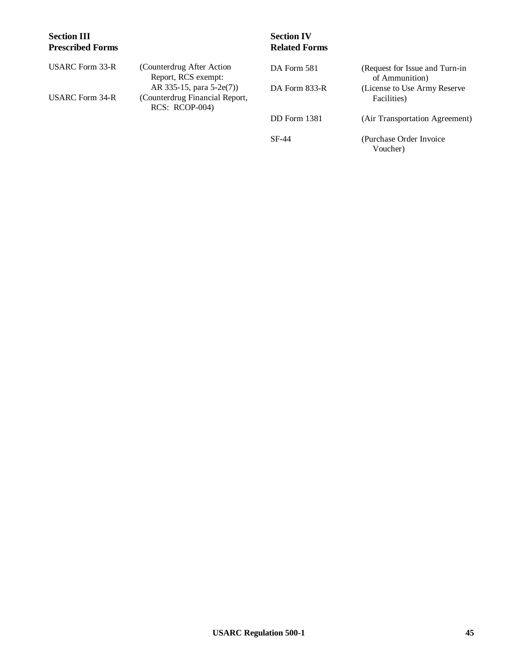## **Section III Prescribed Forms**

## **Section IV Related Forms**

Voucher)

| USARC Form 33-R | (Counterdrug After Action<br>Report, RCS exempt:           | DA Form 581   | (Request for Issue and Turn-in)                 |
|-----------------|------------------------------------------------------------|---------------|-------------------------------------------------|
| USARC Form 34-R | AR 335-15, para 5-2e(7))<br>(Counterdrug Financial Report, | DA Form 833-R | of Ammunition)<br>(License to Use Army Reserve) |
|                 | $RCS: RCOP-004$                                            |               | Facilities)                                     |
|                 |                                                            | DD Form 1381  | (Air Transportation Agreement)                  |
|                 |                                                            | SF-44         | (Purchase Order Invoice)                        |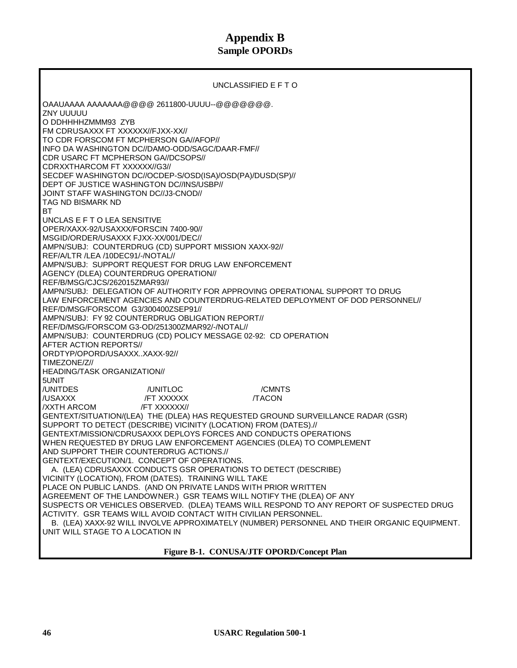## **Appendix B Sample OPORDs**

UNCLASSIFIED E F T O OAAUAAAA AAAAAAA@@@@ 2611800-UUUU--@@@@@@@. ZNY UUUUU O DDHHHHZMMM93 ZYB FM CDRUSAXXX FT XXXXXX//FJXX-XX// TO CDR FORSCOM FT MCPHERSON GA//AFOP// INFO DA WASHINGTON DC//DAMO-ODD/SAGC/DAAR-FMF// CDR USARC FT MCPHERSON GA//DCSOPS// CDRXXTHARCOM FT XXXXXX//G3// SECDEF WASHINGTON DC//OCDEP-S/OSD(ISA)/OSD(PA)/DUSD(SP)// DEPT OF JUSTICE WASHINGTON DC//INS/USBP// JOINT STAFF WASHINGTON DC//J3-CNOD// TAG ND BISMARK ND BT UNCLAS E F T O LEA SENSITIVE OPER/XAXX-92/USAXXX/FORSCIN 7400-90// MSGID/ORDER/USAXXX FJXX-XX/001/DEC// AMPN/SUBJ: COUNTERDRUG (CD) SUPPORT MISSION XAXX-92// REF/A/LTR /LEA /10DEC91/-/NOTAL// AMPN/SUBJ: SUPPORT REQUEST FOR DRUG LAW ENFORCEMENT AGENCY (DLEA) COUNTERDRUG OPERATION// REF/B/MSG/CJCS/262015ZMAR93// AMPN/SUBJ: DELEGATION OF AUTHORITY FOR APPROVING OPERATIONAL SUPPORT TO DRUG LAW ENFORCEMENT AGENCIES AND COUNTERDRUG-RELATED DEPLOYMENT OF DOD PERSONNEL// REF/D/MSG/FORSCOM G3/300400ZSEP91// AMPN/SUBJ: FY 92 COUNTERDRUG OBLIGATION REPORT// REF/D/MSG/FORSCOM G3-OD/251300ZMAR92/-/NOTAL// AMPN/SUBJ: COUNTERDRUG (CD) POLICY MESSAGE 02-92: CD OPERATION AFTER ACTION REPORTS// ORDTYP/OPORD/USAXXX..XAXX-92// TIMEZONE/Z// HEADING/TASK ORGANIZATION// 5UNIT /UNITDES /UNITLOC /CMNTS /USAXXX /FT XXXXXX /TACON /XXTH ARCOM /FT XXXXXX// GENTEXT/SITUATION/(LEA) THE (DLEA) HAS REQUESTED GROUND SURVEILLANCE RADAR (GSR) SUPPORT TO DETECT (DESCRIBE) VICINITY (LOCATION) FROM (DATES).// GENTEXT/MISSION/CDRUSAXXX DEPLOYS FORCES AND CONDUCTS OPERATIONS WHEN REQUESTED BY DRUG LAW ENFORCEMENT AGENCIES (DLEA) TO COMPLEMENT AND SUPPORT THEIR COUNTERDRUG ACTIONS.// GENTEXT/EXECUTION/1. CONCEPT OF OPERATIONS. A. (LEA) CDRUSAXXX CONDUCTS GSR OPERATIONS TO DETECT (DESCRIBE) VICINITY (LOCATION), FROM (DATES). TRAINING WILL TAKE PLACE ON PUBLIC LANDS. (AND ON PRIVATE LANDS WITH PRIOR WRITTEN AGREEMENT OF THE LANDOWNER.) GSR TEAMS WILL NOTIFY THE (DLEA) OF ANY SUSPECTS OR VEHICLES OBSERVED. (DLEA) TEAMS WILL RESPOND TO ANY REPORT OF SUSPECTED DRUG ACTIVITY. GSR TEAMS WILL AVOID CONTACT WITH CIVILIAN PERSONNEL. B. (LEA) XAXX-92 WILL INVOLVE APPROXIMATELY (NUMBER) PERSONNEL AND THEIR ORGANIC EQUIPMENT. UNIT WILL STAGE TO A LOCATION IN

**Figure B-1. CONUSA/JTF OPORD/Concept Plan**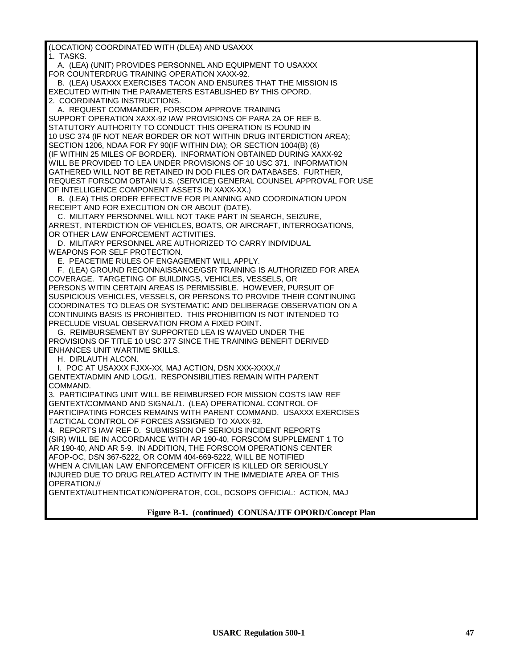(LOCATION) COORDINATED WITH (DLEA) AND USAXXX

1. TASKS.

 A. (LEA) (UNIT) PROVIDES PERSONNEL AND EQUIPMENT TO USAXXX FOR COUNTERDRUG TRAINING OPERATION XAXX-92.

 B. (LEA) USAXXX EXERCISES TACON AND ENSURES THAT THE MISSION IS EXECUTED WITHIN THE PARAMETERS ESTABLISHED BY THIS OPORD. 2. COORDINATING INSTRUCTIONS.

A. REQUEST COMMANDER, FORSCOM APPROVE TRAINING

SUPPORT OPERATION XAXX-92 IAW PROVISIONS OF PARA 2A OF REF B. STATUTORY AUTHORITY TO CONDUCT THIS OPERATION IS FOUND IN 10 USC 374 (IF NOT NEAR BORDER OR NOT WITHIN DRUG INTERDICTION AREA); SECTION 1206, NDAA FOR FY 90(IF WITHIN DIA); OR SECTION 1004(B) (6) (IF WITHIN 25 MILES OF BORDER). INFORMATION OBTAINED DURING XAXX-92 WILL BE PROVIDED TO LEA UNDER PROVISIONS OF 10 USC 371. INFORMATION GATHERED WILL NOT BE RETAINED IN DOD FILES OR DATABASES. FURTHER, REQUEST FORSCOM OBTAIN U.S. (SERVICE) GENERAL COUNSEL APPROVAL FOR USE OF INTELLIGENCE COMPONENT ASSETS IN XAXX-XX.)

 B. (LEA) THIS ORDER EFFECTIVE FOR PLANNING AND COORDINATION UPON RECEIPT AND FOR EXECUTION ON OR ABOUT (DATE).

 C. MILITARY PERSONNEL WILL NOT TAKE PART IN SEARCH, SEIZURE, ARREST, INTERDICTION OF VEHICLES, BOATS, OR AIRCRAFT, INTERROGATIONS, OR OTHER LAW ENFORCEMENT ACTIVITIES.

 D. MILITARY PERSONNEL ARE AUTHORIZED TO CARRY INDIVIDUAL WEAPONS FOR SELF PROTECTION.

E. PEACETIME RULES OF ENGAGEMENT WILL APPLY.

 F. (LEA) GROUND RECONNAISSANCE/GSR TRAINING IS AUTHORIZED FOR AREA COVERAGE. TARGETING OF BUILDINGS, VEHICLES, VESSELS, OR PERSONS WITIN CERTAIN AREAS IS PERMISSIBLE. HOWEVER, PURSUIT OF SUSPICIOUS VEHICLES, VESSELS, OR PERSONS TO PROVIDE THEIR CONTINUING COORDINATES TO DLEAS OR SYSTEMATIC AND DELIBERAGE OBSERVATION ON A CONTINUING BASIS IS PROHIBITED. THIS PROHIBITION IS NOT INTENDED TO PRECLUDE VISUAL OBSERVATION FROM A FIXED POINT.

 G. REIMBURSEMENT BY SUPPORTED LEA IS WAIVED UNDER THE PROVISIONS OF TITLE 10 USC 377 SINCE THE TRAINING BENEFIT DERIVED ENHANCES UNIT WARTIME SKILLS.

H. DIRLAUTH ALCON.

I. POC AT USAXXX FJXX-XX, MAJ ACTION, DSN XXX-XXXX.//

GENTEXT/ADMIN AND LOG/1. RESPONSIBILITIES REMAIN WITH PARENT COMMAND.

3. PARTICIPATING UNIT WILL BE REIMBURSED FOR MISSION COSTS IAW REF GENTEXT/COMMAND AND SIGNAL/1. (LEA) OPERATIONAL CONTROL OF PARTICIPATING FORCES REMAINS WITH PARENT COMMAND. USAXXX EXERCISES TACTICAL CONTROL OF FORCES ASSIGNED TO XAXX-92.

4. REPORTS IAW REF D. SUBMISSION OF SERIOUS INCIDENT REPORTS (SIR) WILL BE IN ACCORDANCE WITH AR 190-40, FORSCOM SUPPLEMENT 1 TO AR 190-40, AND AR 5-9. IN ADDITION, THE FORSCOM OPERATIONS CENTER AFOP-OC, DSN 367-5222, OR COMM 404-669-5222, WILL BE NOTIFIED WHEN A CIVILIAN LAW ENFORCEMENT OFFICER IS KILLED OR SERIOUSLY INJURED DUE TO DRUG RELATED ACTIVITY IN THE IMMEDIATE AREA OF THIS OPERATION.//

GENTEXT/AUTHENTICATION/OPERATOR, COL, DCSOPS OFFICIAL: ACTION, MAJ

**Figure B-1. (continued) CONUSA/JTF OPORD/Concept Plan**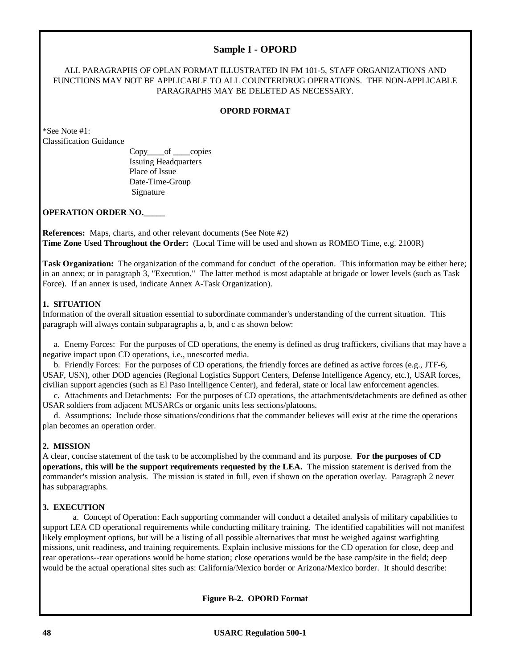#### **Sample I - OPORD**

#### ALL PARAGRAPHS OF OPLAN FORMAT ILLUSTRATED IN FM 101-5, STAFF ORGANIZATIONS AND FUNCTIONS MAY NOT BE APPLICABLE TO ALL COUNTERDRUG OPERATIONS. THE NON-APPLICABLE PARAGRAPHS MAY BE DELETED AS NECESSARY.

#### **OPORD FORMAT**

\*See Note #1: Classification Guidance

> Copy\_\_\_\_of \_\_\_\_copies Issuing Headquarters Place of Issue Date-Time-Group Signature

#### **OPERATION ORDER NO.**\_\_\_\_\_

**References:** Maps, charts, and other relevant documents (See Note #2) **Time Zone Used Throughout the Order:** (Local Time will be used and shown as ROMEO Time, e.g. 2100R)

**Task Organization:** The organization of the command for conduct of the operation. This information may be either here; in an annex; or in paragraph 3, "Execution." The latter method is most adaptable at brigade or lower levels (such as Task Force). If an annex is used, indicate Annex A-Task Organization).

#### **1. SITUATION**

Information of the overall situation essential to subordinate commander's understanding of the current situation. This paragraph will always contain subparagraphs a, b, and c as shown below:

a. Enemy Forces: For the purposes of CD operations, the enemy is defined as drug traffickers, civilians that may have a negative impact upon CD operations, i.e., unescorted media.

b. Friendly Forces: For the purposes of CD operations, the friendly forces are defined as active forces (e.g., JTF-6, USAF, USN), other DOD agencies (Regional Logistics Support Centers, Defense Intelligence Agency, etc.), USAR forces, civilian support agencies (such as El Paso Intelligence Center), and federal, state or local law enforcement agencies.

c. Attachments and Detachments**:** For the purposes of CD operations, the attachments/detachments are defined as other USAR soldiers from adjacent MUSARCs or organic units less sections/platoons.

d. Assumptions: Include those situations/conditions that the commander believes will exist at the time the operations plan becomes an operation order.

#### **2. MISSION**

A clear, concise statement of the task to be accomplished by the command and its purpose. **For the purposes of CD operations, this will be the support requirements requested by the LEA.** The mission statement is derived from the commander's mission analysis. The mission is stated in full, even if shown on the operation overlay. Paragraph 2 never has subparagraphs.

#### **3. EXECUTION**

a. Concept of Operation: Each supporting commander will conduct a detailed analysis of military capabilities to support LEA CD operational requirements while conducting military training. The identified capabilities will not manifest likely employment options, but will be a listing of all possible alternatives that must be weighed against warfighting missions, unit readiness, and training requirements. Explain inclusive missions for the CD operation for close, deep and rear operations--rear operations would be home station; close operations would be the base camp/site in the field; deep would be the actual operational sites such as: California/Mexico border or Arizona/Mexico border. It should describe:

**Figure B-2. OPORD Format**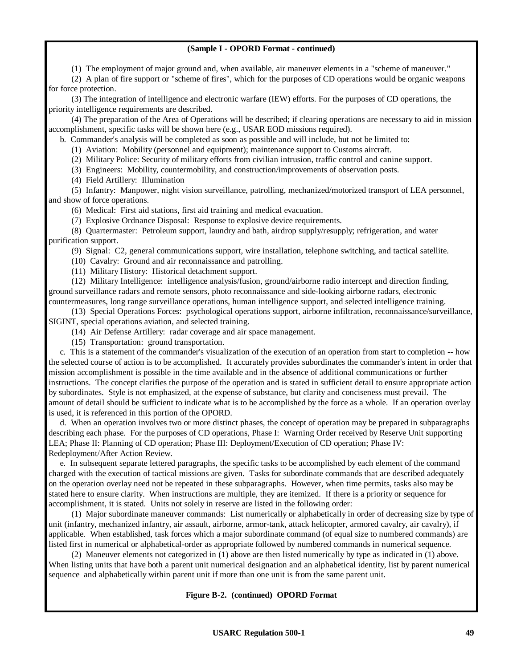#### **(Sample I - OPORD Format - continued)**

(1) The employment of major ground and, when available, air maneuver elements in a "scheme of maneuver."

(2) A plan of fire support or "scheme of fires", which for the purposes of CD operations would be organic weapons for force protection.

(3) The integration of intelligence and electronic warfare (IEW) efforts. For the purposes of CD operations, the priority intelligence requirements are described.

(4) The preparation of the Area of Operations will be described; if clearing operations are necessary to aid in mission accomplishment, specific tasks will be shown here (e.g., USAR EOD missions required).

b. Commander's analysis will be completed as soon as possible and will include, but not be limited to:

(1) Aviation: Mobility (personnel and equipment); maintenance support to Customs aircraft.

(2) Military Police: Security of military efforts from civilian intrusion, traffic control and canine support.

(3) Engineers: Mobility, countermobility, and construction/improvements of observation posts.

(4) Field Artillery: Illumination

(5) Infantry: Manpower, night vision surveillance, patrolling, mechanized/motorized transport of LEA personnel, and show of force operations.

(6) Medical: First aid stations, first aid training and medical evacuation.

(7) Explosive Ordnance Disposal: Response to explosive device requirements.

(8) Quartermaster: Petroleum support, laundry and bath, airdrop supply/resupply; refrigeration, and water purification support.

(9) Signal: C2, general communications support, wire installation, telephone switching, and tactical satellite.

(10) Cavalry: Ground and air reconnaissance and patrolling.

(11) Military History: Historical detachment support.

(12) Military Intelligence: intelligence analysis/fusion, ground/airborne radio intercept and direction finding, ground surveillance radars and remote sensors, photo reconnaissance and side-looking airborne radars, electronic countermeasures, long range surveillance operations, human intelligence support, and selected intelligence training.

(13) Special Operations Forces: psychological operations support, airborne infiltration, reconnaissance/surveillance, SIGINT, special operations aviation, and selected training.

(14) Air Defense Artillery: radar coverage and air space management.

(15) Transportation: ground transportation.

c. This is a statement of the commander's visualization of the execution of an operation from start to completion -- how the selected course of action is to be accomplished. It accurately provides subordinates the commander's intent in order that mission accomplishment is possible in the time available and in the absence of additional communications or further instructions. The concept clarifies the purpose of the operation and is stated in sufficient detail to ensure appropriate action by subordinates. Style is not emphasized, at the expense of substance, but clarity and conciseness must prevail. The amount of detail should be sufficient to indicate what is to be accomplished by the force as a whole. If an operation overlay is used, it is referenced in this portion of the OPORD.

d. When an operation involves two or more distinct phases, the concept of operation may be prepared in subparagraphs describing each phase. For the purposes of CD operations, Phase I: Warning Order received by Reserve Unit supporting LEA; Phase II: Planning of CD operation; Phase III: Deployment/Execution of CD operation; Phase IV: Redeployment/After Action Review.

e. In subsequent separate lettered paragraphs, the specific tasks to be accomplished by each element of the command charged with the execution of tactical missions are given. Tasks for subordinate commands that are described adequately on the operation overlay need not be repeated in these subparagraphs. However, when time permits, tasks also may be stated here to ensure clarity. When instructions are multiple, they are itemized. If there is a priority or sequence for accomplishment, it is stated. Units not solely in reserve are listed in the following order:

(1) Major subordinate maneuver commands: List numerically or alphabetically in order of decreasing size by type of unit (infantry, mechanized infantry, air assault, airborne, armor-tank, attack helicopter, armored cavalry, air cavalry), if applicable. When established, task forces which a major subordinate command (of equal size to numbered commands) are listed first in numerical or alphabetical-order as appropriate followed by numbered commands in numerical sequence.

(2) Maneuver elements not categorized in (1) above are then listed numerically by type as indicated in (1) above. When listing units that have both a parent unit numerical designation and an alphabetical identity, list by parent numerical sequence and alphabetically within parent unit if more than one unit is from the same parent unit.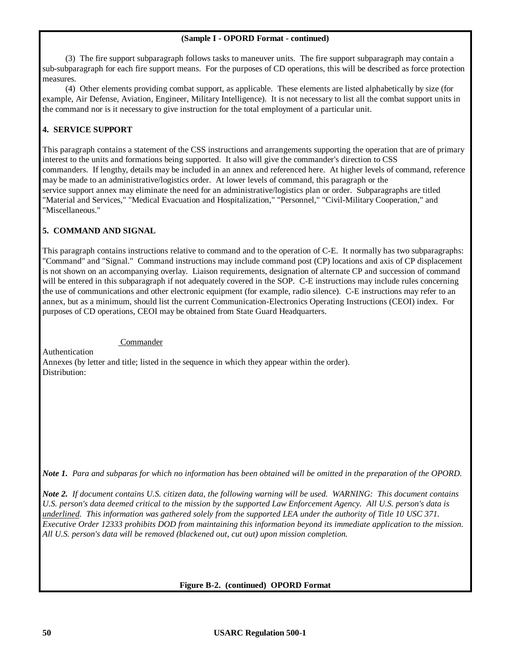#### **(Sample I - OPORD Format - continued)**

(3) The fire support subparagraph follows tasks to maneuver units. The fire support subparagraph may contain a sub-subparagraph for each fire support means. For the purposes of CD operations, this will be described as force protection measures.

(4) Other elements providing combat support, as applicable. These elements are listed alphabetically by size (for example, Air Defense, Aviation, Engineer, Military Intelligence). It is not necessary to list all the combat support units in the command nor is it necessary to give instruction for the total employment of a particular unit.

#### **4. SERVICE SUPPORT**

This paragraph contains a statement of the CSS instructions and arrangements supporting the operation that are of primary interest to the units and formations being supported. It also will give the commander's direction to CSS commanders. If lengthy, details may be included in an annex and referenced here. At higher levels of command, reference may be made to an administrative/logistics order. At lower levels of command, this paragraph or the service support annex may eliminate the need for an administrative/logistics plan or order. Subparagraphs are titled "Material and Services," "Medical Evacuation and Hospitalization," "Personnel," "Civil-Military Cooperation," and "Miscellaneous."

#### **5. COMMAND AND SIGNAL**

This paragraph contains instructions relative to command and to the operation of C-E. It normally has two subparagraphs: "Command" and "Signal." Command instructions may include command post (CP) locations and axis of CP displacement is not shown on an accompanying overlay. Liaison requirements, designation of alternate CP and succession of command will be entered in this subparagraph if not adequately covered in the SOP. C-E instructions may include rules concerning the use of communications and other electronic equipment (for example, radio silence). C-E instructions may refer to an annex, but as a minimum, should list the current Communication-Electronics Operating Instructions (CEOI) index. For purposes of CD operations, CEOI may be obtained from State Guard Headquarters.

#### Commander

Authentication Annexes (by letter and title; listed in the sequence in which they appear within the order). Distribution:

*Note 1. Para and subparas for which no information has been obtained will be omitted in the preparation of the OPORD.*

*Note 2. If document contains U.S. citizen data, the following warning will be used. WARNING: This document contains U.S. person's data deemed critical to the mission by the supported Law Enforcement Agency. All U.S. person's data is underlined. This information was gathered solely from the supported LEA under the authority of Title 10 USC 371. Executive Order 12333 prohibits DOD from maintaining this information beyond its immediate application to the mission. All U.S. person's data will be removed (blackened out, cut out) upon mission completion.*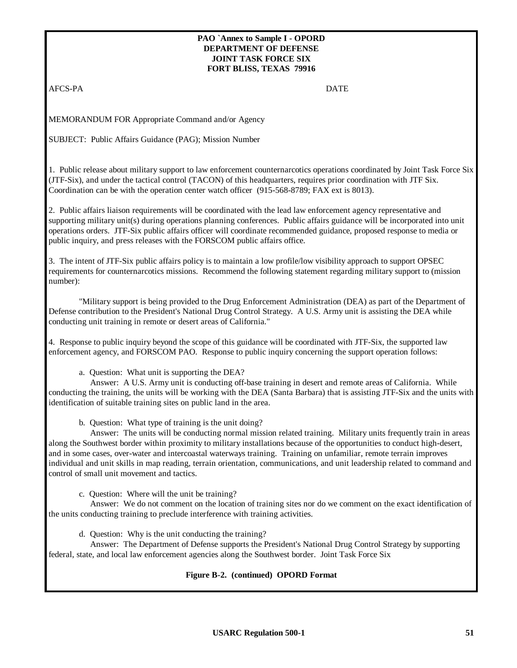#### **PAO `Annex to Sample I - OPORD DEPARTMENT OF DEFENSE JOINT TASK FORCE SIX FORT BLISS, TEXAS 79916**

AFCS-PA DATE

MEMORANDUM FOR Appropriate Command and/or Agency

SUBJECT: Public Affairs Guidance (PAG); Mission Number

1. Public release about military support to law enforcement counternarcotics operations coordinated by Joint Task Force Six (JTF-Six), and under the tactical control (TACON) of this headquarters, requires prior coordination with JTF Six. Coordination can be with the operation center watch officer (915-568-8789; FAX ext is 8013).

2. Public affairs liaison requirements will be coordinated with the lead law enforcement agency representative and supporting military unit(s) during operations planning conferences. Public affairs guidance will be incorporated into unit operations orders. JTF-Six public affairs officer will coordinate recommended guidance, proposed response to media or public inquiry, and press releases with the FORSCOM public affairs office.

3. The intent of JTF-Six public affairs policy is to maintain a low profile/low visibility approach to support OPSEC requirements for counternarcotics missions. Recommend the following statement regarding military support to (mission number):

"Military support is being provided to the Drug Enforcement Administration (DEA) as part of the Department of Defense contribution to the President's National Drug Control Strategy. A U.S. Army unit is assisting the DEA while conducting unit training in remote or desert areas of California."

4. Response to public inquiry beyond the scope of this guidance will be coordinated with JTF-Six, the supported law enforcement agency, and FORSCOM PAO. Response to public inquiry concerning the support operation follows:

a. Question: What unit is supporting the DEA?

 Answer: A U.S. Army unit is conducting off-base training in desert and remote areas of California. While conducting the training, the units will be working with the DEA (Santa Barbara) that is assisting JTF-Six and the units with identification of suitable training sites on public land in the area.

b. Question: What type of training is the unit doing?

 Answer: The units will be conducting normal mission related training. Military units frequently train in areas along the Southwest border within proximity to military installations because of the opportunities to conduct high-desert, and in some cases, over-water and intercoastal waterways training. Training on unfamiliar, remote terrain improves individual and unit skills in map reading, terrain orientation, communications, and unit leadership related to command and control of small unit movement and tactics.

c. Question: Where will the unit be training?

 Answer: We do not comment on the location of training sites nor do we comment on the exact identification of the units conducting training to preclude interference with training activities.

d. Question: Why is the unit conducting the training?

 Answer: The Department of Defense supports the President's National Drug Control Strategy by supporting federal, state, and local law enforcement agencies along the Southwest border. Joint Task Force Six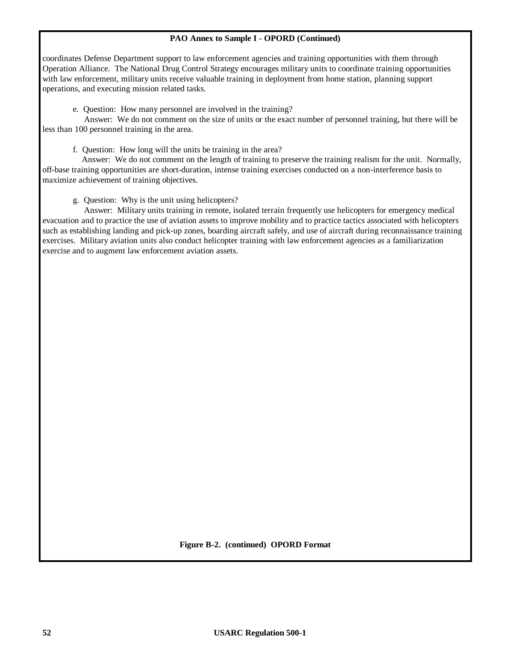#### **PAO Annex to Sample I - OPORD (Continued)**

coordinates Defense Department support to law enforcement agencies and training opportunities with them through Operation Alliance. The National Drug Control Strategy encourages military units to coordinate training opportunities with law enforcement, military units receive valuable training in deployment from home station, planning support operations, and executing mission related tasks.

e. Question: How many personnel are involved in the training?

 Answer: We do not comment on the size of units or the exact number of personnel training, but there will be less than 100 personnel training in the area.

f. Question: How long will the units be training in the area?

 Answer: We do not comment on the length of training to preserve the training realism for the unit. Normally, off-base training opportunities are short-duration, intense training exercises conducted on a non-interference basis to maximize achievement of training objectives.

g. Question: Why is the unit using helicopters?

 Answer: Military units training in remote, isolated terrain frequently use helicopters for emergency medical evacuation and to practice the use of aviation assets to improve mobility and to practice tactics associated with helicopters such as establishing landing and pick-up zones, boarding aircraft safely, and use of aircraft during reconnaissance training exercises. Military aviation units also conduct helicopter training with law enforcement agencies as a familiarization exercise and to augment law enforcement aviation assets.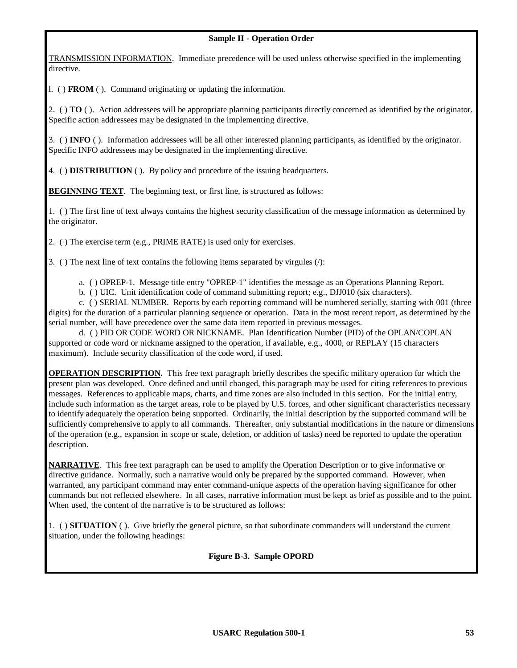TRANSMISSION INFORMATION. Immediate precedence will be used unless otherwise specified in the implementing directive.

l. ( ) **FROM** ( ). Command originating or updating the information.

2. ( ) **TO** ( ). Action addressees will be appropriate planning participants directly concerned as identified by the originator. Specific action addressees may be designated in the implementing directive.

3. ( ) **INFO** ( ). Information addressees will be all other interested planning participants, as identified by the originator. Specific INFO addressees may be designated in the implementing directive.

4. ( ) **DISTRIBUTION** ( ). By policy and procedure of the issuing headquarters.

**BEGINNING TEXT**. The beginning text, or first line, is structured as follows:

1. ( ) The first line of text always contains the highest security classification of the message information as determined by the originator.

2. ( ) The exercise term (e.g., PRIME RATE) is used only for exercises.

3. ( ) The next line of text contains the following items separated by virgules (/):

a. ( ) OPREP-1. Message title entry "OPREP-1" identifies the message as an Operations Planning Report.

b. ( ) UIC. Unit identification code of command submitting report; e.g., DJJ010 (six characters).

c. ( ) SERIAL NUMBER. Reports by each reporting command will be numbered serially, starting with 001 (three digits) for the duration of a particular planning sequence or operation. Data in the most recent report, as determined by the serial number, will have precedence over the same data item reported in previous messages.

d. ( ) PID OR CODE WORD OR NICKNAME. Plan Identification Number (PID) of the OPLAN/COPLAN supported or code word or nickname assigned to the operation, if available, e.g., 4000, or REPLAY (15 characters maximum). Include security classification of the code word, if used.

**OPERATION DESCRIPTION.** This free text paragraph briefly describes the specific military operation for which the present plan was developed. Once defined and until changed, this paragraph may be used for citing references to previous messages. References to applicable maps, charts, and time zones are also included in this section. For the initial entry, include such information as the target areas, role to be played by U.S. forces, and other significant characteristics necessary to identify adequately the operation being supported. Ordinarily, the initial description by the supported command will be sufficiently comprehensive to apply to all commands. Thereafter, only substantial modifications in the nature or dimensions of the operation (e.g., expansion in scope or scale, deletion, or addition of tasks) need be reported to update the operation description.

**NARRATIVE**. This free text paragraph can be used to amplify the Operation Description or to give informative or directive guidance. Normally, such a narrative would only be prepared by the supported command. However, when warranted, any participant command may enter command-unique aspects of the operation having significance for other commands but not reflected elsewhere. In all cases, narrative information must be kept as brief as possible and to the point. When used, the content of the narrative is to be structured as follows:

1. ( ) **SITUATION** ( ). Give briefly the general picture, so that subordinate commanders will understand the current situation, under the following headings:

**Figure B-3. Sample OPORD**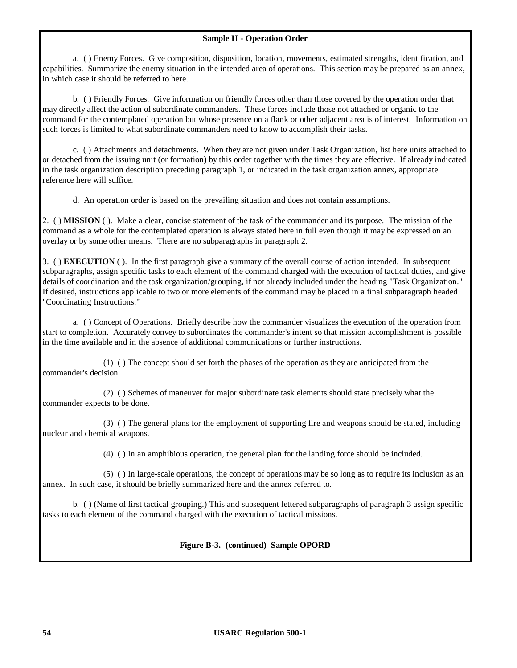a. ( ) Enemy Forces. Give composition, disposition, location, movements, estimated strengths, identification, and capabilities. Summarize the enemy situation in the intended area of operations. This section may be prepared as an annex, in which case it should be referred to here.

b. ( ) Friendly Forces. Give information on friendly forces other than those covered by the operation order that may directly affect the action of subordinate commanders. These forces include those not attached or organic to the command for the contemplated operation but whose presence on a flank or other adjacent area is of interest. Information on such forces is limited to what subordinate commanders need to know to accomplish their tasks.

c. ( ) Attachments and detachments. When they are not given under Task Organization, list here units attached to or detached from the issuing unit (or formation) by this order together with the times they are effective. If already indicated in the task organization description preceding paragraph 1, or indicated in the task organization annex, appropriate reference here will suffice.

d. An operation order is based on the prevailing situation and does not contain assumptions.

2. ( ) **MISSION** ( ). Make a clear, concise statement of the task of the commander and its purpose. The mission of the command as a whole for the contemplated operation is always stated here in full even though it may be expressed on an overlay or by some other means. There are no subparagraphs in paragraph 2.

3. ( ) **EXECUTION** ( ). In the first paragraph give a summary of the overall course of action intended. In subsequent subparagraphs, assign specific tasks to each element of the command charged with the execution of tactical duties, and give details of coordination and the task organization/grouping, if not already included under the heading "Task Organization." If desired, instructions applicable to two or more elements of the command may be placed in a final subparagraph headed "Coordinating Instructions."

a. ( ) Concept of Operations. Briefly describe how the commander visualizes the execution of the operation from start to completion. Accurately convey to subordinates the commander's intent so that mission accomplishment is possible in the time available and in the absence of additional communications or further instructions.

(1) ( ) The concept should set forth the phases of the operation as they are anticipated from the commander's decision.

(2) ( ) Schemes of maneuver for major subordinate task elements should state precisely what the commander expects to be done.

(3) ( ) The general plans for the employment of supporting fire and weapons should be stated, including nuclear and chemical weapons.

(4) ( ) In an amphibious operation, the general plan for the landing force should be included.

(5) ( ) In large-scale operations, the concept of operations may be so long as to require its inclusion as an annex. In such case, it should be briefly summarized here and the annex referred to.

b. ( ) (Name of first tactical grouping.) This and subsequent lettered subparagraphs of paragraph 3 assign specific tasks to each element of the command charged with the execution of tactical missions.

#### **Figure B-3. (continued) Sample OPORD**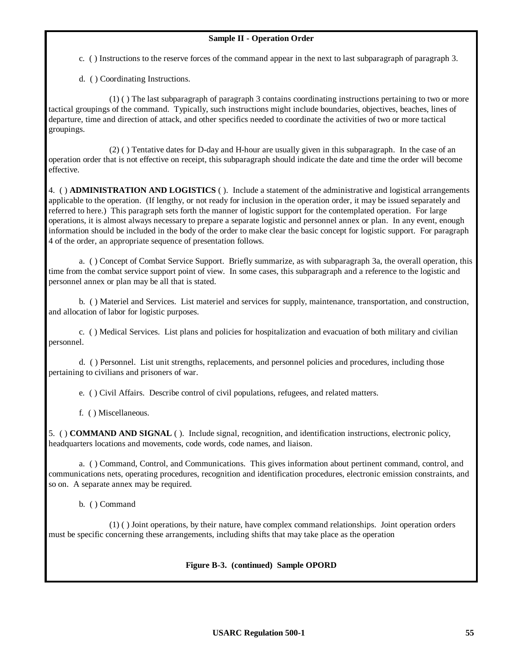c. ( ) Instructions to the reserve forces of the command appear in the next to last subparagraph of paragraph 3.

d. ( ) Coordinating Instructions.

(1) ( ) The last subparagraph of paragraph 3 contains coordinating instructions pertaining to two or more tactical groupings of the command. Typically, such instructions might include boundaries, objectives, beaches, lines of departure, time and direction of attack, and other specifics needed to coordinate the activities of two or more tactical groupings.

(2) ( ) Tentative dates for D-day and H-hour are usually given in this subparagraph. In the case of an operation order that is not effective on receipt, this subparagraph should indicate the date and time the order will become effective.

4. ( ) **ADMINISTRATION AND LOGISTICS** ( ). Include a statement of the administrative and logistical arrangements applicable to the operation. (If lengthy, or not ready for inclusion in the operation order, it may be issued separately and referred to here.) This paragraph sets forth the manner of logistic support for the contemplated operation. For large operations, it is almost always necessary to prepare a separate logistic and personnel annex or plan. In any event, enough information should be included in the body of the order to make clear the basic concept for logistic support. For paragraph 4 of the order, an appropriate sequence of presentation follows.

a. ( ) Concept of Combat Service Support. Briefly summarize, as with subparagraph 3a, the overall operation, this time from the combat service support point of view. In some cases, this subparagraph and a reference to the logistic and personnel annex or plan may be all that is stated.

b. ( ) Materiel and Services. List materiel and services for supply, maintenance, transportation, and construction, and allocation of labor for logistic purposes.

c. ( ) Medical Services. List plans and policies for hospitalization and evacuation of both military and civilian personnel.

d. ( ) Personnel. List unit strengths, replacements, and personnel policies and procedures, including those pertaining to civilians and prisoners of war.

e. ( ) Civil Affairs. Describe control of civil populations, refugees, and related matters.

f. ( ) Miscellaneous.

5. ( ) **COMMAND AND SIGNAL** ( ). Include signal, recognition, and identification instructions, electronic policy, headquarters locations and movements, code words, code names, and liaison.

a. ( ) Command, Control, and Communications. This gives information about pertinent command, control, and communications nets, operating procedures, recognition and identification procedures, electronic emission constraints, and so on. A separate annex may be required.

b. ( ) Command

(1) ( ) Joint operations, by their nature, have complex command relationships. Joint operation orders must be specific concerning these arrangements, including shifts that may take place as the operation

#### **Figure B-3. (continued) Sample OPORD**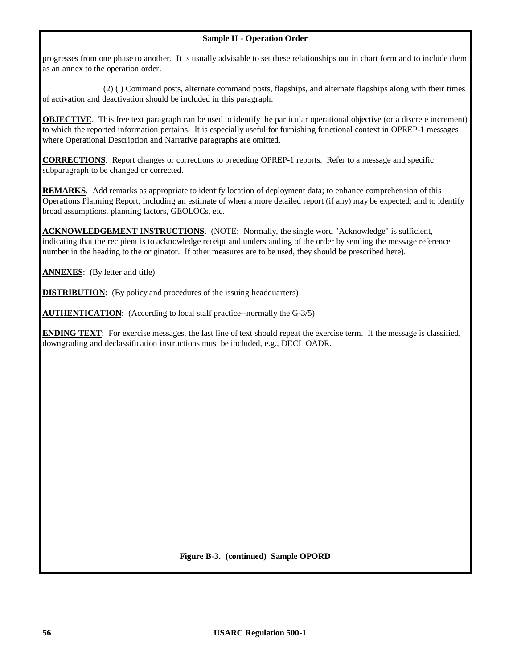progresses from one phase to another. It is usually advisable to set these relationships out in chart form and to include them as an annex to the operation order.

(2) ( ) Command posts, alternate command posts, flagships, and alternate flagships along with their times of activation and deactivation should be included in this paragraph.

**OBJECTIVE**. This free text paragraph can be used to identify the particular operational objective (or a discrete increment) to which the reported information pertains. It is especially useful for furnishing functional context in OPREP-1 messages where Operational Description and Narrative paragraphs are omitted.

**CORRECTIONS**. Report changes or corrections to preceding OPREP-1 reports. Refer to a message and specific subparagraph to be changed or corrected.

**REMARKS**. Add remarks as appropriate to identify location of deployment data; to enhance comprehension of this Operations Planning Report, including an estimate of when a more detailed report (if any) may be expected; and to identify broad assumptions, planning factors, GEOLOCs, etc.

**ACKNOWLEDGEMENT INSTRUCTIONS**. (NOTE: Normally, the single word "Acknowledge" is sufficient, indicating that the recipient is to acknowledge receipt and understanding of the order by sending the message reference number in the heading to the originator. If other measures are to be used, they should be prescribed here).

**ANNEXES**: (By letter and title)

**DISTRIBUTION:** (By policy and procedures of the issuing headquarters)

**AUTHENTICATION:** (According to local staff practice--normally the G-3/5)

**ENDING TEXT:** For exercise messages, the last line of text should repeat the exercise term. If the message is classified, downgrading and declassification instructions must be included, e.g., DECL OADR.

**Figure B-3. (continued) Sample OPORD**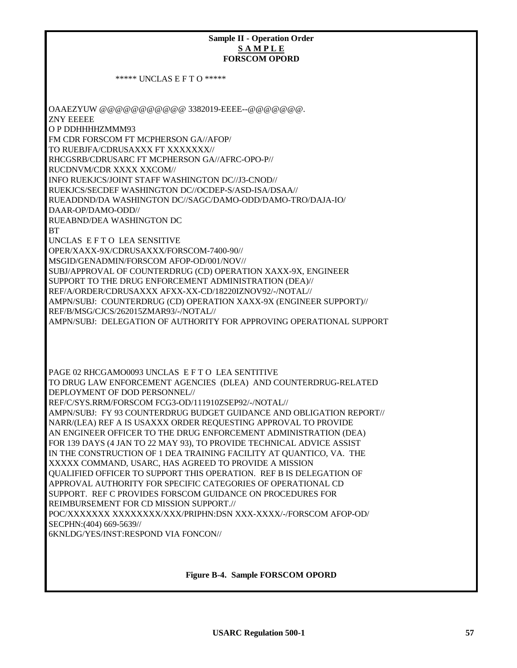# **Sample II - Operation Order S A M P L E FORSCOM OPORD**

\*\*\*\*\* UNCLAS E F T O \*\*\*\*\*

OAAEZYUW @@@@@@@@@@@ 3382019-EEEE--@@@@@@@. ZNY EEEEE O P DDHHHHZMMM93 FM CDR FORSCOM FT MCPHERSON GA//AFOP/ TO RUEBJFA/CDRUSAXXX FT XXXXXXX// RHCGSRB/CDRUSARC FT MCPHERSON GA//AFRC-OPO-P// RUCDNVM/CDR XXXX XXCOM// INFO RUEKJCS/JOINT STAFF WASHINGTON DC//J3-CNOD// RUEKJCS/SECDEF WASHINGTON DC//OCDEP-S/ASD-ISA/DSAA// RUEADDND/DA WASHINGTON DC//SAGC/DAMO-ODD/DAMO-TRO/DAJA-IO/ DAAR-OP/DAMO-ODD// RUEABND/DEA WASHINGTON DC **BT** UNCLAS E F T O LEA SENSITIVE OPER/XAXX-9X/CDRUSAXXX/FORSCOM-7400-90// MSGID/GENADMIN/FORSCOM AFOP-OD/001/NOV// SUBJ/APPROVAL OF COUNTERDRUG (CD) OPERATION XAXX-9X, ENGINEER SUPPORT TO THE DRUG ENFORCEMENT ADMINISTRATION (DEA)// REF/A/ORDER/CDRUSAXXX AFXX-XX-CD/18220IZNOV92/-/NOTAL// AMPN/SUBJ: COUNTERDRUG (CD) OPERATION XAXX-9X (ENGINEER SUPPORT)// REF/B/MSG/CJCS/262015ZMAR93/-/NOTAL// AMPN/SUBJ: DELEGATION OF AUTHORITY FOR APPROVING OPERATIONAL SUPPORT PAGE 02 RHCGAMO0093 UNCLAS E F T O LEA SENTITIVE TO DRUG LAW ENFORCEMENT AGENCIES (DLEA) AND COUNTERDRUG-RELATED DEPLOYMENT OF DOD PERSONNEL// REF/C/SYS.RRM/FORSCOM FCG3-OD/111910ZSEP92/-/NOTAL// AMPN/SUBJ: FY 93 COUNTERDRUG BUDGET GUIDANCE AND OBLIGATION REPORT// NARR/(LEA) REF A IS USAXXX ORDER REQUESTING APPROVAL TO PROVIDE AN ENGINEER OFFICER TO THE DRUG ENFORCEMENT ADMINISTRATION (DEA) FOR 139 DAYS (4 JAN TO 22 MAY 93), TO PROVIDE TECHNICAL ADVICE ASSIST IN THE CONSTRUCTION OF 1 DEA TRAINING FACILITY AT QUANTICO, VA. THE XXXXX COMMAND, USARC, HAS AGREED TO PROVIDE A MISSION QUALIFIED OFFICER TO SUPPORT THIS OPERATION. REF B IS DELEGATION OF APPROVAL AUTHORITY FOR SPECIFIC CATEGORIES OF OPERATIONAL CD SUPPORT. REF C PROVIDES FORSCOM GUIDANCE ON PROCEDURES FOR

REIMBURSEMENT FOR CD MISSION SUPPORT.//

POC/XXXXXXX XXXXXXXX/XXX/PRIPHN:DSN XXX-XXXX/-/FORSCOM AFOP-OD/ SECPHN:(404) 669-5639//

6KNLDG/YES/INST:RESPOND VIA FONCON//

**Figure B-4. Sample FORSCOM OPORD**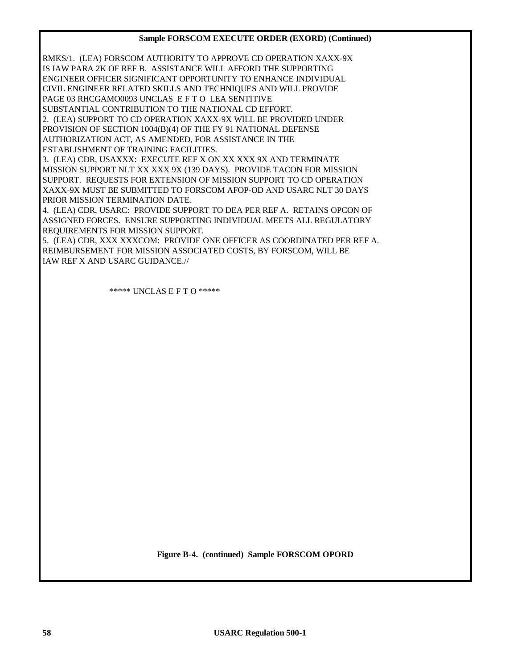#### **Sample FORSCOM EXECUTE ORDER (EXORD) (Continued)**

RMKS/1. (LEA) FORSCOM AUTHORITY TO APPROVE CD OPERATION XAXX-9X IS IAW PARA 2K OF REF B. ASSISTANCE WILL AFFORD THE SUPPORTING ENGINEER OFFICER SIGNIFICANT OPPORTUNITY TO ENHANCE INDIVIDUAL CIVIL ENGINEER RELATED SKILLS AND TECHNIQUES AND WILL PROVIDE PAGE 03 RHCGAMO0093 UNCLAS E F T O LEA SENTITIVE

SUBSTANTIAL CONTRIBUTION TO THE NATIONAL CD EFFORT.

2. (LEA) SUPPORT TO CD OPERATION XAXX-9X WILL BE PROVIDED UNDER PROVISION OF SECTION 1004(B)(4) OF THE FY 91 NATIONAL DEFENSE AUTHORIZATION ACT, AS AMENDED, FOR ASSISTANCE IN THE ESTABLISHMENT OF TRAINING FACILITIES.

3. (LEA) CDR, USAXXX: EXECUTE REF X ON XX XXX 9X AND TERMINATE MISSION SUPPORT NLT XX XXX 9X (139 DAYS). PROVIDE TACON FOR MISSION SUPPORT. REQUESTS FOR EXTENSION OF MISSION SUPPORT TO CD OPERATION XAXX-9X MUST BE SUBMITTED TO FORSCOM AFOP-OD AND USARC NLT 30 DAYS PRIOR MISSION TERMINATION DATE.

4. (LEA) CDR, USARC: PROVIDE SUPPORT TO DEA PER REF A. RETAINS OPCON OF ASSIGNED FORCES. ENSURE SUPPORTING INDIVIDUAL MEETS ALL REGULATORY REQUIREMENTS FOR MISSION SUPPORT.

5. (LEA) CDR, XXX XXXCOM: PROVIDE ONE OFFICER AS COORDINATED PER REF A. REIMBURSEMENT FOR MISSION ASSOCIATED COSTS, BY FORSCOM, WILL BE IAW REF X AND USARC GUIDANCE.//

\*\*\*\*\* UNCLAS E F T O \*\*\*\*\*

**Figure B-4. (continued) Sample FORSCOM OPORD**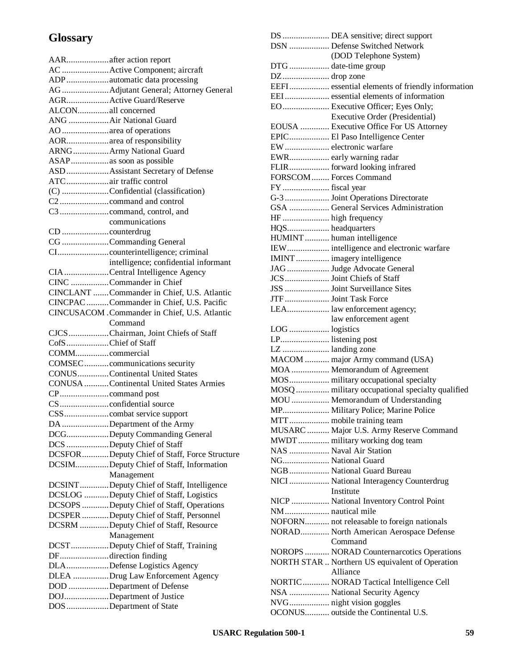## **Glossary**

|                    | AARafter action report                              |
|--------------------|-----------------------------------------------------|
|                    | AC  Active Component; aircraft                      |
|                    | ADPautomatic data processing                        |
|                    | AG  Adjutant General; Attorney General              |
|                    | AGRActive Guard/Reserve                             |
| ALCONall concerned |                                                     |
|                    | ANG  Air National Guard                             |
|                    | AO area of operations                               |
|                    | AORarea of responsibility                           |
|                    | ARNG  Army National Guard                           |
|                    | ASAPas soon as possible                             |
|                    | ASD  Assistant Secretary of Defense                 |
|                    | ATCair traffic control                              |
|                    | (C) Confidential (classification)                   |
|                    |                                                     |
|                    |                                                     |
|                    | communications                                      |
|                    |                                                     |
|                    |                                                     |
|                    | CG Commanding General                               |
|                    |                                                     |
|                    | intelligence; confidential informant                |
|                    | CIA Central Intelligence Agency                     |
|                    | CINC Commander in Chief                             |
|                    | CINCLANT Commander in Chief, U.S. Atlantic          |
|                    | CINCPAC Commander in Chief, U.S. Pacific            |
|                    | CINCUSACOM . Commander in Chief, U.S. Atlantic      |
|                    | Command                                             |
|                    | CJCSChairman, Joint Chiefs of Staff                 |
| CofSChief of Staff |                                                     |
| COMMcommercial     |                                                     |
|                    |                                                     |
|                    | COMSECcommunications security                       |
|                    | CONUS Continental United States                     |
|                    | <b>CONUSA</b> Continental United States Armies      |
|                    |                                                     |
|                    |                                                     |
|                    |                                                     |
|                    |                                                     |
|                    | DA Department of the Army                           |
|                    | DCGDeputy Commanding General                        |
|                    | DCS Deputy Chief of Staff                           |
|                    | DCSFOR Deputy Chief of Staff, Force Structure       |
|                    | DCSIMDeputy Chief of Staff, Information             |
|                    | Management                                          |
|                    | DCSINTDeputy Chief of Staff, Intelligence           |
|                    | DCSLOG Deputy Chief of Staff, Logistics             |
|                    | DCSOPS Deputy Chief of Staff, Operations            |
|                    | DCSPER Deputy Chief of Staff, Personnel             |
|                    | DCSRM Deputy Chief of Staff, Resource               |
|                    | Management                                          |
|                    | DCSTDeputy Chief of Staff, Training                 |
|                    | DFdirection finding                                 |
|                    | DLADefense Logistics Agency                         |
|                    | DLEA Drug Law Enforcement Agency                    |
|                    | DOD Department of Defense                           |
|                    | DOJDepartment of Justice<br>DOS Department of State |

|                       | DS  DEA sensitive; direct support                                         |
|-----------------------|---------------------------------------------------------------------------|
|                       | DSN  Defense Switched Network                                             |
|                       | (DOD Telephone System)                                                    |
| $DTG$ date-time group |                                                                           |
| DZ drop zone          |                                                                           |
|                       | EEFI essential elements of friendly information                           |
|                       | EEI essential elements of information                                     |
|                       | EO Executive Officer; Eyes Only;                                          |
|                       |                                                                           |
|                       | Executive Order (Presidential)<br>EOUSA  Executive Office For US Attorney |
|                       | EPIC El Paso Intelligence Center                                          |
|                       | EW electronic warfare                                                     |
|                       | EWR early warning radar                                                   |
|                       | FLIR forward looking infrared                                             |
|                       | FORSCOM  Forces Command                                                   |
|                       |                                                                           |
| FY  fiscal year       |                                                                           |
|                       | G-3  Joint Operations Directorate                                         |
|                       | GSA  General Services Administration                                      |
| HF  high frequency    |                                                                           |
| HQS headquarters      |                                                                           |
|                       | HUMINT human intelligence                                                 |
|                       | IEW intelligence and electronic warfare                                   |
|                       | IMINT  imagery intelligence                                               |
|                       | JAG  Judge Advocate General                                               |
|                       | JCS  Joint Chiefs of Staff                                                |
|                       | JSS  Joint Surveillance Sites                                             |
|                       | JTF  Joint Task Force                                                     |
|                       | LEA law enforcement agency;                                               |
|                       | law enforcement agent                                                     |
| LOG  logistics        |                                                                           |
| LP listening post     |                                                                           |
| LZ  landing zone      |                                                                           |
|                       | MACOM  major Army command (USA)                                           |
|                       | MOA  Memorandum of Agreement                                              |
|                       | MOS military occupational specialty                                       |
|                       | MOSQ  military occupational specialty qualified                           |
|                       | MOU Memorandum of Understanding                                           |
|                       | MP Military Police; Marine Police                                         |
|                       | MTT mobile training team                                                  |
|                       | MUSARC  Major U.S. Army Reserve Command                                   |
|                       | MWDT military working dog team                                            |
|                       | NAS  Naval Air Station                                                    |
| NG National Guard     |                                                                           |
|                       | NGB  National Guard Bureau                                                |
|                       |                                                                           |
|                       | NICI  National Interagency Counterdrug                                    |
|                       | Institute                                                                 |
|                       | NICP  National Inventory Control Point                                    |
| NM nautical mile      |                                                                           |
|                       | NOFORN not releasable to foreign nationals                                |
|                       | NORAD North American Aerospace Defense                                    |
|                       | Command                                                                   |
|                       | NOROPS  NORAD Counternarcotics Operations                                 |
|                       | NORTH STAR  Northern US equivalent of Operation                           |
|                       | Alliance                                                                  |
|                       | NORTIC NORAD Tactical Intelligence Cell                                   |
|                       | NSA  National Security Agency                                             |
|                       | NVG night vision goggles                                                  |
|                       | OCONUS outside the Continental U.S.                                       |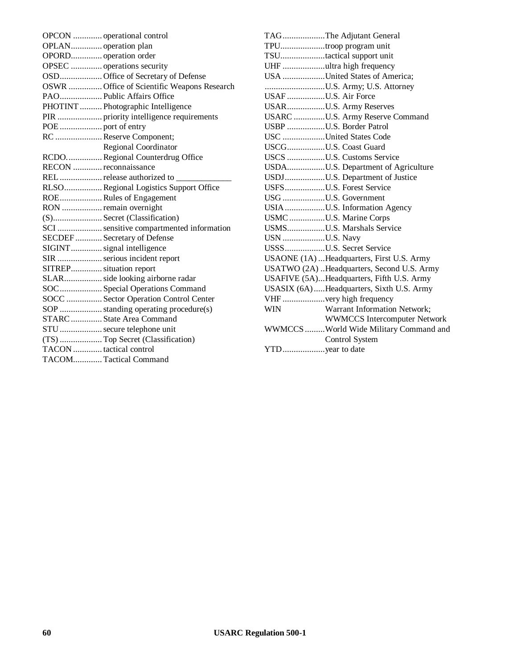|                         | OPCON  operational control                  |
|-------------------------|---------------------------------------------|
|                         |                                             |
| OPORD operation order   |                                             |
|                         | OPSEC  operations security                  |
|                         | OSD Office of Secretary of Defense          |
|                         | OSWR  Office of Scientific Weapons Research |
|                         | PAO Public Affairs Office                   |
|                         | PHOTINT  Photographic Intelligence          |
|                         |                                             |
|                         |                                             |
|                         | RC  Reserve Component;                      |
|                         | <b>Regional Coordinator</b>                 |
|                         | RCDORegional Counterdrug Office             |
| RECON  reconnaissance   |                                             |
|                         | REL  release authorized to                  |
|                         | RLSO Regional Logistics Support Office      |
|                         | ROE Rules of Engagement                     |
|                         | RON  remain overnight                       |
|                         | (S)Secret (Classification)                  |
|                         | SCI  sensitive compartmented information    |
|                         | SECDEF  Secretary of Defense                |
|                         | SIGINT signal intelligence                  |
|                         | SIR  serious incident report                |
| SITREP situation report |                                             |
|                         | SLAR side looking airborne radar            |
|                         | SOC Special Operations Command              |
|                         | SOCC  Sector Operation Control Center       |
|                         |                                             |
|                         | STARC  State Area Command                   |
|                         | STU  secure telephone unit                  |
|                         | (TS)  Top Secret (Classification)           |
| TACON tactical control  |                                             |
|                         | TACOM Tactical Command                      |
|                         |                                             |

|                     | TAGThe Adjutant General                    |
|---------------------|--------------------------------------------|
|                     | TPUtroop program unit                      |
|                     | TSUtactical support unit                   |
|                     | UHF ultra high frequency                   |
|                     | USA United States of America;              |
|                     | U.S. Army; U.S. Attorney                   |
| USAF U.S. Air Force |                                            |
|                     | USARU.S. Army Reserves                     |
|                     | USARC U.S. Army Reserve Command            |
|                     | USBP U.S. Border Patrol                    |
|                     | USC United States Code                     |
|                     | USCGU.S. Coast Guard                       |
|                     | USCS U.S. Customs Service                  |
|                     | USDAU.S. Department of Agriculture         |
|                     | USDJU.S. Department of Justice             |
|                     | USFSU.S. Forest Service                    |
|                     | USG U.S. Government                        |
|                     | USIAU.S. Information Agency                |
|                     | USMC U.S. Marine Corps                     |
|                     | USMSU.S. Marshals Service                  |
| USN U.S. Navy       |                                            |
|                     | USSSU.S. Secret Service                    |
|                     | USAONE (1A) Headquarters, First U.S. Army  |
|                     | USATWO (2A) Headquarters, Second U.S. Army |
|                     | USAFIVE (5A)Headquarters, Fifth U.S. Army  |
|                     | USASIX (6A)  Headquarters, Sixth U.S. Army |
|                     |                                            |
| <b>WIN</b>          | Warrant Information Network;               |
|                     | <b>WWMCCS</b> Intercomputer Network        |
|                     | WWMCCS World Wide Military Command and     |
|                     | <b>Control System</b>                      |
| YTDyear to date     |                                            |